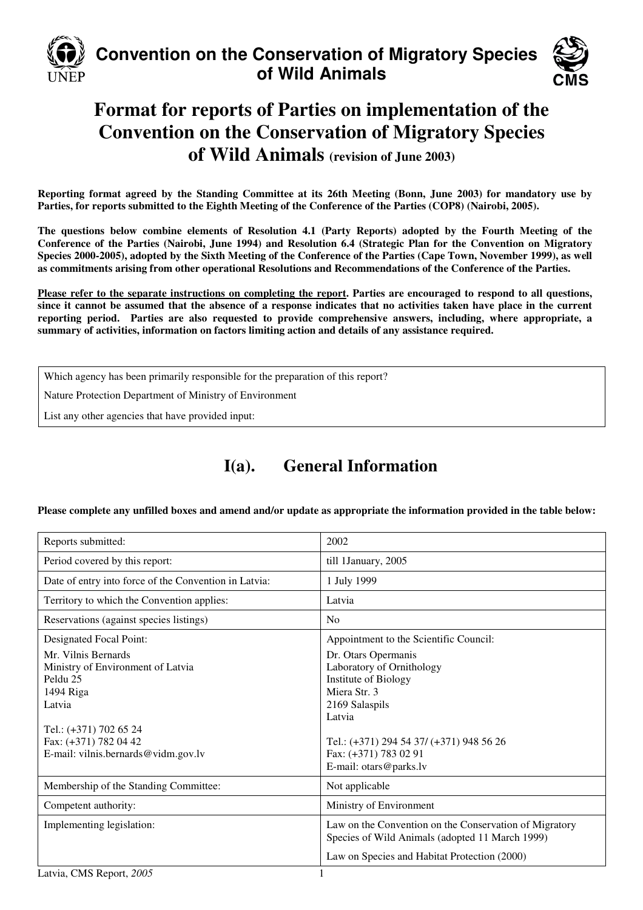

# **Convention on the Conservation of Migratory Species of Wild Animals**



# **Format for reports of Parties on implementation of the Convention on the Conservation of Migratory Species of Wild Animals (revision of June 2003)**

**Reporting format agreed by the Standing Committee at its 26th Meeting (Bonn, June 2003) for mandatory use by Parties, for reports submitted to the Eighth Meeting of the Conference of the Parties (COP8) (Nairobi, 2005).** 

**The questions below combine elements of Resolution 4.1 (Party Reports) adopted by the Fourth Meeting of the Conference of the Parties (Nairobi, June 1994) and Resolution 6.4 (Strategic Plan for the Convention on Migratory Species 2000-2005), adopted by the Sixth Meeting of the Conference of the Parties (Cape Town, November 1999), as well as commitments arising from other operational Resolutions and Recommendations of the Conference of the Parties.** 

**Please refer to the separate instructions on completing the report. Parties are encouraged to respond to all questions, since it cannot be assumed that the absence of a response indicates that no activities taken have place in the current reporting period. Parties are also requested to provide comprehensive answers, including, where appropriate, a summary of activities, information on factors limiting action and details of any assistance required.**

Which agency has been primarily responsible for the preparation of this report?

Nature Protection Department of Ministry of Environment

List any other agencies that have provided input:

# **I(a). General Information**

#### **Please complete any unfilled boxes and amend and/or update as appropriate the information provided in the table below:**

| Reports submitted:                                                                                                                                                                    | 2002                                                                                                                                                                                                                       |
|---------------------------------------------------------------------------------------------------------------------------------------------------------------------------------------|----------------------------------------------------------------------------------------------------------------------------------------------------------------------------------------------------------------------------|
| Period covered by this report:                                                                                                                                                        | till 1January, 2005                                                                                                                                                                                                        |
| Date of entry into force of the Convention in Latvia:                                                                                                                                 | 1 July 1999                                                                                                                                                                                                                |
| Territory to which the Convention applies:                                                                                                                                            | Latvia                                                                                                                                                                                                                     |
| Reservations (against species listings)                                                                                                                                               | No                                                                                                                                                                                                                         |
| Designated Focal Point:                                                                                                                                                               | Appointment to the Scientific Council:                                                                                                                                                                                     |
| Mr. Vilnis Bernards<br>Ministry of Environment of Latvia<br>Peldu 25<br>1494 Riga<br>Latvia<br>Tel.: (+371) 702 65 24<br>Fax: (+371) 782 04 42<br>E-mail: vilnis.bernards@vidm.gov.lv | Dr. Otars Opermanis<br>Laboratory of Ornithology<br><b>Institute of Biology</b><br>Miera Str. 3<br>2169 Salaspils<br>Latvia<br>Tel.: (+371) 294 54 37/ (+371) 948 56 26<br>Fax: (+371) 783 02 91<br>E-mail: otars@parks.lv |
| Membership of the Standing Committee:                                                                                                                                                 | Not applicable                                                                                                                                                                                                             |
| Competent authority:                                                                                                                                                                  | Ministry of Environment                                                                                                                                                                                                    |
| Implementing legislation:                                                                                                                                                             | Law on the Convention on the Conservation of Migratory<br>Species of Wild Animals (adopted 11 March 1999)<br>Law on Species and Habitat Protection (2000)                                                                  |
|                                                                                                                                                                                       |                                                                                                                                                                                                                            |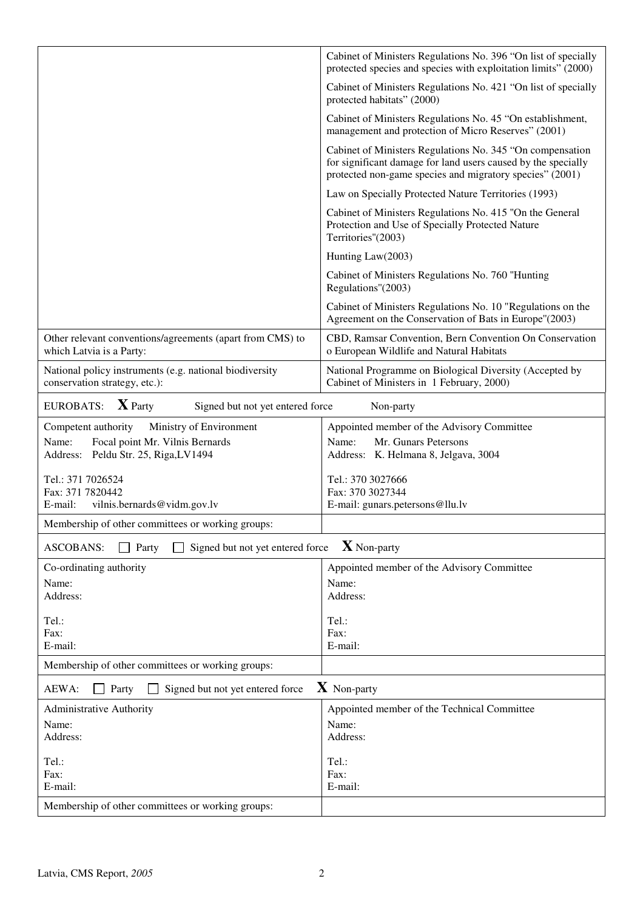|                                                                                          | Cabinet of Ministers Regulations No. 396 "On list of specially<br>protected species and species with exploitation limits" (2000)                                                       |
|------------------------------------------------------------------------------------------|----------------------------------------------------------------------------------------------------------------------------------------------------------------------------------------|
|                                                                                          | Cabinet of Ministers Regulations No. 421 "On list of specially<br>protected habitats" (2000)                                                                                           |
|                                                                                          | Cabinet of Ministers Regulations No. 45 "On establishment,<br>management and protection of Micro Reserves" (2001)                                                                      |
|                                                                                          | Cabinet of Ministers Regulations No. 345 "On compensation<br>for significant damage for land users caused by the specially<br>protected non-game species and migratory species" (2001) |
|                                                                                          | Law on Specially Protected Nature Territories (1993)                                                                                                                                   |
|                                                                                          | Cabinet of Ministers Regulations No. 415 "On the General<br>Protection and Use of Specially Protected Nature<br>Territories"(2003)                                                     |
|                                                                                          | Hunting Law(2003)                                                                                                                                                                      |
|                                                                                          | Cabinet of Ministers Regulations No. 760 "Hunting<br>Regulations"(2003)                                                                                                                |
|                                                                                          | Cabinet of Ministers Regulations No. 10 "Regulations on the<br>Agreement on the Conservation of Bats in Europe"(2003)                                                                  |
| Other relevant conventions/agreements (apart from CMS) to<br>which Latvia is a Party:    | CBD, Ramsar Convention, Bern Convention On Conservation<br>o European Wildlife and Natural Habitats                                                                                    |
| National policy instruments (e.g. national biodiversity<br>conservation strategy, etc.): | National Programme on Biological Diversity (Accepted by<br>Cabinet of Ministers in 1 February, 2000)                                                                                   |
| $\mathbf{X}$ Party<br><b>EUROBATS:</b><br>Signed but not yet entered force               | Non-party                                                                                                                                                                              |
| Ministry of Environment<br>Competent authority                                           | Appointed member of the Advisory Committee                                                                                                                                             |
| Focal point Mr. Vilnis Bernards<br>Name:<br>Address: Peldu Str. 25, Riga,LV1494          | Mr. Gunars Petersons<br>Name:<br>Address: K. Helmana 8, Jelgava, 3004                                                                                                                  |
| Tel.: 371 7026524                                                                        | Tel.: 370 3027666                                                                                                                                                                      |
| Fax: 371 7820442<br>vilnis.bernards@vidm.gov.lv<br>E-mail:                               | Fax: 370 3027344<br>E-mail: gunars.petersons@llu.lv                                                                                                                                    |
|                                                                                          |                                                                                                                                                                                        |
| Membership of other committees or working groups:                                        |                                                                                                                                                                                        |
| <b>ASCOBANS:</b><br>Signed but not yet entered force<br>Party                            | $\mathbf X$ Non-party                                                                                                                                                                  |
| Co-ordinating authority                                                                  | Appointed member of the Advisory Committee                                                                                                                                             |
| Name:<br>Address:                                                                        | Name:<br>Address:                                                                                                                                                                      |
|                                                                                          |                                                                                                                                                                                        |
| Tel.:<br>Fax:                                                                            | Tel.:<br>Fax:                                                                                                                                                                          |
| E-mail:                                                                                  | E-mail:                                                                                                                                                                                |
| Membership of other committees or working groups:                                        |                                                                                                                                                                                        |
| Signed but not yet entered force<br>AEWA:<br>Party                                       | $\boldsymbol{X}$ Non-party                                                                                                                                                             |
| Administrative Authority                                                                 | Appointed member of the Technical Committee                                                                                                                                            |
| Name:                                                                                    | Name:                                                                                                                                                                                  |
| Address:                                                                                 | Address:                                                                                                                                                                               |
| Tel.:                                                                                    | Tel.:                                                                                                                                                                                  |
| Fax:<br>E-mail:                                                                          | Fax:<br>E-mail:                                                                                                                                                                        |
| Membership of other committees or working groups:                                        |                                                                                                                                                                                        |
|                                                                                          |                                                                                                                                                                                        |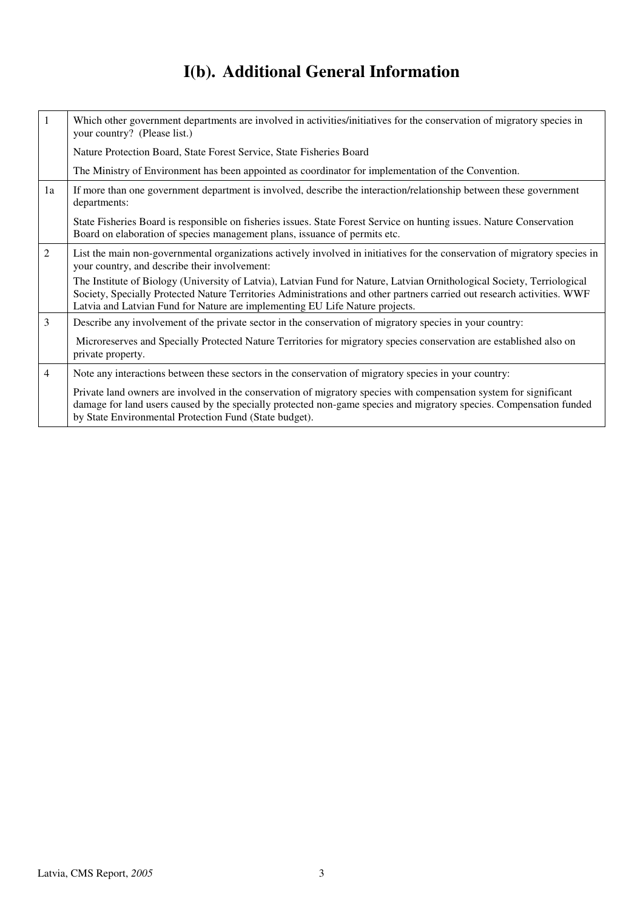# **I(b). Additional General Information**

| 1              | Which other government departments are involved in activities/initiatives for the conservation of migratory species in<br>your country? (Please list.)                                                                                                                                                                             |
|----------------|------------------------------------------------------------------------------------------------------------------------------------------------------------------------------------------------------------------------------------------------------------------------------------------------------------------------------------|
|                | Nature Protection Board, State Forest Service, State Fisheries Board                                                                                                                                                                                                                                                               |
|                | The Ministry of Environment has been appointed as coordinator for implementation of the Convention.                                                                                                                                                                                                                                |
| 1a             | If more than one government department is involved, describe the interaction/relationship between these government<br>departments:                                                                                                                                                                                                 |
|                | State Fisheries Board is responsible on fisheries issues. State Forest Service on hunting issues. Nature Conservation<br>Board on elaboration of species management plans, issuance of permits etc.                                                                                                                                |
| 2              | List the main non-governmental organizations actively involved in initiatives for the conservation of migratory species in<br>your country, and describe their involvement:                                                                                                                                                        |
|                | The Institute of Biology (University of Latvia), Latvian Fund for Nature, Latvian Ornithological Society, Terriological<br>Society, Specially Protected Nature Territories Administrations and other partners carried out research activities. WWF<br>Latvia and Latvian Fund for Nature are implementing EU Life Nature projects. |
| 3              | Describe any involvement of the private sector in the conservation of migratory species in your country:                                                                                                                                                                                                                           |
|                | Microreserves and Specially Protected Nature Territories for migratory species conservation are established also on<br>private property.                                                                                                                                                                                           |
| $\overline{4}$ | Note any interactions between these sectors in the conservation of migratory species in your country:                                                                                                                                                                                                                              |
|                | Private land owners are involved in the conservation of migratory species with compensation system for significant<br>damage for land users caused by the specially protected non-game species and migratory species. Compensation funded<br>by State Environmental Protection Fund (State budget).                                |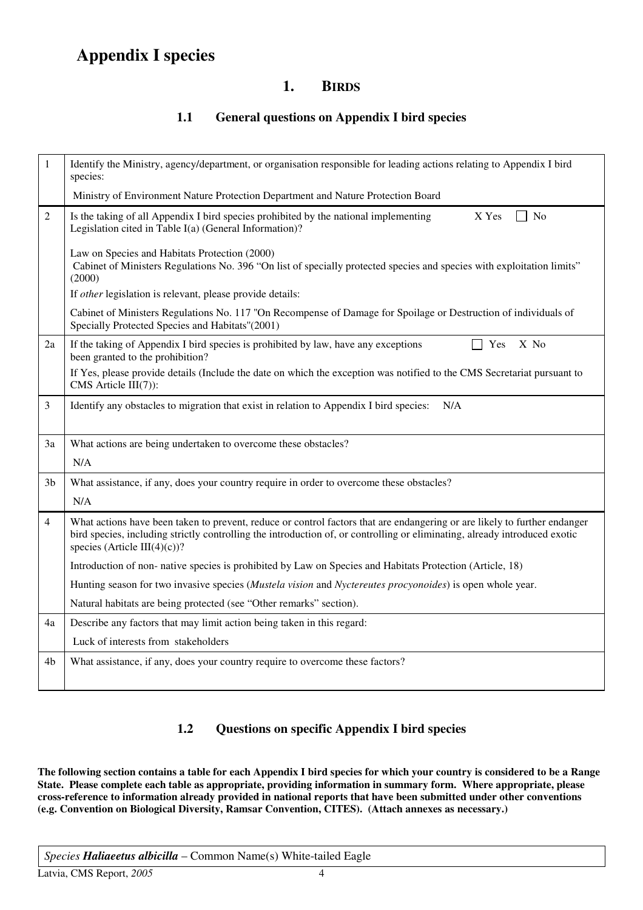## **Appendix I species**

## **1. BIRDS**

### **1.1 General questions on Appendix I bird species**

| $\mathbf{1}$   | Identify the Ministry, agency/department, or organisation responsible for leading actions relating to Appendix I bird<br>species:                                                                                                                                                       |
|----------------|-----------------------------------------------------------------------------------------------------------------------------------------------------------------------------------------------------------------------------------------------------------------------------------------|
|                | Ministry of Environment Nature Protection Department and Nature Protection Board                                                                                                                                                                                                        |
| $\overline{2}$ | X Yes<br>Is the taking of all Appendix I bird species prohibited by the national implementing<br>No<br>Legislation cited in Table I(a) (General Information)?                                                                                                                           |
|                | Law on Species and Habitats Protection (2000)<br>Cabinet of Ministers Regulations No. 396 "On list of specially protected species and species with exploitation limits"<br>(2000)                                                                                                       |
|                | If other legislation is relevant, please provide details:                                                                                                                                                                                                                               |
|                | Cabinet of Ministers Regulations No. 117 "On Recompense of Damage for Spoilage or Destruction of individuals of<br>Specially Protected Species and Habitats"(2001)                                                                                                                      |
| 2a             | X No<br>If the taking of Appendix I bird species is prohibited by law, have any exceptions<br>Yes<br>been granted to the prohibition?                                                                                                                                                   |
|                | If Yes, please provide details (Include the date on which the exception was notified to the CMS Secretariat pursuant to<br>CMS Article $III(7)$ :                                                                                                                                       |
| 3              | Identify any obstacles to migration that exist in relation to Appendix I bird species:<br>N/A                                                                                                                                                                                           |
| 3a             | What actions are being undertaken to overcome these obstacles?                                                                                                                                                                                                                          |
|                | N/A                                                                                                                                                                                                                                                                                     |
| 3b             | What assistance, if any, does your country require in order to overcome these obstacles?                                                                                                                                                                                                |
|                | N/A                                                                                                                                                                                                                                                                                     |
| $\overline{4}$ | What actions have been taken to prevent, reduce or control factors that are endangering or are likely to further endanger<br>bird species, including strictly controlling the introduction of, or controlling or eliminating, already introduced exotic<br>species (Article III(4)(c))? |
|                | Introduction of non-native species is prohibited by Law on Species and Habitats Protection (Article, 18)                                                                                                                                                                                |
|                | Hunting season for two invasive species ( <i>Mustela vision</i> and <i>Nyctereutes procyonoides</i> ) is open whole year.                                                                                                                                                               |
|                | Natural habitats are being protected (see "Other remarks" section).                                                                                                                                                                                                                     |
| 4a             | Describe any factors that may limit action being taken in this regard:                                                                                                                                                                                                                  |
|                | Luck of interests from stakeholders                                                                                                                                                                                                                                                     |
| 4b             | What assistance, if any, does your country require to overcome these factors?                                                                                                                                                                                                           |
|                |                                                                                                                                                                                                                                                                                         |

## **1.2 Questions on specific Appendix I bird species**

**The following section contains a table for each Appendix I bird species for which your country is considered to be a Range State. Please complete each table as appropriate, providing information in summary form. Where appropriate, please cross-reference to information already provided in national reports that have been submitted under other conventions (e.g. Convention on Biological Diversity, Ramsar Convention, CITES). (Attach annexes as necessary.)** 

*Species Haliaeetus albicilla* – Common Name(s) White-tailed Eagle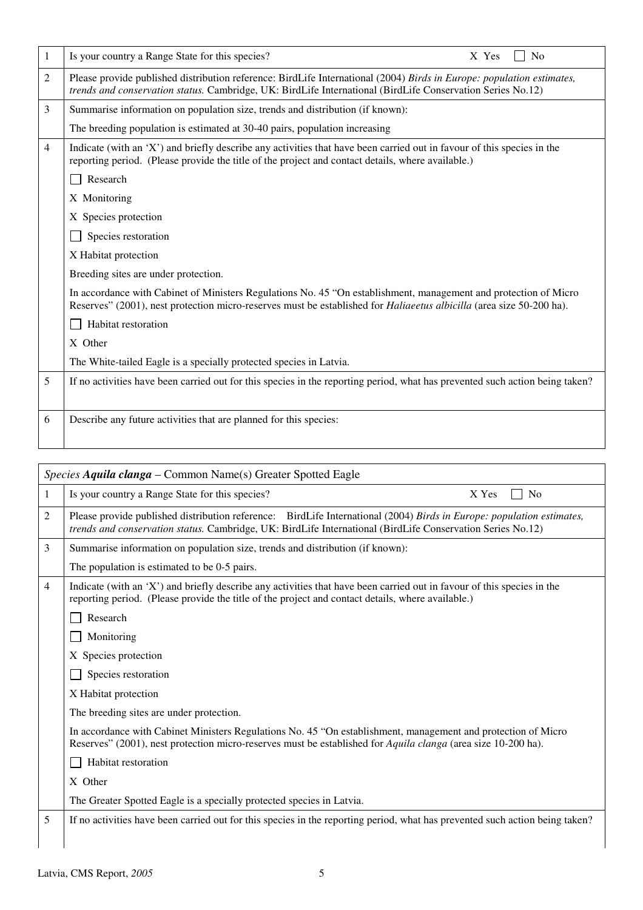| 1 | Is your country a Range State for this species?<br>N <sub>o</sub><br>X Yes                                                                                                                                                                      |
|---|-------------------------------------------------------------------------------------------------------------------------------------------------------------------------------------------------------------------------------------------------|
| 2 | Please provide published distribution reference: BirdLife International (2004) Birds in Europe: population estimates,<br>trends and conservation status. Cambridge, UK: BirdLife International (BirdLife Conservation Series No.12)             |
| 3 | Summarise information on population size, trends and distribution (if known):                                                                                                                                                                   |
|   | The breeding population is estimated at 30-40 pairs, population increasing                                                                                                                                                                      |
| 4 | Indicate (with an 'X') and briefly describe any activities that have been carried out in favour of this species in the<br>reporting period. (Please provide the title of the project and contact details, where available.)                     |
|   | Research                                                                                                                                                                                                                                        |
|   | X Monitoring                                                                                                                                                                                                                                    |
|   | X Species protection                                                                                                                                                                                                                            |
|   | Species restoration                                                                                                                                                                                                                             |
|   | X Habitat protection                                                                                                                                                                                                                            |
|   | Breeding sites are under protection.                                                                                                                                                                                                            |
|   | In accordance with Cabinet of Ministers Regulations No. 45 "On establishment, management and protection of Micro<br>Reserves" (2001), nest protection micro-reserves must be established for <i>Haliaeetus albicilla</i> (area size 50-200 ha). |
|   | Habitat restoration                                                                                                                                                                                                                             |
|   | X Other                                                                                                                                                                                                                                         |
|   | The White-tailed Eagle is a specially protected species in Latvia.                                                                                                                                                                              |
| 5 | If no activities have been carried out for this species in the reporting period, what has prevented such action being taken?                                                                                                                    |
| 6 | Describe any future activities that are planned for this species:                                                                                                                                                                               |
|   |                                                                                                                                                                                                                                                 |
|   | <i>Species Aquila clanga – Common Name(s)</i> Greater Spotted Eagle                                                                                                                                                                             |

| 1              | Is your country a Range State for this species?<br>X Yes<br>N <sub>0</sub>                                                                                                                                                          |
|----------------|-------------------------------------------------------------------------------------------------------------------------------------------------------------------------------------------------------------------------------------|
| 2              | Please provide published distribution reference: BirdLife International (2004) Birds in Europe: population estimates,<br>trends and conservation status. Cambridge, UK: BirdLife International (BirdLife Conservation Series No.12) |
| 3              | Summarise information on population size, trends and distribution (if known):                                                                                                                                                       |
|                | The population is estimated to be 0-5 pairs.                                                                                                                                                                                        |
| $\overline{4}$ | Indicate (with an 'X') and briefly describe any activities that have been carried out in favour of this species in the<br>reporting period. (Please provide the title of the project and contact details, where available.)         |
|                | Research                                                                                                                                                                                                                            |
|                | Monitoring                                                                                                                                                                                                                          |
|                | X Species protection                                                                                                                                                                                                                |
|                | Species restoration                                                                                                                                                                                                                 |
|                | X Habitat protection                                                                                                                                                                                                                |
|                | The breeding sites are under protection.                                                                                                                                                                                            |
|                | In accordance with Cabinet Ministers Regulations No. 45 "On establishment, management and protection of Micro<br>Reserves" (2001), nest protection micro-reserves must be established for Aquila clanga (area size 10-200 ha).      |
|                | Habitat restoration                                                                                                                                                                                                                 |
|                | X Other                                                                                                                                                                                                                             |
|                | The Greater Spotted Eagle is a specially protected species in Latvia.                                                                                                                                                               |
| 5              | If no activities have been carried out for this species in the reporting period, what has prevented such action being taken?                                                                                                        |
|                |                                                                                                                                                                                                                                     |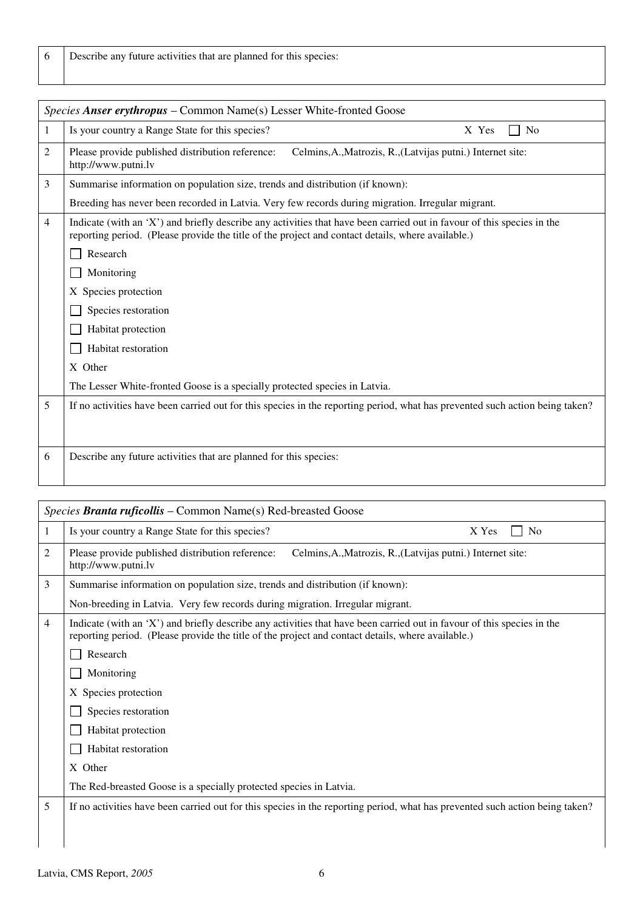| Describe any future activities that are planned for this species: |  |
|-------------------------------------------------------------------|--|
|                                                                   |  |

|                | Species Anser erythropus – Common Name(s) Lesser White-fronted Goose                                                                                                                                                        |
|----------------|-----------------------------------------------------------------------------------------------------------------------------------------------------------------------------------------------------------------------------|
| 1              | Is your country a Range State for this species?<br>X Yes<br>N <sub>0</sub>                                                                                                                                                  |
| 2              | Please provide published distribution reference:<br>Celmins, A., Matrozis, R., (Latvijas putni.) Internet site:<br>http://www.putni.lv                                                                                      |
| 3              | Summarise information on population size, trends and distribution (if known):                                                                                                                                               |
|                | Breeding has never been recorded in Latvia. Very few records during migration. Irregular migrant.                                                                                                                           |
| $\overline{4}$ | Indicate (with an 'X') and briefly describe any activities that have been carried out in favour of this species in the<br>reporting period. (Please provide the title of the project and contact details, where available.) |
|                | Research                                                                                                                                                                                                                    |
|                | Monitoring                                                                                                                                                                                                                  |
|                | X Species protection                                                                                                                                                                                                        |
|                | Species restoration                                                                                                                                                                                                         |
|                | Habitat protection                                                                                                                                                                                                          |
|                | Habitat restoration                                                                                                                                                                                                         |
|                | X Other                                                                                                                                                                                                                     |
|                | The Lesser White-fronted Goose is a specially protected species in Latvia.                                                                                                                                                  |
| 5              | If no activities have been carried out for this species in the reporting period, what has prevented such action being taken?                                                                                                |
|                |                                                                                                                                                                                                                             |
| 6              | Describe any future activities that are planned for this species:                                                                                                                                                           |
|                |                                                                                                                                                                                                                             |

|   | <i>Species Branta ruficollis –</i> Common Name(s) Red-breasted Goose                                                                                                                                                        |
|---|-----------------------------------------------------------------------------------------------------------------------------------------------------------------------------------------------------------------------------|
| 1 | Is your country a Range State for this species?<br>X Yes<br>N <sub>0</sub>                                                                                                                                                  |
| 2 | Celmins, A., Matrozis, R., (Latvijas putni.) Internet site:<br>Please provide published distribution reference:<br>http://www.putni.lv                                                                                      |
| 3 | Summarise information on population size, trends and distribution (if known):                                                                                                                                               |
|   | Non-breeding in Latvia. Very few records during migration. Irregular migrant.                                                                                                                                               |
| 4 | Indicate (with an 'X') and briefly describe any activities that have been carried out in favour of this species in the<br>reporting period. (Please provide the title of the project and contact details, where available.) |
|   | Research                                                                                                                                                                                                                    |
|   | Monitoring                                                                                                                                                                                                                  |
|   | X Species protection                                                                                                                                                                                                        |
|   | Species restoration                                                                                                                                                                                                         |
|   | Habitat protection                                                                                                                                                                                                          |
|   | Habitat restoration                                                                                                                                                                                                         |
|   | X Other                                                                                                                                                                                                                     |
|   | The Red-breasted Goose is a specially protected species in Latvia.                                                                                                                                                          |
| 5 | If no activities have been carried out for this species in the reporting period, what has prevented such action being taken?                                                                                                |
|   |                                                                                                                                                                                                                             |
|   |                                                                                                                                                                                                                             |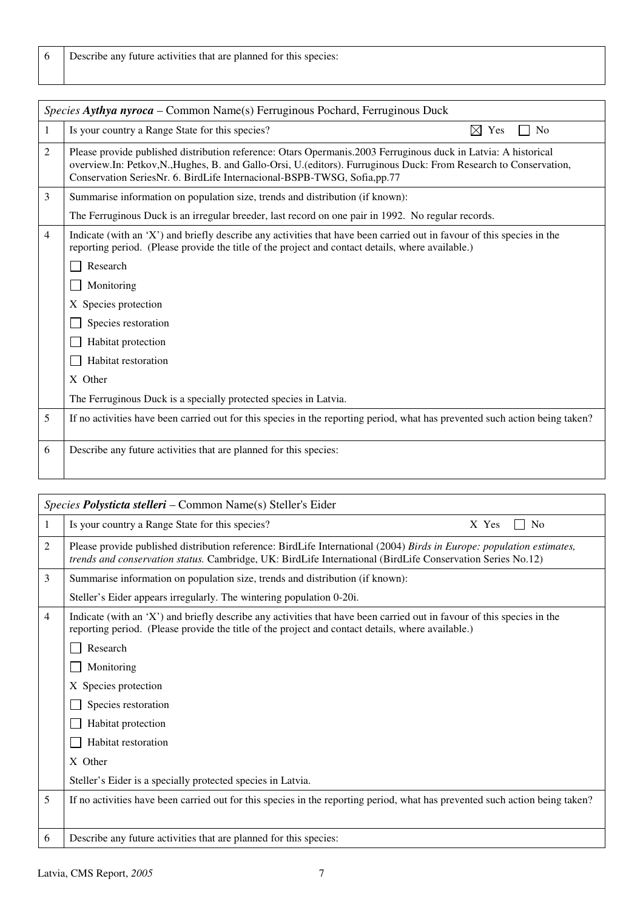| Describe any future activities that are planned for this species: |  |
|-------------------------------------------------------------------|--|
|-------------------------------------------------------------------|--|

|   | Species Aythya nyroca - Common Name(s) Ferruginous Pochard, Ferruginous Duck                                                                                                                                                                                                                                 |
|---|--------------------------------------------------------------------------------------------------------------------------------------------------------------------------------------------------------------------------------------------------------------------------------------------------------------|
| 1 | $\boxtimes$ Yes<br>Is your country a Range State for this species?<br>N <sub>0</sub>                                                                                                                                                                                                                         |
| 2 | Please provide published distribution reference: Otars Opermanis.2003 Ferruginous duck in Latvia: A historical<br>overview.In: Petkov,N.,Hughes, B. and Gallo-Orsi, U.(editors). Furruginous Duck: From Research to Conservation,<br>Conservation SeriesNr. 6. BirdLife Internacional-BSPB-TWSG, Sofia,pp.77 |
| 3 | Summarise information on population size, trends and distribution (if known):                                                                                                                                                                                                                                |
|   | The Ferruginous Duck is an irregular breeder, last record on one pair in 1992. No regular records.                                                                                                                                                                                                           |
| 4 | Indicate (with an 'X') and briefly describe any activities that have been carried out in favour of this species in the<br>reporting period. (Please provide the title of the project and contact details, where available.)                                                                                  |
|   | Research                                                                                                                                                                                                                                                                                                     |
|   | Monitoring                                                                                                                                                                                                                                                                                                   |
|   | X Species protection                                                                                                                                                                                                                                                                                         |
|   | Species restoration                                                                                                                                                                                                                                                                                          |
|   | Habitat protection                                                                                                                                                                                                                                                                                           |
|   | Habitat restoration                                                                                                                                                                                                                                                                                          |
|   | X Other                                                                                                                                                                                                                                                                                                      |
|   | The Ferruginous Duck is a specially protected species in Latvia.                                                                                                                                                                                                                                             |
| 5 | If no activities have been carried out for this species in the reporting period, what has prevented such action being taken?                                                                                                                                                                                 |
| 6 | Describe any future activities that are planned for this species:                                                                                                                                                                                                                                            |

|   | Species Polysticta stelleri - Common Name(s) Steller's Eider                                                                                                                                                                        |
|---|-------------------------------------------------------------------------------------------------------------------------------------------------------------------------------------------------------------------------------------|
|   | Is your country a Range State for this species?<br>X Yes<br>N <sub>0</sub>                                                                                                                                                          |
| 2 | Please provide published distribution reference: BirdLife International (2004) Birds in Europe: population estimates,<br>trends and conservation status. Cambridge, UK: BirdLife International (BirdLife Conservation Series No.12) |
| 3 | Summarise information on population size, trends and distribution (if known):                                                                                                                                                       |
|   | Steller's Eider appears irregularly. The wintering population 0-20i.                                                                                                                                                                |
| 4 | Indicate (with an 'X') and briefly describe any activities that have been carried out in favour of this species in the<br>reporting period. (Please provide the title of the project and contact details, where available.)         |
|   | Research                                                                                                                                                                                                                            |
|   | Monitoring                                                                                                                                                                                                                          |
|   | X Species protection                                                                                                                                                                                                                |
|   | Species restoration                                                                                                                                                                                                                 |
|   | Habitat protection                                                                                                                                                                                                                  |
|   | Habitat restoration                                                                                                                                                                                                                 |
|   | X Other                                                                                                                                                                                                                             |
|   | Steller's Eider is a specially protected species in Latvia.                                                                                                                                                                         |
| 5 | If no activities have been carried out for this species in the reporting period, what has prevented such action being taken?                                                                                                        |
| 6 | Describe any future activities that are planned for this species:                                                                                                                                                                   |
|   |                                                                                                                                                                                                                                     |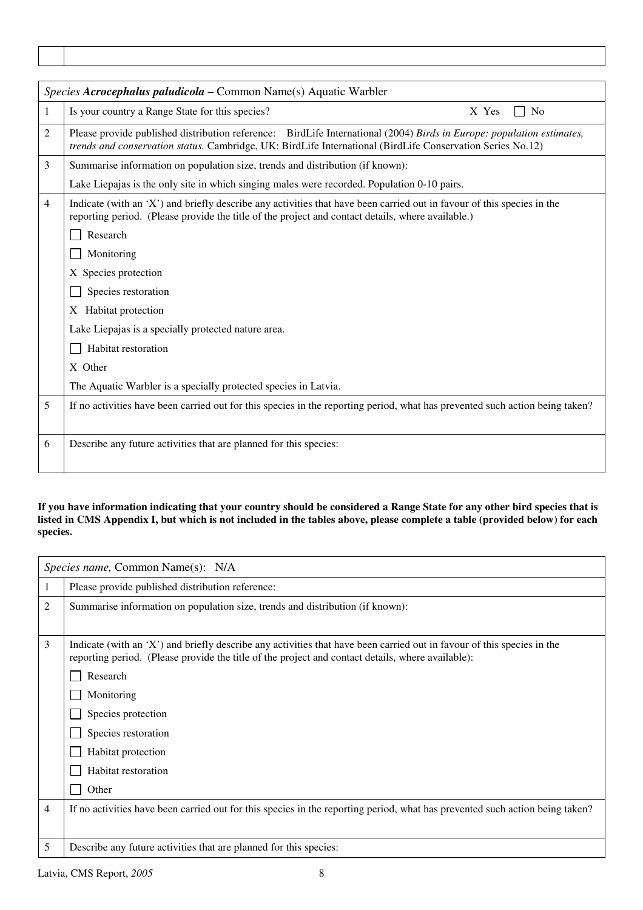|   | Species Acrocephalus paludicola - Common Name(s) Aquatic Warbler                                                                                                                                                                    |  |  |
|---|-------------------------------------------------------------------------------------------------------------------------------------------------------------------------------------------------------------------------------------|--|--|
| 1 | Is your country a Range State for this species?<br>X Yes<br>N <sub>0</sub>                                                                                                                                                          |  |  |
| 2 | Please provide published distribution reference: BirdLife International (2004) Birds in Europe: population estimates,<br>trends and conservation status. Cambridge, UK: BirdLife International (BirdLife Conservation Series No.12) |  |  |
| 3 | Summarise information on population size, trends and distribution (if known):                                                                                                                                                       |  |  |
|   | Lake Liepajas is the only site in which singing males were recorded. Population 0-10 pairs.                                                                                                                                         |  |  |
| 4 | Indicate (with an 'X') and briefly describe any activities that have been carried out in favour of this species in the<br>reporting period. (Please provide the title of the project and contact details, where available.)         |  |  |
|   | Research                                                                                                                                                                                                                            |  |  |
|   | Monitoring                                                                                                                                                                                                                          |  |  |
|   | X Species protection                                                                                                                                                                                                                |  |  |
|   | Species restoration                                                                                                                                                                                                                 |  |  |
|   | X Habitat protection                                                                                                                                                                                                                |  |  |
|   | Lake Liepajas is a specially protected nature area.                                                                                                                                                                                 |  |  |
|   | Habitat restoration                                                                                                                                                                                                                 |  |  |
|   | X Other                                                                                                                                                                                                                             |  |  |
|   | The Aquatic Warbler is a specially protected species in Latvia.                                                                                                                                                                     |  |  |
| 5 | If no activities have been carried out for this species in the reporting period, what has prevented such action being taken?                                                                                                        |  |  |
| 6 | Describe any future activities that are planned for this species:                                                                                                                                                                   |  |  |

#### **If you have information indicating that your country should be considered a Range State for any other bird species that is listed in CMS Appendix I, but which is not included in the tables above, please complete a table (provided below) for each species.**

|   | <i>Species name, Common Name(s): N/A</i>                                                                                     |
|---|------------------------------------------------------------------------------------------------------------------------------|
|   | Please provide published distribution reference:                                                                             |
| 2 | Summarise information on population size, trends and distribution (if known):                                                |
| 3 | Indicate (with an 'X') and briefly describe any activities that have been carried out in favour of this species in the       |
|   | reporting period. (Please provide the title of the project and contact details, where available):                            |
|   | Research                                                                                                                     |
|   | Monitoring                                                                                                                   |
|   | Species protection                                                                                                           |
|   | Species restoration                                                                                                          |
|   | Habitat protection                                                                                                           |
|   | Habitat restoration                                                                                                          |
|   | Other                                                                                                                        |
| 4 | If no activities have been carried out for this species in the reporting period, what has prevented such action being taken? |
|   |                                                                                                                              |
| 5 | Describe any future activities that are planned for this species:                                                            |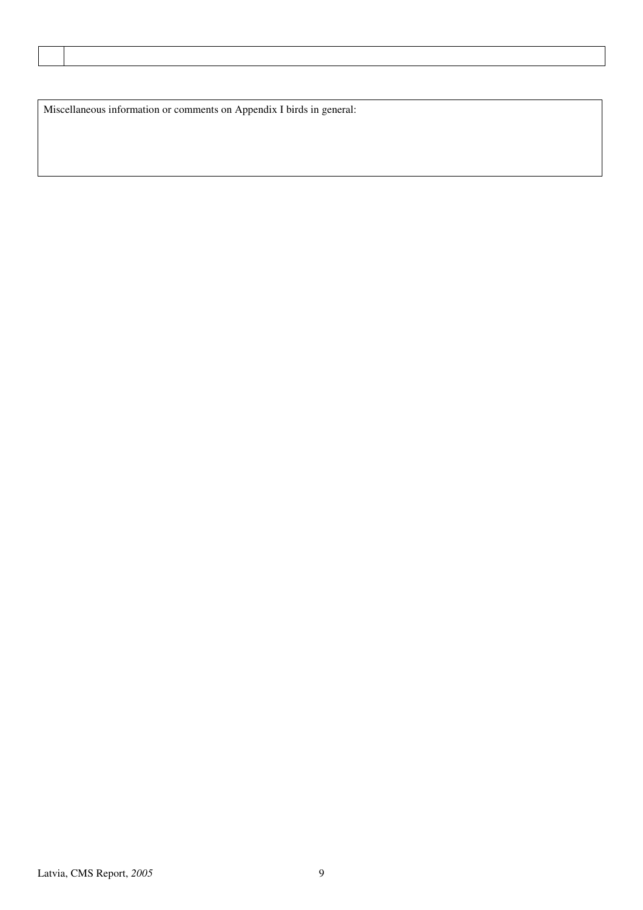Miscellaneous information or comments on Appendix I birds in general: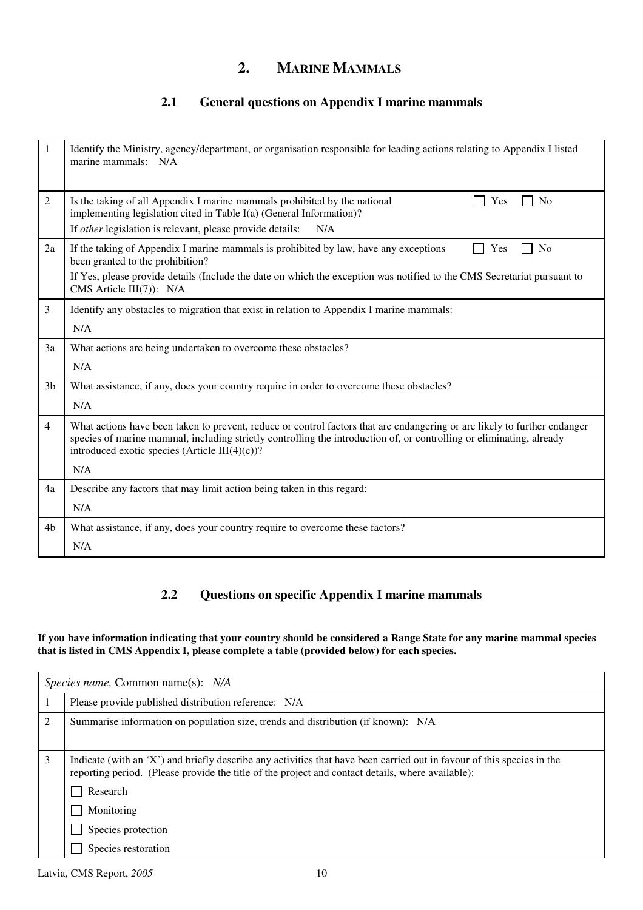## **2. MARINE MAMMALS**

### **2.1 General questions on Appendix I marine mammals**

| 1              | Identify the Ministry, agency/department, or organisation responsible for leading actions relating to Appendix I listed<br>marine mammals: N/A                                                                                                                                                          |
|----------------|---------------------------------------------------------------------------------------------------------------------------------------------------------------------------------------------------------------------------------------------------------------------------------------------------------|
| 2              | Is the taking of all Appendix I marine mammals prohibited by the national<br>No<br>Yes<br>implementing legislation cited in Table I(a) (General Information)?                                                                                                                                           |
|                | If other legislation is relevant, please provide details:<br>N/A                                                                                                                                                                                                                                        |
| 2a             | If the taking of Appendix I marine mammals is prohibited by law, have any exceptions<br>N <sub>o</sub><br>Yes<br>been granted to the prohibition?                                                                                                                                                       |
|                | If Yes, please provide details (Include the date on which the exception was notified to the CMS Secretariat pursuant to<br>CMS Article III(7)): N/A                                                                                                                                                     |
| 3              | Identify any obstacles to migration that exist in relation to Appendix I marine mammals:                                                                                                                                                                                                                |
|                | N/A                                                                                                                                                                                                                                                                                                     |
| 3a             | What actions are being undertaken to overcome these obstacles?                                                                                                                                                                                                                                          |
|                | N/A                                                                                                                                                                                                                                                                                                     |
| 3 <sub>b</sub> | What assistance, if any, does your country require in order to overcome these obstacles?<br>N/A                                                                                                                                                                                                         |
|                |                                                                                                                                                                                                                                                                                                         |
| $\overline{4}$ | What actions have been taken to prevent, reduce or control factors that are endangering or are likely to further endanger<br>species of marine mammal, including strictly controlling the introduction of, or controlling or eliminating, already<br>introduced exotic species (Article III $(4)(c)$ )? |
|                | N/A                                                                                                                                                                                                                                                                                                     |
| 4a             | Describe any factors that may limit action being taken in this regard:                                                                                                                                                                                                                                  |
|                | N/A                                                                                                                                                                                                                                                                                                     |
| 4b             | What assistance, if any, does your country require to overcome these factors?                                                                                                                                                                                                                           |
|                | N/A                                                                                                                                                                                                                                                                                                     |

### **2.2 Questions on specific Appendix I marine mammals**

#### **If you have information indicating that your country should be considered a Range State for any marine mammal species that is listed in CMS Appendix I, please complete a table (provided below) for each species.**

| Species name, Common name(s): N/A |                                                                                                                                                                                                                                         |  |
|-----------------------------------|-----------------------------------------------------------------------------------------------------------------------------------------------------------------------------------------------------------------------------------------|--|
|                                   | Please provide published distribution reference: N/A                                                                                                                                                                                    |  |
| 2                                 | Summarise information on population size, trends and distribution (if known): N/A                                                                                                                                                       |  |
| 3                                 | Indicate (with an 'X') and briefly describe any activities that have been carried out in favour of this species in the<br>reporting period. (Please provide the title of the project and contact details, where available):<br>Research |  |
|                                   | Monitoring                                                                                                                                                                                                                              |  |
|                                   | Species protection                                                                                                                                                                                                                      |  |
|                                   | Species restoration                                                                                                                                                                                                                     |  |

Latvia, CMS Report,  $2005$  10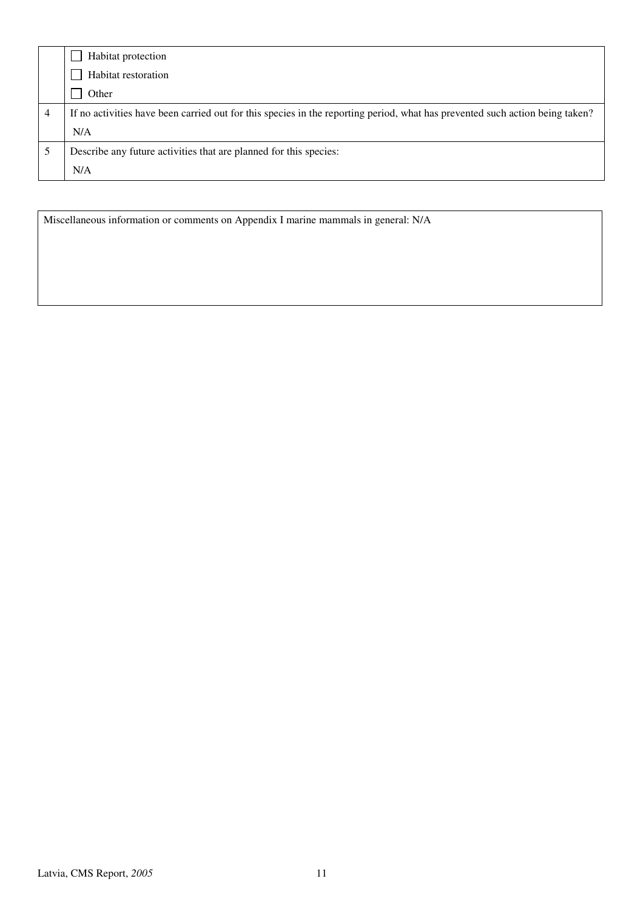| Habitat protection                                                                                                           |
|------------------------------------------------------------------------------------------------------------------------------|
| Habitat restoration                                                                                                          |
| Other                                                                                                                        |
| If no activities have been carried out for this species in the reporting period, what has prevented such action being taken? |
| N/A                                                                                                                          |
| Describe any future activities that are planned for this species:                                                            |
| N/A                                                                                                                          |

Miscellaneous information or comments on Appendix I marine mammals in general: N/A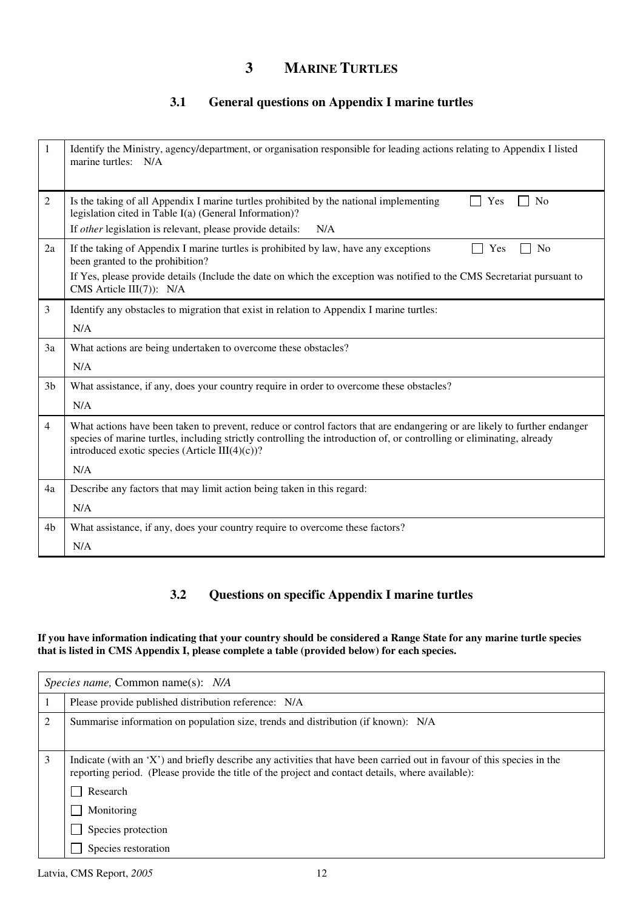## **3 MARINE TURTLES**

### **3.1 General questions on Appendix I marine turtles**

| 1              | Identify the Ministry, agency/department, or organisation responsible for leading actions relating to Appendix I listed<br>marine turtles: N/A                                                                                                                                                           |
|----------------|----------------------------------------------------------------------------------------------------------------------------------------------------------------------------------------------------------------------------------------------------------------------------------------------------------|
| $\overline{2}$ | Is the taking of all Appendix I marine turtles prohibited by the national implementing<br>N <sub>0</sub><br>Yes<br>legislation cited in Table I(a) (General Information)?                                                                                                                                |
|                | If other legislation is relevant, please provide details:<br>N/A                                                                                                                                                                                                                                         |
| 2a             | If the taking of Appendix I marine turtles is prohibited by law, have any exceptions<br><b>No</b><br>Yes<br>been granted to the prohibition?                                                                                                                                                             |
|                | If Yes, please provide details (Include the date on which the exception was notified to the CMS Secretariat pursuant to<br>CMS Article III(7)): N/A                                                                                                                                                      |
| 3              | Identify any obstacles to migration that exist in relation to Appendix I marine turtles:                                                                                                                                                                                                                 |
|                | N/A                                                                                                                                                                                                                                                                                                      |
| 3a             | What actions are being undertaken to overcome these obstacles?                                                                                                                                                                                                                                           |
|                | N/A                                                                                                                                                                                                                                                                                                      |
| 3 <sub>b</sub> | What assistance, if any, does your country require in order to overcome these obstacles?                                                                                                                                                                                                                 |
|                | N/A                                                                                                                                                                                                                                                                                                      |
| $\overline{4}$ | What actions have been taken to prevent, reduce or control factors that are endangering or are likely to further endanger<br>species of marine turtles, including strictly controlling the introduction of, or controlling or eliminating, already<br>introduced exotic species (Article III $(4)(c)$ )? |
|                | N/A                                                                                                                                                                                                                                                                                                      |
| 4a             | Describe any factors that may limit action being taken in this regard:                                                                                                                                                                                                                                   |
|                | N/A                                                                                                                                                                                                                                                                                                      |
| 4b             | What assistance, if any, does your country require to overcome these factors?                                                                                                                                                                                                                            |
|                | N/A                                                                                                                                                                                                                                                                                                      |

### **3.2 Questions on specific Appendix I marine turtles**

#### **If you have information indicating that your country should be considered a Range State for any marine turtle species that is listed in CMS Appendix I, please complete a table (provided below) for each species.**

|   | Species name, Common name(s): N/A                                                                                                                                                                                                       |  |
|---|-----------------------------------------------------------------------------------------------------------------------------------------------------------------------------------------------------------------------------------------|--|
|   | Please provide published distribution reference: N/A                                                                                                                                                                                    |  |
| 2 | Summarise information on population size, trends and distribution (if known): N/A                                                                                                                                                       |  |
| 3 | Indicate (with an 'X') and briefly describe any activities that have been carried out in favour of this species in the<br>reporting period. (Please provide the title of the project and contact details, where available):<br>Research |  |
|   | Monitoring                                                                                                                                                                                                                              |  |
|   | Species protection                                                                                                                                                                                                                      |  |
|   | Species restoration                                                                                                                                                                                                                     |  |

Latvia, CMS Report, *2005* 12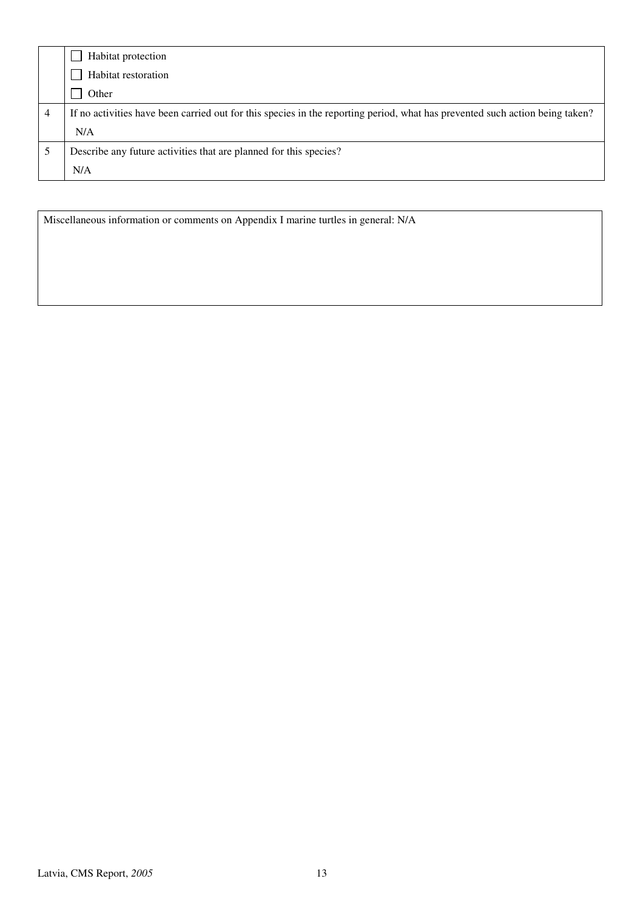| Habitat protection                                                                                                           |
|------------------------------------------------------------------------------------------------------------------------------|
| Habitat restoration                                                                                                          |
| Other                                                                                                                        |
| If no activities have been carried out for this species in the reporting period, what has prevented such action being taken? |
| N/A                                                                                                                          |
| Describe any future activities that are planned for this species?                                                            |
| N/A                                                                                                                          |

Miscellaneous information or comments on Appendix I marine turtles in general: N/A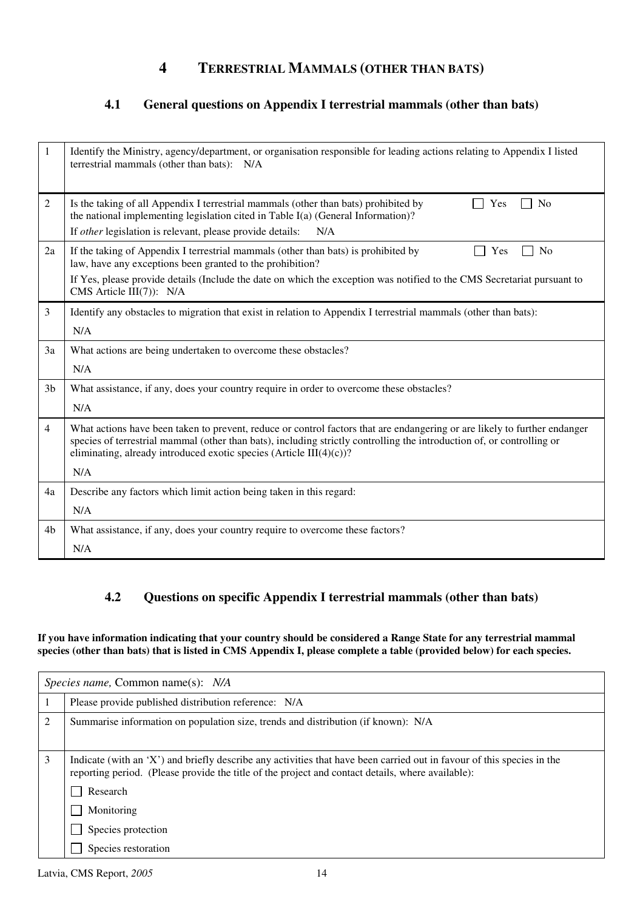## **4 TERRESTRIAL MAMMALS (OTHER THAN BATS)**

### **4.1 General questions on Appendix I terrestrial mammals (other than bats)**

| 1              | Identify the Ministry, agency/department, or organisation responsible for leading actions relating to Appendix I listed<br>terrestrial mammals (other than bats): N/A                                                                                                                                                      |
|----------------|----------------------------------------------------------------------------------------------------------------------------------------------------------------------------------------------------------------------------------------------------------------------------------------------------------------------------|
| $\overline{2}$ | Is the taking of all Appendix I terrestrial mammals (other than bats) prohibited by<br>N <sub>0</sub><br>Yes<br>$\blacksquare$<br>the national implementing legislation cited in Table I(a) (General Information)?                                                                                                         |
|                | If other legislation is relevant, please provide details:<br>N/A                                                                                                                                                                                                                                                           |
| 2a             | If the taking of Appendix I terrestrial mammals (other than bats) is prohibited by<br><b>No</b><br>Yes<br>law, have any exceptions been granted to the prohibition?                                                                                                                                                        |
|                | If Yes, please provide details (Include the date on which the exception was notified to the CMS Secretariat pursuant to<br>CMS Article III(7)): N/A                                                                                                                                                                        |
| 3              | Identify any obstacles to migration that exist in relation to Appendix I terrestrial mammals (other than bats):                                                                                                                                                                                                            |
|                | N/A                                                                                                                                                                                                                                                                                                                        |
| 3a             | What actions are being undertaken to overcome these obstacles?                                                                                                                                                                                                                                                             |
|                | N/A                                                                                                                                                                                                                                                                                                                        |
| 3 <sub>b</sub> | What assistance, if any, does your country require in order to overcome these obstacles?                                                                                                                                                                                                                                   |
|                | N/A                                                                                                                                                                                                                                                                                                                        |
| $\overline{4}$ | What actions have been taken to prevent, reduce or control factors that are endangering or are likely to further endanger<br>species of terrestrial mammal (other than bats), including strictly controlling the introduction of, or controlling or<br>eliminating, already introduced exotic species (Article III(4)(c))? |
|                | N/A                                                                                                                                                                                                                                                                                                                        |
| 4a             | Describe any factors which limit action being taken in this regard:                                                                                                                                                                                                                                                        |
|                | N/A                                                                                                                                                                                                                                                                                                                        |
| 4b             | What assistance, if any, does your country require to overcome these factors?                                                                                                                                                                                                                                              |
|                | N/A                                                                                                                                                                                                                                                                                                                        |

### **4.2 Questions on specific Appendix I terrestrial mammals (other than bats)**

**If you have information indicating that your country should be considered a Range State for any terrestrial mammal species (other than bats) that is listed in CMS Appendix I, please complete a table (provided below) for each species.**

| <i>Species name,</i> Common name(s): <i>N/A</i> |                                                                                                                                                                                                                             |
|-------------------------------------------------|-----------------------------------------------------------------------------------------------------------------------------------------------------------------------------------------------------------------------------|
|                                                 | Please provide published distribution reference: N/A                                                                                                                                                                        |
| $\overline{2}$                                  | Summarise information on population size, trends and distribution (if known): N/A                                                                                                                                           |
| 3                                               | Indicate (with an 'X') and briefly describe any activities that have been carried out in favour of this species in the<br>reporting period. (Please provide the title of the project and contact details, where available): |
|                                                 | Research                                                                                                                                                                                                                    |
|                                                 | Monitoring                                                                                                                                                                                                                  |
|                                                 | Species protection                                                                                                                                                                                                          |
|                                                 | Species restoration                                                                                                                                                                                                         |

Latvia, CMS Report, 2005 14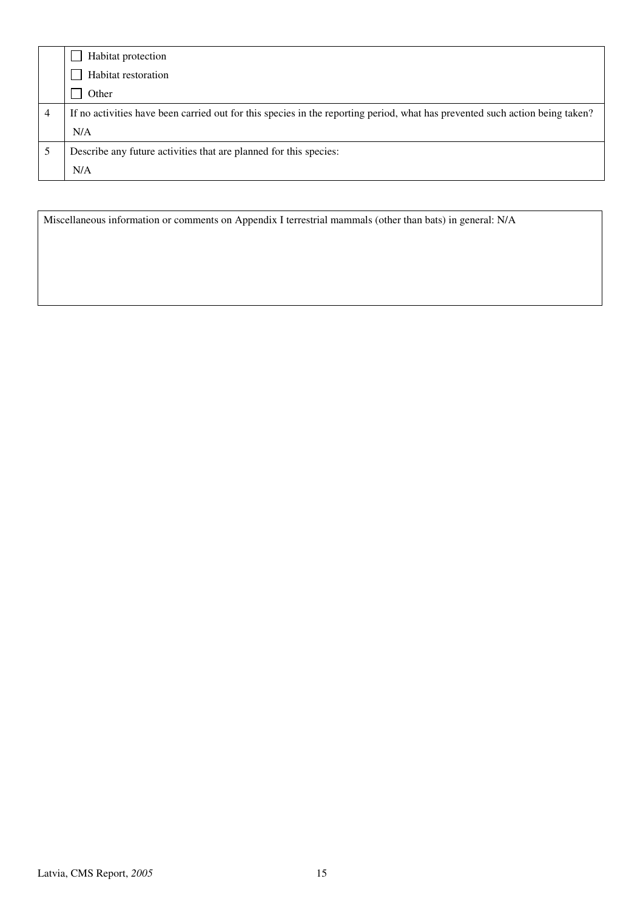| Habitat protection                                                                                                           |
|------------------------------------------------------------------------------------------------------------------------------|
| Habitat restoration                                                                                                          |
| Other                                                                                                                        |
| If no activities have been carried out for this species in the reporting period, what has prevented such action being taken? |
| N/A                                                                                                                          |
| Describe any future activities that are planned for this species:                                                            |
| N/A                                                                                                                          |

Miscellaneous information or comments on Appendix I terrestrial mammals (other than bats) in general: N/A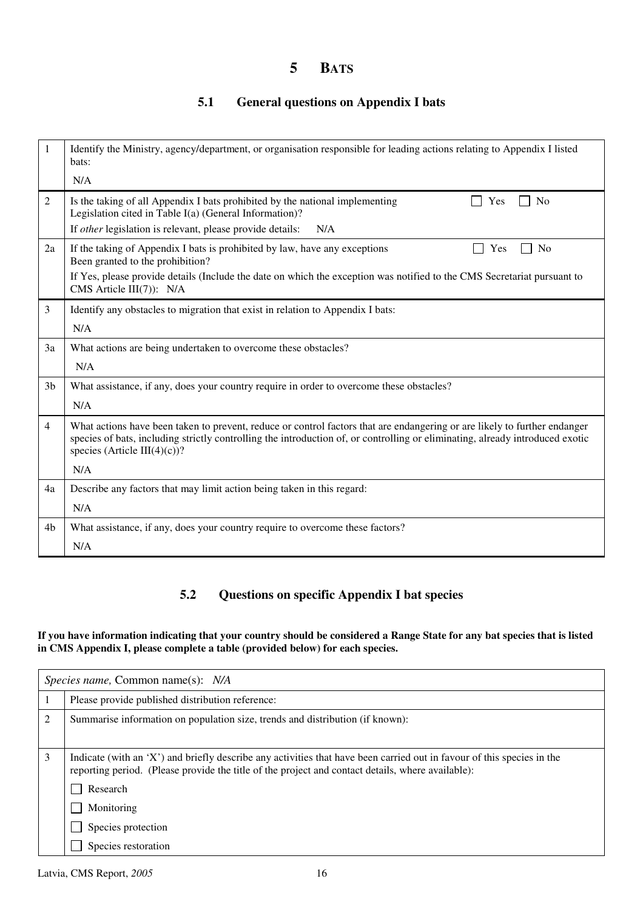## **5 BATS**

### **5.1 General questions on Appendix I bats**

| 1              | Identify the Ministry, agency/department, or organisation responsible for leading actions relating to Appendix I listed<br>bats:<br>N/A                                                                                                                                                    |
|----------------|--------------------------------------------------------------------------------------------------------------------------------------------------------------------------------------------------------------------------------------------------------------------------------------------|
|                |                                                                                                                                                                                                                                                                                            |
| 2              | Is the taking of all Appendix I bats prohibited by the national implementing<br>No<br>Yes<br>Legislation cited in Table I(a) (General Information)?                                                                                                                                        |
|                | If <i>other</i> legislation is relevant, please provide details:<br>N/A                                                                                                                                                                                                                    |
| 2a             | If the taking of Appendix I bats is prohibited by law, have any exceptions<br>N <sub>0</sub><br>Yes<br>Been granted to the prohibition?                                                                                                                                                    |
|                | If Yes, please provide details (Include the date on which the exception was notified to the CMS Secretariat pursuant to<br>CMS Article III(7)): N/A                                                                                                                                        |
| 3              | Identify any obstacles to migration that exist in relation to Appendix I bats:                                                                                                                                                                                                             |
|                | N/A                                                                                                                                                                                                                                                                                        |
| 3a             | What actions are being undertaken to overcome these obstacles?                                                                                                                                                                                                                             |
|                | N/A                                                                                                                                                                                                                                                                                        |
| 3 <sub>b</sub> | What assistance, if any, does your country require in order to overcome these obstacles?                                                                                                                                                                                                   |
|                | N/A                                                                                                                                                                                                                                                                                        |
| 4              | What actions have been taken to prevent, reduce or control factors that are endangering or are likely to further endanger<br>species of bats, including strictly controlling the introduction of, or controlling or eliminating, already introduced exotic<br>species (Article III(4)(c))? |
|                | N/A                                                                                                                                                                                                                                                                                        |
| 4a             | Describe any factors that may limit action being taken in this regard:                                                                                                                                                                                                                     |
|                | N/A                                                                                                                                                                                                                                                                                        |
| 4b             | What assistance, if any, does your country require to overcome these factors?                                                                                                                                                                                                              |
|                | N/A                                                                                                                                                                                                                                                                                        |

### **5.2 Questions on specific Appendix I bat species**

#### **If you have information indicating that your country should be considered a Range State for any bat species that is listed in CMS Appendix I, please complete a table (provided below) for each species.**

| <i>Species name,</i> Common name(s): <i>N/A</i> |                                                                                                                                                                                                                             |  |  |
|-------------------------------------------------|-----------------------------------------------------------------------------------------------------------------------------------------------------------------------------------------------------------------------------|--|--|
|                                                 | Please provide published distribution reference:                                                                                                                                                                            |  |  |
| $\overline{2}$                                  | Summarise information on population size, trends and distribution (if known):                                                                                                                                               |  |  |
| 3                                               | Indicate (with an 'X') and briefly describe any activities that have been carried out in favour of this species in the<br>reporting period. (Please provide the title of the project and contact details, where available): |  |  |
|                                                 | Research                                                                                                                                                                                                                    |  |  |
|                                                 | Monitoring                                                                                                                                                                                                                  |  |  |
|                                                 | Species protection                                                                                                                                                                                                          |  |  |
|                                                 | Species restoration                                                                                                                                                                                                         |  |  |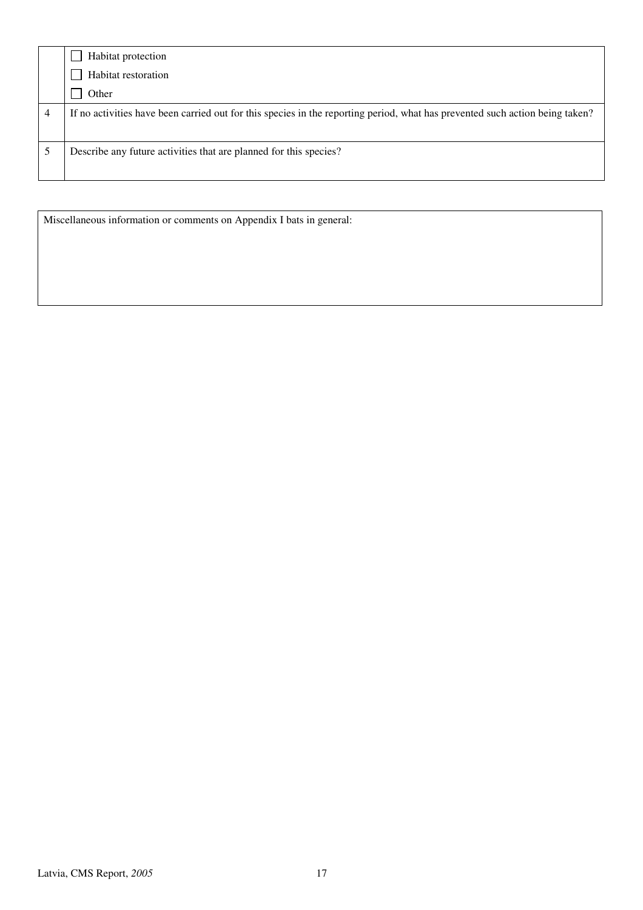|   | Habitat protection                                                                                                           |
|---|------------------------------------------------------------------------------------------------------------------------------|
|   | Habitat restoration                                                                                                          |
|   | Other                                                                                                                        |
| 4 | If no activities have been carried out for this species in the reporting period, what has prevented such action being taken? |
|   | Describe any future activities that are planned for this species?                                                            |

Miscellaneous information or comments on Appendix I bats in general: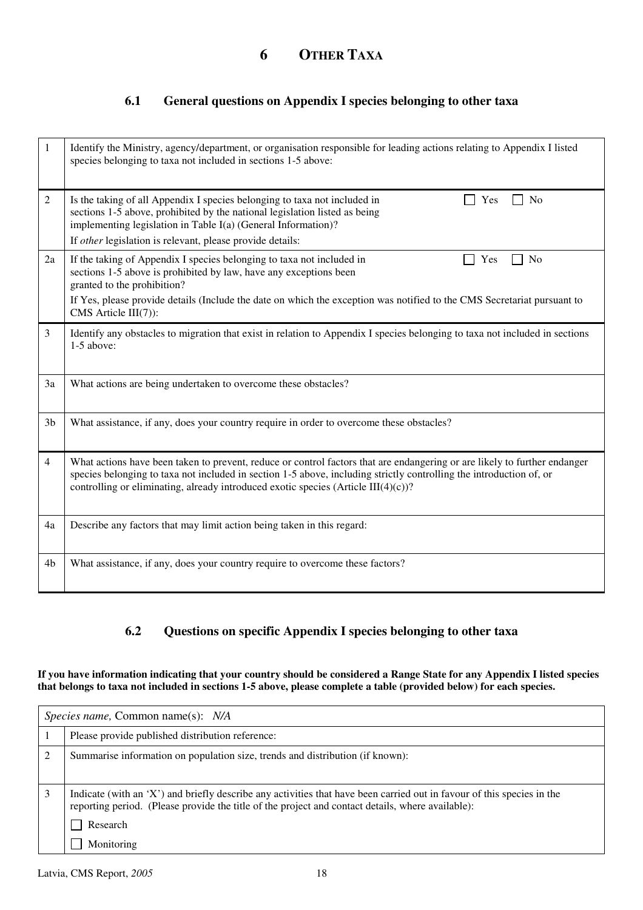### **6.1 General questions on Appendix I species belonging to other taxa**

| 1              | Identify the Ministry, agency/department, or organisation responsible for leading actions relating to Appendix I listed<br>species belonging to taxa not included in sections 1-5 above:                                                                                                                                               |
|----------------|----------------------------------------------------------------------------------------------------------------------------------------------------------------------------------------------------------------------------------------------------------------------------------------------------------------------------------------|
| 2              | Is the taking of all Appendix I species belonging to taxa not included in<br>Yes<br>No<br>sections 1-5 above, prohibited by the national legislation listed as being<br>implementing legislation in Table I(a) (General Information)?                                                                                                  |
|                | If other legislation is relevant, please provide details:                                                                                                                                                                                                                                                                              |
| 2a             | If the taking of Appendix I species belonging to taxa not included in<br>Yes<br>N <sub>0</sub><br>sections 1-5 above is prohibited by law, have any exceptions been<br>granted to the prohibition?                                                                                                                                     |
|                | If Yes, please provide details (Include the date on which the exception was notified to the CMS Secretariat pursuant to<br>CMS Article III(7)):                                                                                                                                                                                        |
| 3              | Identify any obstacles to migration that exist in relation to Appendix I species belonging to taxa not included in sections<br>1-5 above:                                                                                                                                                                                              |
| 3a             | What actions are being undertaken to overcome these obstacles?                                                                                                                                                                                                                                                                         |
| 3 <sub>b</sub> | What assistance, if any, does your country require in order to overcome these obstacles?                                                                                                                                                                                                                                               |
| $\overline{4}$ | What actions have been taken to prevent, reduce or control factors that are endangering or are likely to further endanger<br>species belonging to taxa not included in section 1-5 above, including strictly controlling the introduction of, or<br>controlling or eliminating, already introduced exotic species (Article III(4)(c))? |
| 4a             | Describe any factors that may limit action being taken in this regard:                                                                                                                                                                                                                                                                 |
| 4 <sub>b</sub> | What assistance, if any, does your country require to overcome these factors?                                                                                                                                                                                                                                                          |

### **6.2 Questions on specific Appendix I species belonging to other taxa**

**If you have information indicating that your country should be considered a Range State for any Appendix I listed species that belongs to taxa not included in sections 1-5 above, please complete a table (provided below) for each species.** 

| Species name, Common name(s): N/A |                                                                                                                                                                                                                                         |  |
|-----------------------------------|-----------------------------------------------------------------------------------------------------------------------------------------------------------------------------------------------------------------------------------------|--|
|                                   | Please provide published distribution reference:                                                                                                                                                                                        |  |
| $\overline{c}$                    | Summarise information on population size, trends and distribution (if known):                                                                                                                                                           |  |
|                                   | Indicate (with an 'X') and briefly describe any activities that have been carried out in favour of this species in the<br>reporting period. (Please provide the title of the project and contact details, where available):<br>Research |  |
|                                   | Monitoring                                                                                                                                                                                                                              |  |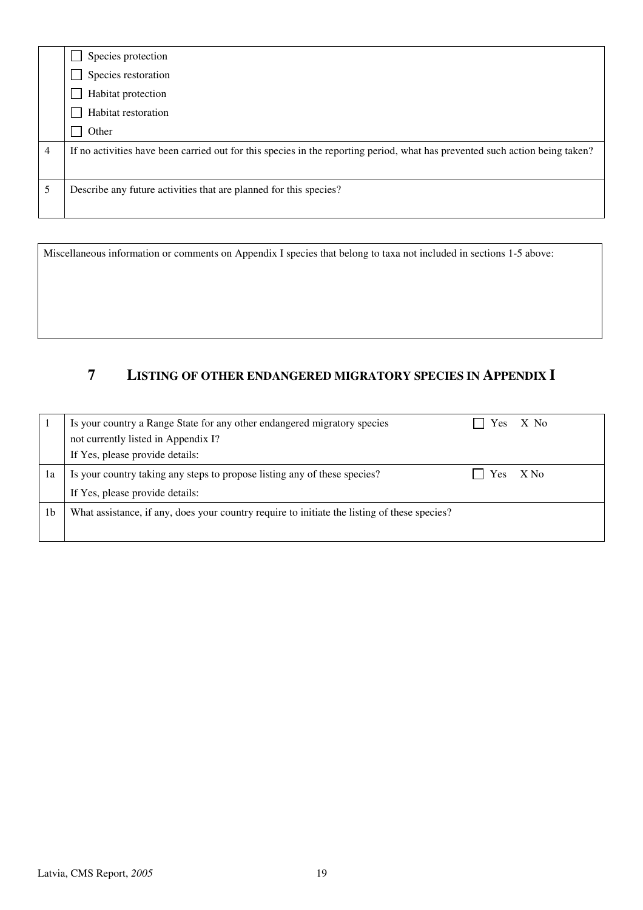|   | Species protection                                                                                                           |
|---|------------------------------------------------------------------------------------------------------------------------------|
|   | Species restoration                                                                                                          |
|   | Habitat protection                                                                                                           |
|   | Habitat restoration                                                                                                          |
|   | Other                                                                                                                        |
| 4 | If no activities have been carried out for this species in the reporting period, what has prevented such action being taken? |
|   |                                                                                                                              |
| 5 | Describe any future activities that are planned for this species?                                                            |
|   |                                                                                                                              |

Miscellaneous information or comments on Appendix I species that belong to taxa not included in sections 1-5 above:

## **7 LISTING OF OTHER ENDANGERED MIGRATORY SPECIES IN APPENDIX I**

|    | Is your country a Range State for any other endangered migratory species                     | Yes.       | X No   |
|----|----------------------------------------------------------------------------------------------|------------|--------|
|    | not currently listed in Appendix I?                                                          |            |        |
|    | If Yes, please provide details:                                                              |            |        |
| ıа | Is your country taking any steps to propose listing any of these species?                    | <b>Yes</b> | $X$ No |
|    | If Yes, please provide details:                                                              |            |        |
| 1b | What assistance, if any, does your country require to initiate the listing of these species? |            |        |
|    |                                                                                              |            |        |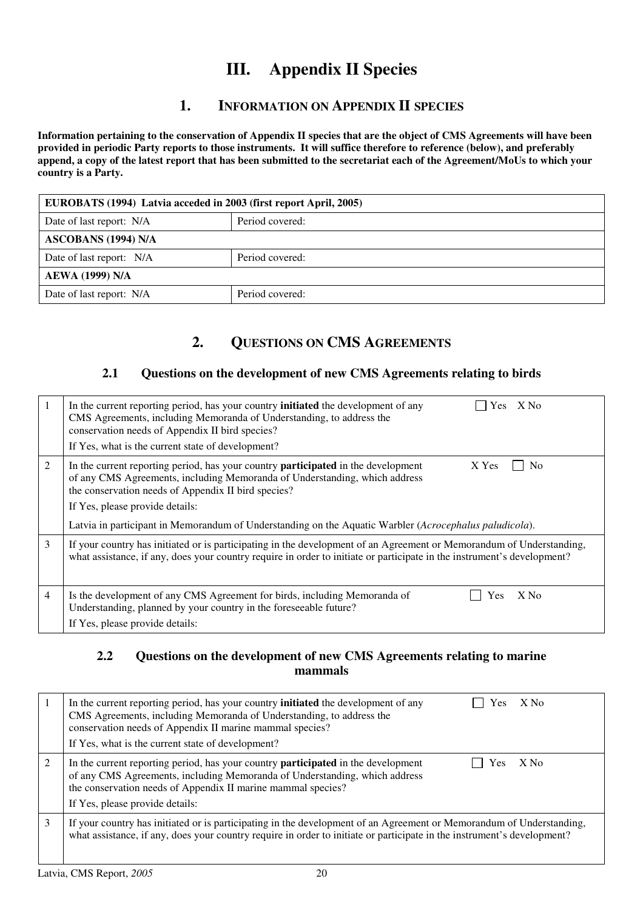# **III. Appendix II Species**

## **1. INFORMATION ON APPENDIX II SPECIES**

**Information pertaining to the conservation of Appendix II species that are the object of CMS Agreements will have been provided in periodic Party reports to those instruments. It will suffice therefore to reference (below), and preferably append, a copy of the latest report that has been submitted to the secretariat each of the Agreement/MoUs to which your country is a Party.** 

| EUROBATS (1994) Latvia acceded in 2003 (first report April, 2005) |                 |  |
|-------------------------------------------------------------------|-----------------|--|
| Date of last report: N/A                                          | Period covered: |  |
| <b>ASCOBANS (1994) N/A</b>                                        |                 |  |
| Date of last report: N/A                                          | Period covered: |  |
| <b>AEWA</b> (1999) N/A                                            |                 |  |
| Date of last report: N/A                                          | Period covered: |  |

## **2. QUESTIONS ON CMS AGREEMENTS**

### **2.1 Questions on the development of new CMS Agreements relating to birds**

| 1 | Yes X No<br>In the current reporting period, has your country <b>initiated</b> the development of any<br>CMS Agreements, including Memoranda of Understanding, to address the<br>conservation needs of Appendix II bird species?<br>If Yes, what is the current state of development?                                                                                                                 |
|---|-------------------------------------------------------------------------------------------------------------------------------------------------------------------------------------------------------------------------------------------------------------------------------------------------------------------------------------------------------------------------------------------------------|
| 2 | In the current reporting period, has your country <b>participated</b> in the development<br>X Yes<br>N <sub>o</sub><br>of any CMS Agreements, including Memoranda of Understanding, which address<br>the conservation needs of Appendix II bird species?<br>If Yes, please provide details:<br>Latvia in participant in Memorandum of Understanding on the Aquatic Warbler (Acrocephalus paludicola). |
| 3 | If your country has initiated or is participating in the development of an Agreement or Memorandum of Understanding,<br>what assistance, if any, does your country require in order to initiate or participate in the instrument's development?                                                                                                                                                       |
| 4 | Is the development of any CMS Agreement for birds, including Memoranda of<br>X No<br>Yes<br>Understanding, planned by your country in the foreseeable future?<br>If Yes, please provide details:                                                                                                                                                                                                      |

### **2.2 Questions on the development of new CMS Agreements relating to marine mammals**

|   | In the current reporting period, has your country <b>initiated</b> the development of any<br>$X$ No<br>es ⁄<br>CMS Agreements, including Memoranda of Understanding, to address the<br>conservation needs of Appendix II marine mammal species?<br>If Yes, what is the current state of development? |
|---|------------------------------------------------------------------------------------------------------------------------------------------------------------------------------------------------------------------------------------------------------------------------------------------------------|
|   | In the current reporting period, has your country <b>participated</b> in the development<br>X No<br>Y es<br>of any CMS Agreements, including Memoranda of Understanding, which address<br>the conservation needs of Appendix II marine mammal species?<br>If Yes, please provide details:            |
| 3 | If your country has initiated or is participating in the development of an Agreement or Memorandum of Understanding,<br>what assistance, if any, does your country require in order to initiate or participate in the instrument's development?                                                      |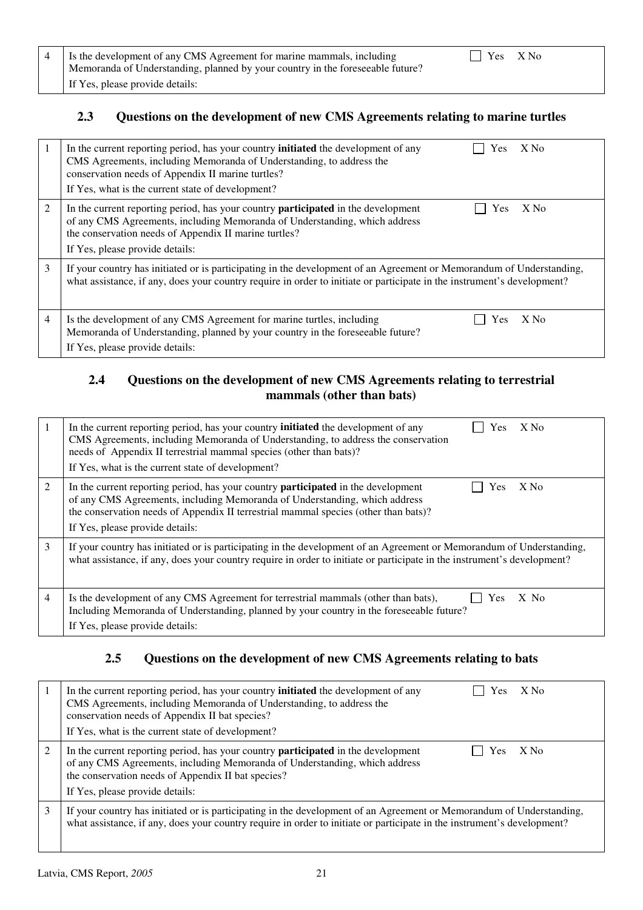| 4   Is the development of any CMS Agreement for marine mammals, including<br>Memoranda of Understanding, planned by your country in the foreseeable future? | $\bigcap$ Yes X No |  |
|-------------------------------------------------------------------------------------------------------------------------------------------------------------|--------------------|--|
| If Yes, please provide details:                                                                                                                             |                    |  |

### **2.3 Questions on the development of new CMS Agreements relating to marine turtles**

| $\perp$ | In the current reporting period, has your country <b>initiated</b> the development of any<br>$X$ No<br>Yes.<br>CMS Agreements, including Memoranda of Understanding, to address the<br>conservation needs of Appendix II marine turtles?<br>If Yes, what is the current state of development? |
|---------|-----------------------------------------------------------------------------------------------------------------------------------------------------------------------------------------------------------------------------------------------------------------------------------------------|
| 2       | In the current reporting period, has your country <b>participated</b> in the development<br>$X$ No<br>Yes.<br>of any CMS Agreements, including Memoranda of Understanding, which address<br>the conservation needs of Appendix II marine turtles?<br>If Yes, please provide details:          |
| 3       | If your country has initiated or is participating in the development of an Agreement or Memorandum of Understanding,<br>what assistance, if any, does your country require in order to initiate or participate in the instrument's development?                                               |
| 4       | Is the development of any CMS Agreement for marine turtles, including<br>X No<br><b>Yes</b><br>Memoranda of Understanding, planned by your country in the foreseeable future?<br>If Yes, please provide details:                                                                              |

### **2.4 Questions on the development of new CMS Agreements relating to terrestrial mammals (other than bats)**

|   | X No<br>In the current reporting period, has your country <b>initiated</b> the development of any<br><b>Yes</b><br>CMS Agreements, including Memoranda of Understanding, to address the conservation<br>needs of Appendix II terrestrial mammal species (other than bats)?<br>If Yes, what is the current state of development? |
|---|---------------------------------------------------------------------------------------------------------------------------------------------------------------------------------------------------------------------------------------------------------------------------------------------------------------------------------|
| 2 | In the current reporting period, has your country <b>participated</b> in the development<br>X No<br>Yes<br>of any CMS Agreements, including Memoranda of Understanding, which address<br>the conservation needs of Appendix II terrestrial mammal species (other than bats)?<br>If Yes, please provide details:                 |
| 3 | If your country has initiated or is participating in the development of an Agreement or Memorandum of Understanding,<br>what assistance, if any, does your country require in order to initiate or participate in the instrument's development?                                                                                 |
| 4 | Is the development of any CMS Agreement for terrestrial mammals (other than bats),<br>Yes<br>$X$ No<br>Including Memoranda of Understanding, planned by your country in the foreseeable future?<br>If Yes, please provide details:                                                                                              |

### **2.5 Questions on the development of new CMS Agreements relating to bats**

|   | In the current reporting period, has your country <b>initiated</b> the development of any<br>$X$ No<br>Yes<br>CMS Agreements, including Memoranda of Understanding, to address the<br>conservation needs of Appendix II bat species?<br>If Yes, what is the current state of development? |  |  |  |  |  |
|---|-------------------------------------------------------------------------------------------------------------------------------------------------------------------------------------------------------------------------------------------------------------------------------------------|--|--|--|--|--|
| 2 | In the current reporting period, has your country <b>participated</b> in the development<br>$X$ No<br>Yes.<br>of any CMS Agreements, including Memoranda of Understanding, which address<br>the conservation needs of Appendix II bat species?<br>If Yes, please provide details:         |  |  |  |  |  |
| 3 | If your country has initiated or is participating in the development of an Agreement or Memorandum of Understanding,<br>what assistance, if any, does your country require in order to initiate or participate in the instrument's development?                                           |  |  |  |  |  |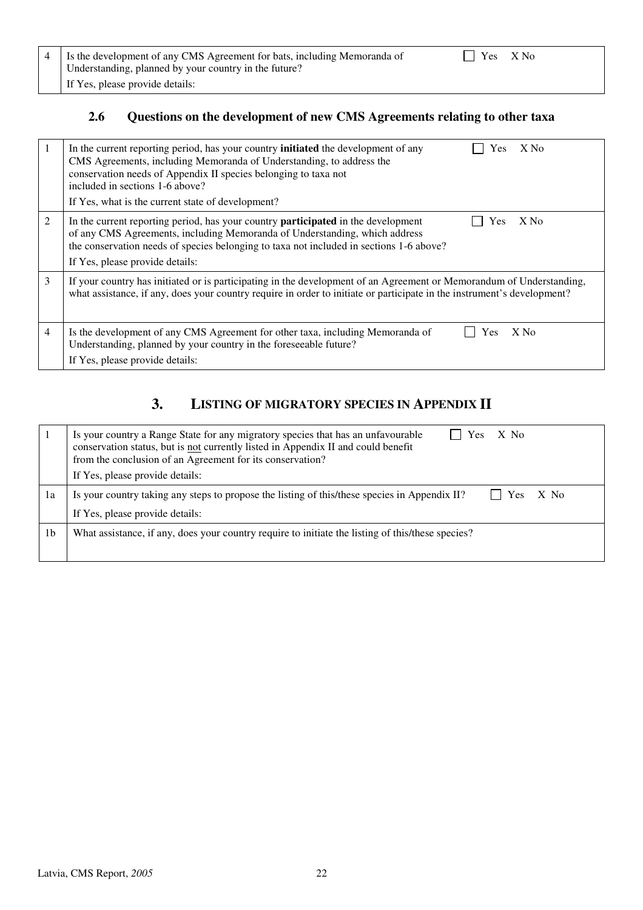| 4 I is the development of any CMS Agreement for bats, including Memoranda of |  |  |  |  |  |  |  |
|------------------------------------------------------------------------------|--|--|--|--|--|--|--|
| Understanding, planned by your country in the future?                        |  |  |  |  |  |  |  |
| If Yes, please provide details:                                              |  |  |  |  |  |  |  |

## **2.6 Questions on the development of new CMS Agreements relating to other taxa**

| 1 | In the current reporting period, has your country <b>initiated</b> the development of any<br>X No<br>Yes.<br>CMS Agreements, including Memoranda of Understanding, to address the<br>conservation needs of Appendix II species belonging to taxa not<br>included in sections 1-6 above?<br>If Yes, what is the current state of development? |
|---|----------------------------------------------------------------------------------------------------------------------------------------------------------------------------------------------------------------------------------------------------------------------------------------------------------------------------------------------|
| 2 | In the current reporting period, has your country <b>participated</b> in the development<br>$X$ No<br>Yes<br>of any CMS Agreements, including Memoranda of Understanding, which address<br>the conservation needs of species belonging to taxa not included in sections 1-6 above?<br>If Yes, please provide details:                        |
| 3 | If your country has initiated or is participating in the development of an Agreement or Memorandum of Understanding,<br>what assistance, if any, does your country require in order to initiate or participate in the instrument's development?                                                                                              |
| 4 | Is the development of any CMS Agreement for other taxa, including Memoranda of<br>$X$ No<br>Yes<br>Understanding, planned by your country in the foreseeable future?<br>If Yes, please provide details:                                                                                                                                      |

## **3. LISTING OF MIGRATORY SPECIES IN APPENDIX II**

|                | X No<br>Is your country a Range State for any migratory species that has an unfavourable<br><b>Yes</b><br>conservation status, but is not currently listed in Appendix II and could benefit<br>from the conclusion of an Agreement for its conservation? |  |  |  |  |  |
|----------------|----------------------------------------------------------------------------------------------------------------------------------------------------------------------------------------------------------------------------------------------------------|--|--|--|--|--|
|                | If Yes, please provide details:                                                                                                                                                                                                                          |  |  |  |  |  |
| 1a             | $\vert$   Yes $X$ No<br>Is your country taking any steps to propose the listing of this/these species in Appendix II?                                                                                                                                    |  |  |  |  |  |
|                | If Yes, please provide details:                                                                                                                                                                                                                          |  |  |  |  |  |
| 1 <sub>b</sub> | What assistance, if any, does your country require to initiate the listing of this/these species?                                                                                                                                                        |  |  |  |  |  |
|                |                                                                                                                                                                                                                                                          |  |  |  |  |  |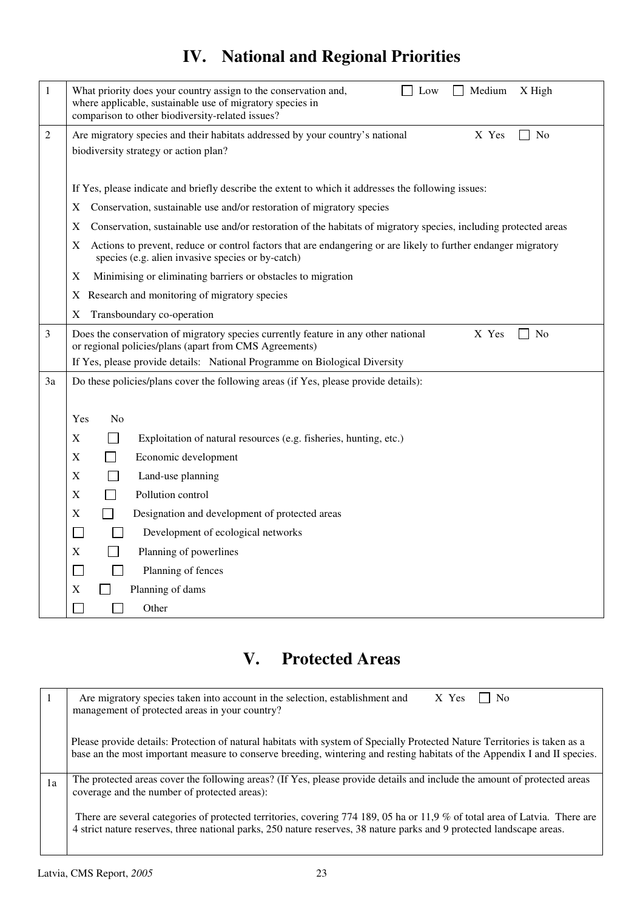# **IV. National and Regional Priorities**

| 1  | What priority does your country assign to the conservation and,<br>Medium<br>X High<br>Low<br>where applicable, sustainable use of migratory species in<br>comparison to other biodiversity-related issues? |  |  |  |  |  |  |  |  |
|----|-------------------------------------------------------------------------------------------------------------------------------------------------------------------------------------------------------------|--|--|--|--|--|--|--|--|
| 2  | Are migratory species and their habitats addressed by your country's national<br>X Yes<br>No<br>biodiversity strategy or action plan?                                                                       |  |  |  |  |  |  |  |  |
|    | If Yes, please indicate and briefly describe the extent to which it addresses the following issues:                                                                                                         |  |  |  |  |  |  |  |  |
|    | Conservation, sustainable use and/or restoration of migratory species<br>X                                                                                                                                  |  |  |  |  |  |  |  |  |
|    | Conservation, sustainable use and/or restoration of the habitats of migratory species, including protected areas<br>X                                                                                       |  |  |  |  |  |  |  |  |
|    | Actions to prevent, reduce or control factors that are endangering or are likely to further endanger migratory<br>X<br>species (e.g. alien invasive species or by-catch)                                    |  |  |  |  |  |  |  |  |
|    | Minimising or eliminating barriers or obstacles to migration<br>X                                                                                                                                           |  |  |  |  |  |  |  |  |
|    | X Research and monitoring of migratory species                                                                                                                                                              |  |  |  |  |  |  |  |  |
|    | Transboundary co-operation<br>X                                                                                                                                                                             |  |  |  |  |  |  |  |  |
| 3  | Does the conservation of migratory species currently feature in any other national<br>X Yes<br>$\Box$ No<br>or regional policies/plans (apart from CMS Agreements)                                          |  |  |  |  |  |  |  |  |
|    | If Yes, please provide details: National Programme on Biological Diversity                                                                                                                                  |  |  |  |  |  |  |  |  |
| 3a | Do these policies/plans cover the following areas (if Yes, please provide details):                                                                                                                         |  |  |  |  |  |  |  |  |
|    |                                                                                                                                                                                                             |  |  |  |  |  |  |  |  |
|    | N <sub>0</sub><br>Yes                                                                                                                                                                                       |  |  |  |  |  |  |  |  |
|    | X<br>Exploitation of natural resources (e.g. fisheries, hunting, etc.)                                                                                                                                      |  |  |  |  |  |  |  |  |
|    | X<br>Economic development                                                                                                                                                                                   |  |  |  |  |  |  |  |  |
|    | X<br>Land-use planning                                                                                                                                                                                      |  |  |  |  |  |  |  |  |
|    | Pollution control<br>X                                                                                                                                                                                      |  |  |  |  |  |  |  |  |
|    | X<br>Designation and development of protected areas                                                                                                                                                         |  |  |  |  |  |  |  |  |
|    | Development of ecological networks<br>$\mathbf{L}$                                                                                                                                                          |  |  |  |  |  |  |  |  |
|    | X<br>Planning of powerlines                                                                                                                                                                                 |  |  |  |  |  |  |  |  |
|    | Planning of fences                                                                                                                                                                                          |  |  |  |  |  |  |  |  |
|    | Planning of dams<br>X                                                                                                                                                                                       |  |  |  |  |  |  |  |  |
|    | Other                                                                                                                                                                                                       |  |  |  |  |  |  |  |  |

# **V. Protected Areas**

|    | Are migratory species taken into account in the selection, establishment and<br>X Yes<br>N <sub>0</sub><br>management of protected areas in your country?                                                                                               |
|----|---------------------------------------------------------------------------------------------------------------------------------------------------------------------------------------------------------------------------------------------------------|
|    | Please provide details: Protection of natural habitats with system of Specially Protected Nature Territories is taken as a<br>base an the most important measure to conserve breeding, wintering and resting habitats of the Appendix I and II species. |
| 1a | The protected areas cover the following areas? (If Yes, please provide details and include the amount of protected areas<br>coverage and the number of protected areas):                                                                                |
|    | There are several categories of protected territories, covering 774 189, 05 ha or 11,9 % of total area of Latvia. There are<br>4 strict nature reserves, three national parks, 250 nature reserves, 38 nature parks and 9 protected landscape areas.    |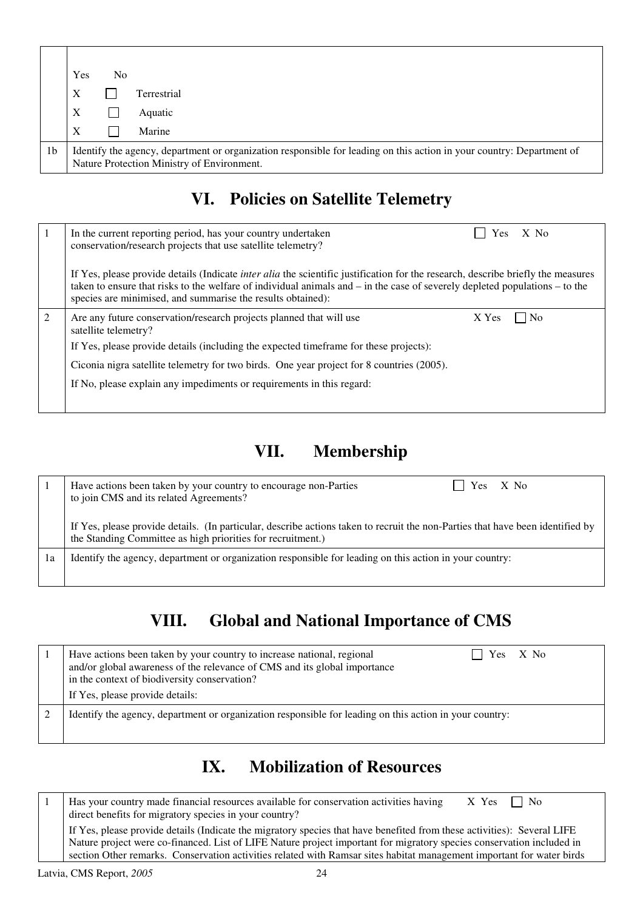|    | Yes                                                                                                                                                                 | No |             |  |  |
|----|---------------------------------------------------------------------------------------------------------------------------------------------------------------------|----|-------------|--|--|
|    | X                                                                                                                                                                   |    | Terrestrial |  |  |
|    | X                                                                                                                                                                   |    | Aquatic     |  |  |
|    | X                                                                                                                                                                   |    | Marine      |  |  |
| 1b | Identify the agency, department or organization responsible for leading on this action in your country: Department of<br>Nature Protection Ministry of Environment. |    |             |  |  |

## **VI. Policies on Satellite Telemetry**

|   | In the current reporting period, has your country undertaken<br>X No<br><b>Yes</b><br>conservation/research projects that use satellite telemetry?                                                                                                                                                                                        |  |  |  |  |  |
|---|-------------------------------------------------------------------------------------------------------------------------------------------------------------------------------------------------------------------------------------------------------------------------------------------------------------------------------------------|--|--|--|--|--|
|   | If Yes, please provide details (Indicate <i>inter alia</i> the scientific justification for the research, describe briefly the measures<br>taken to ensure that risks to the welfare of individual animals and $-$ in the case of severely depleted populations $-$ to the<br>species are minimised, and summarise the results obtained): |  |  |  |  |  |
| 2 | Are any future conservation/research projects planned that will use<br>X Yes<br>N <sub>0</sub><br>satellite telemetry?                                                                                                                                                                                                                    |  |  |  |  |  |
|   | If Yes, please provide details (including the expected timeframe for these projects):                                                                                                                                                                                                                                                     |  |  |  |  |  |
|   | Ciconia nigra satellite telemetry for two birds. One year project for 8 countries (2005).                                                                                                                                                                                                                                                 |  |  |  |  |  |
|   | If No, please explain any impediments or requirements in this regard:                                                                                                                                                                                                                                                                     |  |  |  |  |  |
|   |                                                                                                                                                                                                                                                                                                                                           |  |  |  |  |  |

# **VII. Membership**

|    | Yes X No<br>Have actions been taken by your country to encourage non-Parties<br>to join CMS and its related Agreements?                                                                       |  |  |  |  |  |  |
|----|-----------------------------------------------------------------------------------------------------------------------------------------------------------------------------------------------|--|--|--|--|--|--|
|    | If Yes, please provide details. (In particular, describe actions taken to recruit the non-Parties that have been identified by<br>the Standing Committee as high priorities for recruitment.) |  |  |  |  |  |  |
| 1a | Identify the agency, department or organization responsible for leading on this action in your country:                                                                                       |  |  |  |  |  |  |

# **VIII. Global and National Importance of CMS**

| Have actions been taken by your country to increase national, regional<br>Yes X No<br>and/or global awareness of the relevance of CMS and its global importance<br>in the context of biodiversity conservation?<br>If Yes, please provide details: |
|----------------------------------------------------------------------------------------------------------------------------------------------------------------------------------------------------------------------------------------------------|
| Identify the agency, department or organization responsible for leading on this action in your country:                                                                                                                                            |

## **IX. Mobilization of Resources**

1 | Has your country made financial resources available for conservation activities having  $X$  Yes  $\square$  No direct benefits for migratory species in your country? If Yes, please provide details (Indicate the migratory species that have benefited from these activities): Several LIFE Nature project were co-financed. List of LIFE Nature project important for migratory species conservation included in section Other remarks. Conservation activities related with Ramsar sites habitat management important for water birds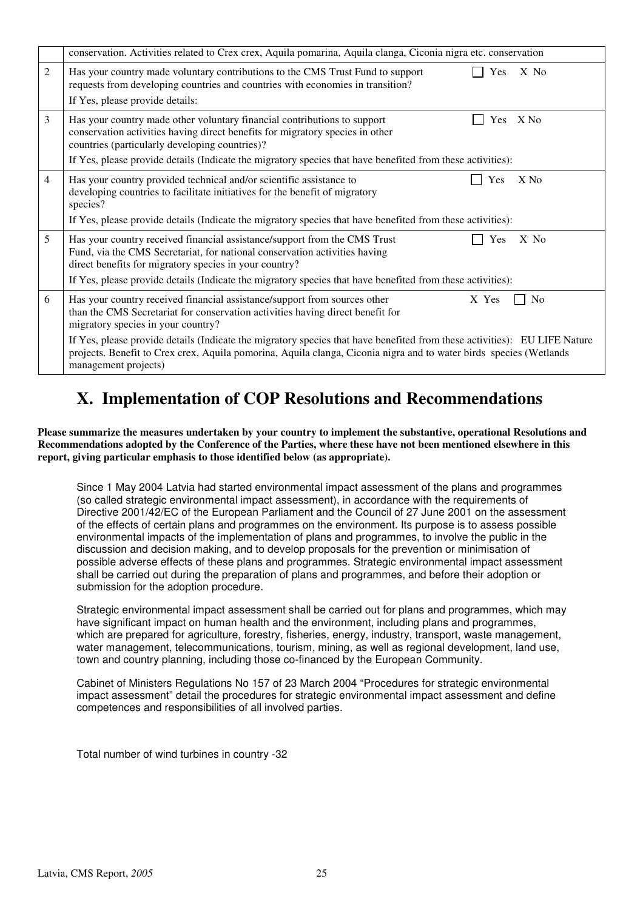|                | conservation. Activities related to Crex crex, Aquila pomarina, Aquila clanga, Ciconia nigra etc. conservation                                                                                                                                                                                                                                   |  |  |  |  |  |
|----------------|--------------------------------------------------------------------------------------------------------------------------------------------------------------------------------------------------------------------------------------------------------------------------------------------------------------------------------------------------|--|--|--|--|--|
| 2              | Has your country made voluntary contributions to the CMS Trust Fund to support<br>Yes<br>$X$ No<br>requests from developing countries and countries with economies in transition?<br>If Yes, please provide details:                                                                                                                             |  |  |  |  |  |
| $\overline{3}$ | Has your country made other voluntary financial contributions to support<br>$X$ No<br>Yes<br>conservation activities having direct benefits for migratory species in other<br>countries (particularly developing countries)?<br>If Yes, please provide details (Indicate the migratory species that have benefited from these activities):       |  |  |  |  |  |
| $\overline{4}$ | Has your country provided technical and/or scientific assistance to<br>Yes<br>$X$ No<br>developing countries to facilitate initiatives for the benefit of migratory<br>species?<br>If Yes, please provide details (Indicate the migratory species that have benefited from these activities):                                                    |  |  |  |  |  |
| 5              | Has your country received financial assistance/support from the CMS Trust<br>Yes<br>$X$ No<br>Fund, via the CMS Secretariat, for national conservation activities having<br>direct benefits for migratory species in your country?<br>If Yes, please provide details (Indicate the migratory species that have benefited from these activities): |  |  |  |  |  |
| 6              | Has your country received financial assistance/support from sources other<br>X Yes<br>N <sub>0</sub><br>than the CMS Secretariat for conservation activities having direct benefit for<br>migratory species in your country?                                                                                                                     |  |  |  |  |  |
|                | If Yes, please provide details (Indicate the migratory species that have benefited from these activities): EU LIFE Nature<br>projects. Benefit to Crex crex, Aquila pomorina, Aquila clanga, Ciconia nigra and to water birds species (Wetlands<br>management projects)                                                                          |  |  |  |  |  |

## **X. Implementation of COP Resolutions and Recommendations**

**Please summarize the measures undertaken by your country to implement the substantive, operational Resolutions and Recommendations adopted by the Conference of the Parties, where these have not been mentioned elsewhere in this report, giving particular emphasis to those identified below (as appropriate).**

Since 1 May 2004 Latvia had started environmental impact assessment of the plans and programmes (so called strategic environmental impact assessment), in accordance with the requirements of Directive 2001/42/EC of the European Parliament and the Council of 27 June 2001 on the assessment of the effects of certain plans and programmes on the environment. Its purpose is to assess possible environmental impacts of the implementation of plans and programmes, to involve the public in the discussion and decision making, and to develop proposals for the prevention or minimisation of possible adverse effects of these plans and programmes. Strategic environmental impact assessment shall be carried out during the preparation of plans and programmes, and before their adoption or submission for the adoption procedure.

Strategic environmental impact assessment shall be carried out for plans and programmes, which may have significant impact on human health and the environment, including plans and programmes, which are prepared for agriculture, forestry, fisheries, energy, industry, transport, waste management, water management, telecommunications, tourism, mining, as well as regional development, land use, town and country planning, including those co-financed by the European Community.

Cabinet of Ministers Regulations No 157 of 23 March 2004 "Procedures for strategic environmental impact assessment" detail the procedures for strategic environmental impact assessment and define competences and responsibilities of all involved parties.

Total number of wind turbines in country -32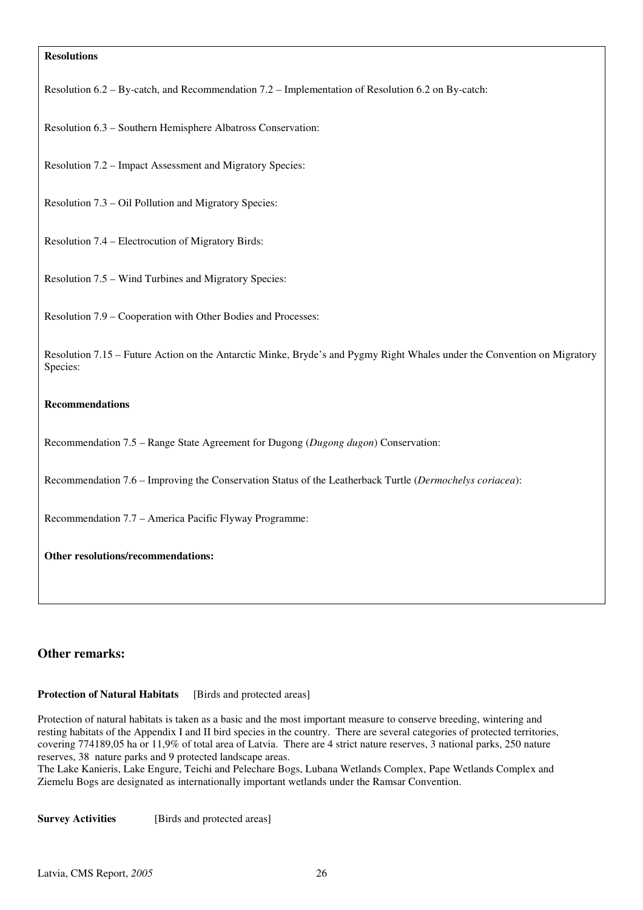#### **Resolutions**

Resolution 6.2 – By-catch, and Recommendation 7.2 – Implementation of Resolution 6.2 on By-catch:

Resolution 6.3 – Southern Hemisphere Albatross Conservation:

Resolution 7.2 – Impact Assessment and Migratory Species:

Resolution 7.3 – Oil Pollution and Migratory Species:

Resolution 7.4 – Electrocution of Migratory Birds:

Resolution 7.5 – Wind Turbines and Migratory Species:

Resolution 7.9 – Cooperation with Other Bodies and Processes:

Resolution 7.15 – Future Action on the Antarctic Minke, Bryde's and Pygmy Right Whales under the Convention on Migratory Species:

#### **Recommendations**

Recommendation 7.5 – Range State Agreement for Dugong (*Dugong dugon*) Conservation:

Recommendation 7.6 – Improving the Conservation Status of the Leatherback Turtle (*Dermochelys coriacea*):

Recommendation 7.7 – America Pacific Flyway Programme:

**Other resolutions/recommendations:**

#### **Other remarks:**

### **Protection of Natural Habitats** [Birds and protected areas]

Protection of natural habitats is taken as a basic and the most important measure to conserve breeding, wintering and resting habitats of the Appendix I and II bird species in the country. There are several categories of protected territories, covering 774189,05 ha or 11,9% of total area of Latvia. There are 4 strict nature reserves, 3 national parks, 250 nature reserves, 38 nature parks and 9 protected landscape areas.

The Lake Kanieris, Lake Engure, Teichi and Pelechare Bogs, Lubana Wetlands Complex, Pape Wetlands Complex and Ziemelu Bogs are designated as internationally important wetlands under the Ramsar Convention.

**Survey Activities** [Birds and protected areas]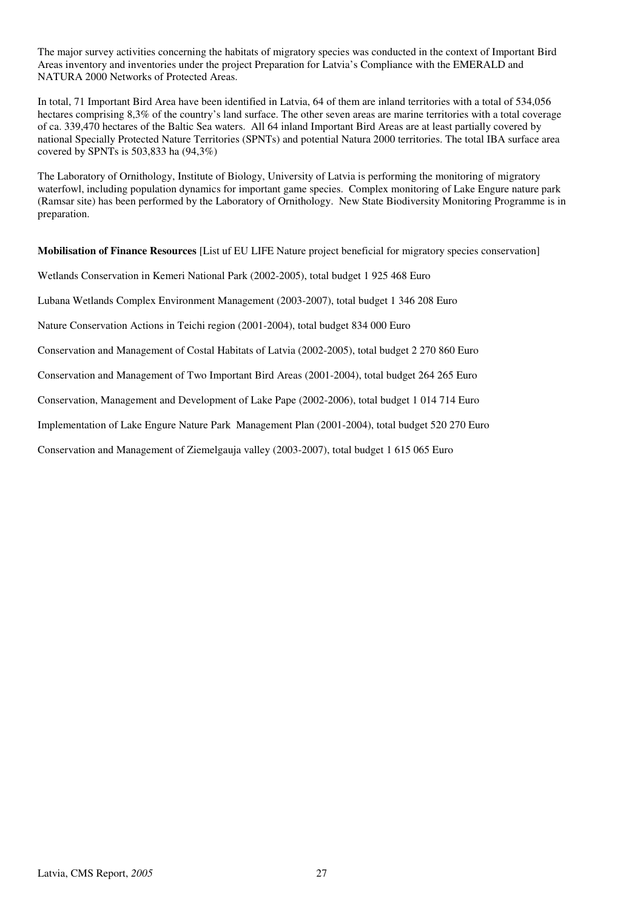The major survey activities concerning the habitats of migratory species was conducted in the context of Important Bird Areas inventory and inventories under the project Preparation for Latvia's Compliance with the EMERALD and NATURA 2000 Networks of Protected Areas.

In total, 71 Important Bird Area have been identified in Latvia, 64 of them are inland territories with a total of 534,056 hectares comprising 8,3% of the country's land surface. The other seven areas are marine territories with a total coverage of ca. 339,470 hectares of the Baltic Sea waters. All 64 inland Important Bird Areas are at least partially covered by national Specially Protected Nature Territories (SPNTs) and potential Natura 2000 territories. The total IBA surface area covered by SPNTs is 503,833 ha (94,3%)

The Laboratory of Ornithology, Institute of Biology, University of Latvia is performing the monitoring of migratory waterfowl, including population dynamics for important game species. Complex monitoring of Lake Engure nature park (Ramsar site) has been performed by the Laboratory of Ornithology. New State Biodiversity Monitoring Programme is in preparation.

**Mobilisation of Finance Resources** [List uf EU LIFE Nature project beneficial for migratory species conservation]

Wetlands Conservation in Kemeri National Park (2002-2005), total budget 1 925 468 Euro

Lubana Wetlands Complex Environment Management (2003-2007), total budget 1 346 208 Euro

Nature Conservation Actions in Teichi region (2001-2004), total budget 834 000 Euro

Conservation and Management of Costal Habitats of Latvia (2002-2005), total budget 2 270 860 Euro

Conservation and Management of Two Important Bird Areas (2001-2004), total budget 264 265 Euro

Conservation, Management and Development of Lake Pape (2002-2006), total budget 1 014 714 Euro

Implementation of Lake Engure Nature Park Management Plan (2001-2004), total budget 520 270 Euro

Conservation and Management of Ziemelgauja valley (2003-2007), total budget 1 615 065 Euro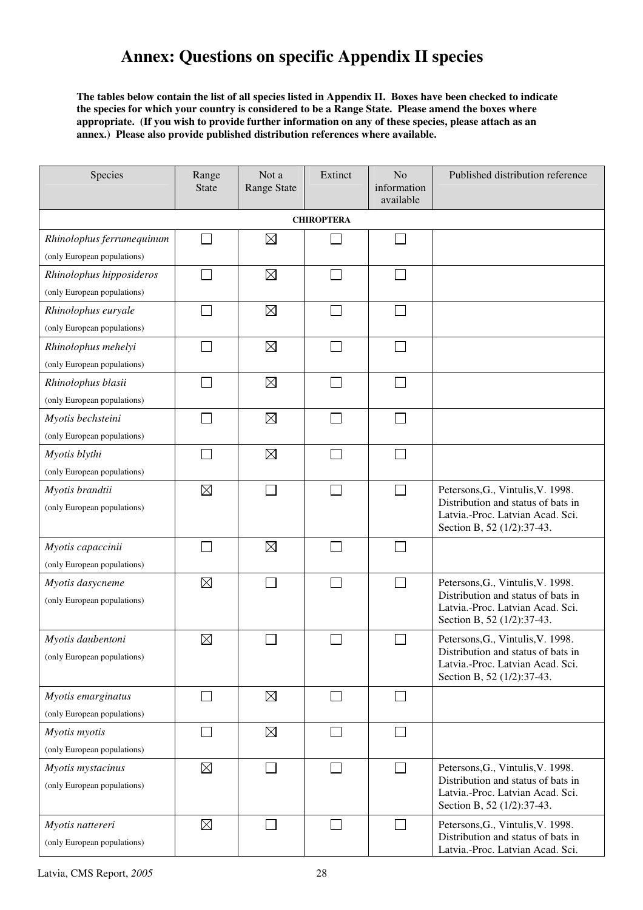# **Annex: Questions on specific Appendix II species**

**The tables below contain the list of all species listed in Appendix II. Boxes have been checked to indicate the species for which your country is considered to be a Range State. Please amend the boxes where appropriate. (If you wish to provide further information on any of these species, please attach as an annex.) Please also provide published distribution references where available.** 

| Species                                         | Range<br><b>State</b> | Not a<br><b>Range State</b> | Extinct                     | N <sub>o</sub><br>information<br>available | Published distribution reference                                                                            |  |  |
|-------------------------------------------------|-----------------------|-----------------------------|-----------------------------|--------------------------------------------|-------------------------------------------------------------------------------------------------------------|--|--|
| <b>CHIROPTERA</b>                               |                       |                             |                             |                                            |                                                                                                             |  |  |
| Rhinolophus ferrumequinum                       |                       | $\boxtimes$                 |                             | $\Box$                                     |                                                                                                             |  |  |
| (only European populations)                     |                       |                             |                             |                                            |                                                                                                             |  |  |
| Rhinolophus hipposideros                        |                       | $\boxtimes$                 | $\mathcal{L}_{\mathcal{A}}$ | П                                          |                                                                                                             |  |  |
| (only European populations)                     |                       |                             |                             |                                            |                                                                                                             |  |  |
| Rhinolophus euryale                             |                       | $\boxtimes$                 |                             | $\overline{\phantom{0}}$                   |                                                                                                             |  |  |
| (only European populations)                     |                       |                             |                             |                                            |                                                                                                             |  |  |
| Rhinolophus mehelyi                             |                       | $\boxtimes$                 |                             | $\mathcal{L}$                              |                                                                                                             |  |  |
| (only European populations)                     |                       |                             |                             |                                            |                                                                                                             |  |  |
| Rhinolophus blasii                              |                       | $\boxtimes$                 | ×.                          |                                            |                                                                                                             |  |  |
| (only European populations)                     |                       |                             |                             |                                            |                                                                                                             |  |  |
| Myotis bechsteini                               |                       | $\boxtimes$                 | $\mathcal{L}_{\mathcal{A}}$ | П                                          |                                                                                                             |  |  |
| (only European populations)                     |                       |                             |                             |                                            |                                                                                                             |  |  |
| Myotis blythi                                   |                       | $\boxtimes$                 | l.                          | П                                          |                                                                                                             |  |  |
| (only European populations)                     |                       |                             |                             |                                            |                                                                                                             |  |  |
| Myotis brandtii                                 | $\boxtimes$           |                             | $\sim$                      | $\Box$                                     | Petersons, G., Vintulis, V. 1998.                                                                           |  |  |
| (only European populations)                     |                       |                             |                             |                                            | Distribution and status of bats in<br>Latvia.-Proc. Latvian Acad. Sci.<br>Section B, 52 (1/2):37-43.        |  |  |
| Myotis capaccinii                               |                       | $\boxtimes$                 |                             | $\mathbf{I}$                               |                                                                                                             |  |  |
| (only European populations)                     |                       |                             |                             |                                            |                                                                                                             |  |  |
| Myotis dasycneme                                | $\boxtimes$           |                             |                             | $\Box$                                     | Petersons, G., Vintulis, V. 1998.                                                                           |  |  |
| (only European populations)                     |                       |                             |                             |                                            | Distribution and status of bats in<br>Latvia.-Proc. Latvian Acad. Sci.<br>Section B, 52 (1/2):37-43.        |  |  |
| Myotis daubentoni                               | $\boxtimes$           |                             |                             |                                            | Petersons, G., Vintulis, V. 1998.                                                                           |  |  |
| (only European populations)                     |                       |                             |                             |                                            | Distribution and status of bats in<br>Latvia.-Proc. Latvian Acad. Sci.<br>Section B, 52 (1/2):37-43.        |  |  |
| Myotis emarginatus                              |                       | $\boxtimes$                 | $\Box$                      | $\Box$                                     |                                                                                                             |  |  |
| (only European populations)                     |                       |                             |                             |                                            |                                                                                                             |  |  |
| Myotis myotis                                   |                       | $\boxtimes$                 | $\mathcal{L}_{\mathcal{A}}$ | $\mathcal{L}_{\mathcal{A}}$                |                                                                                                             |  |  |
| (only European populations)                     |                       |                             |                             |                                            |                                                                                                             |  |  |
| Myotis mystacinus                               | $\boxtimes$           |                             |                             | П                                          | Petersons, G., Vintulis, V. 1998.                                                                           |  |  |
| (only European populations)                     |                       |                             |                             |                                            | Distribution and status of bats in<br>Latvia.-Proc. Latvian Acad. Sci.<br>Section B, 52 (1/2):37-43.        |  |  |
| Myotis nattereri<br>(only European populations) | $\boxtimes$           |                             | $\mathcal{L}_{\mathcal{A}}$ | $\Box$                                     | Petersons, G., Vintulis, V. 1998.<br>Distribution and status of bats in<br>Latvia.-Proc. Latvian Acad. Sci. |  |  |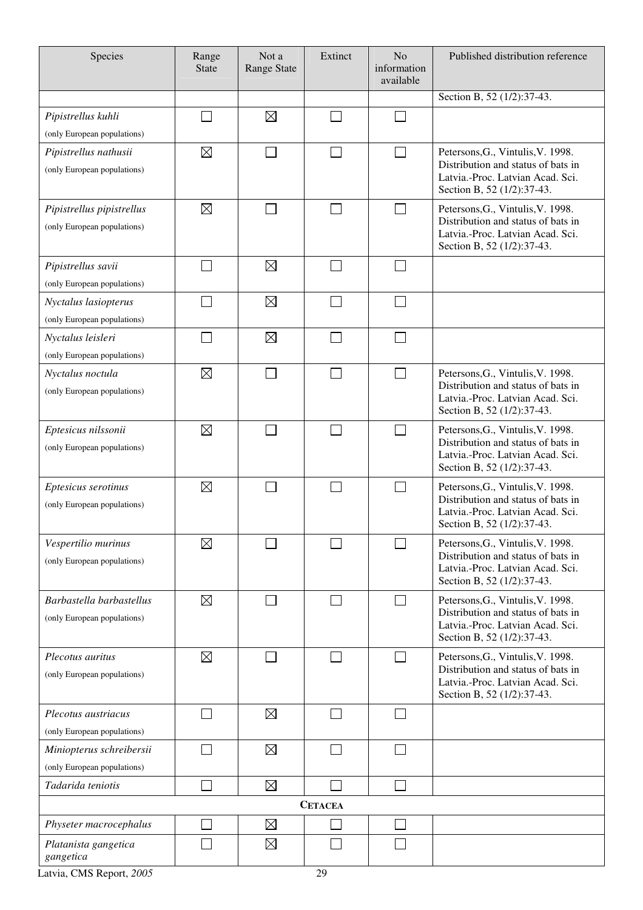| Species                                                  | Range<br><b>State</b>       | Not a<br><b>Range State</b> | Extinct        | N <sub>o</sub><br>information<br>available | Published distribution reference                                                                                                          |
|----------------------------------------------------------|-----------------------------|-----------------------------|----------------|--------------------------------------------|-------------------------------------------------------------------------------------------------------------------------------------------|
|                                                          |                             |                             |                |                                            | Section B, 52 (1/2):37-43.                                                                                                                |
| Pipistrellus kuhli                                       |                             | $\boxtimes$                 |                | J.                                         |                                                                                                                                           |
| (only European populations)                              |                             |                             |                |                                            |                                                                                                                                           |
| Pipistrellus nathusii<br>(only European populations)     | $\boxtimes$                 |                             | □              | $\Box$                                     | Petersons, G., Vintulis, V. 1998.<br>Distribution and status of bats in<br>Latvia.-Proc. Latvian Acad. Sci.<br>Section B, 52 (1/2):37-43. |
| Pipistrellus pipistrellus<br>(only European populations) | $\boxtimes$                 |                             |                |                                            | Petersons, G., Vintulis, V. 1998.<br>Distribution and status of bats in<br>Latvia.-Proc. Latvian Acad. Sci.<br>Section B, 52 (1/2):37-43. |
| Pipistrellus savii<br>(only European populations)        | $\mathcal{L}_{\mathcal{A}}$ | $\boxtimes$                 |                | $\mathcal{L}_{\mathcal{A}}$                |                                                                                                                                           |
| Nyctalus lasiopterus                                     |                             | $\boxtimes$                 |                |                                            |                                                                                                                                           |
| (only European populations)                              |                             |                             |                |                                            |                                                                                                                                           |
| Nyctalus leisleri                                        |                             | $\boxtimes$                 |                |                                            |                                                                                                                                           |
| (only European populations)                              |                             |                             |                |                                            |                                                                                                                                           |
| Nyctalus noctula<br>(only European populations)          | $\boxtimes$                 |                             |                | П                                          | Petersons, G., Vintulis, V. 1998.<br>Distribution and status of bats in<br>Latvia.-Proc. Latvian Acad. Sci.<br>Section B, 52 (1/2):37-43. |
| Eptesicus nilssonii<br>(only European populations)       | $\boxtimes$                 |                             |                |                                            | Petersons, G., Vintulis, V. 1998.<br>Distribution and status of bats in<br>Latvia.-Proc. Latvian Acad. Sci.<br>Section B, 52 (1/2):37-43. |
| Eptesicus serotinus<br>(only European populations)       | $\boxtimes$                 |                             |                |                                            | Petersons, G., Vintulis, V. 1998.<br>Distribution and status of bats in<br>Latvia.-Proc. Latvian Acad. Sci.<br>Section B, 52 (1/2):37-43. |
| Vespertilio murinus<br>(only European populations)       | $\boxtimes$                 |                             |                |                                            | Petersons, G., Vintulis, V. 1998.<br>Distribution and status of bats in<br>Latvia.-Proc. Latvian Acad. Sci.<br>Section B, 52 (1/2):37-43. |
| Barbastella barbastellus<br>(only European populations)  | $\boxtimes$                 |                             |                |                                            | Petersons, G., Vintulis, V. 1998.<br>Distribution and status of bats in<br>Latvia.-Proc. Latvian Acad. Sci.<br>Section B, 52 (1/2):37-43. |
| Plecotus auritus<br>(only European populations)          | $\boxtimes$                 |                             |                |                                            | Petersons, G., Vintulis, V. 1998.<br>Distribution and status of bats in<br>Latvia.-Proc. Latvian Acad. Sci.<br>Section B, 52 (1/2):37-43. |
| Plecotus austriacus                                      |                             | $\boxtimes$                 |                |                                            |                                                                                                                                           |
| (only European populations)                              |                             |                             |                |                                            |                                                                                                                                           |
| Miniopterus schreibersii                                 |                             | $\boxtimes$                 |                |                                            |                                                                                                                                           |
| (only European populations)<br>Tadarida teniotis         |                             | $\boxtimes$                 |                |                                            |                                                                                                                                           |
|                                                          |                             |                             |                |                                            |                                                                                                                                           |
|                                                          |                             |                             | <b>CETACEA</b> |                                            |                                                                                                                                           |
| Physeter macrocephalus                                   |                             | $\boxtimes$                 |                |                                            |                                                                                                                                           |
| Platanista gangetica<br>gangetica                        |                             | $\boxtimes$                 |                |                                            |                                                                                                                                           |

Latvia, CMS Report, 2005<sup>29</sup>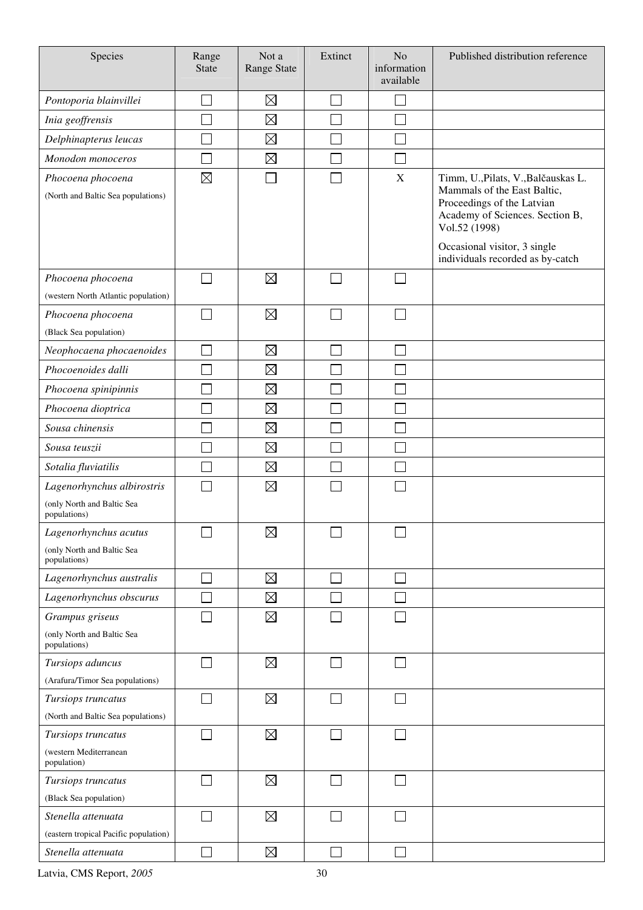| Species                                                 | Range<br><b>State</b> | Not a<br>Range State | Extinct       | N <sub>o</sub><br>information<br>available | Published distribution reference                                                                                                                                                     |
|---------------------------------------------------------|-----------------------|----------------------|---------------|--------------------------------------------|--------------------------------------------------------------------------------------------------------------------------------------------------------------------------------------|
| Pontoporia blainvillei                                  |                       | $\boxtimes$          | e de          |                                            |                                                                                                                                                                                      |
| Inia geoffrensis                                        |                       | $\boxtimes$          |               |                                            |                                                                                                                                                                                      |
| Delphinapterus leucas                                   |                       | $\boxtimes$          |               |                                            |                                                                                                                                                                                      |
| Monodon monoceros                                       |                       | $\boxtimes$          |               |                                            |                                                                                                                                                                                      |
| Phocoena phocoena<br>(North and Baltic Sea populations) | $\boxtimes$           |                      |               | $\mathbf X$                                | Timm, U., Pilats, V., Balčauskas L.<br>Mammals of the East Baltic,<br>Proceedings of the Latvian<br>Academy of Sciences. Section B,<br>Vol.52 (1998)<br>Occasional visitor, 3 single |
|                                                         |                       |                      |               |                                            | individuals recorded as by-catch                                                                                                                                                     |
| Phocoena phocoena                                       |                       | $\boxtimes$          |               |                                            |                                                                                                                                                                                      |
| (western North Atlantic population)                     |                       |                      |               |                                            |                                                                                                                                                                                      |
| Phocoena phocoena                                       |                       | $\boxtimes$          |               |                                            |                                                                                                                                                                                      |
| (Black Sea population)                                  |                       |                      |               |                                            |                                                                                                                                                                                      |
| Neophocaena phocaenoides                                |                       | $\boxtimes$          | Ξ             |                                            |                                                                                                                                                                                      |
| Phocoenoides dalli                                      |                       | $\boxtimes$          |               |                                            |                                                                                                                                                                                      |
| Phocoena spinipinnis                                    |                       | $\boxtimes$          |               |                                            |                                                                                                                                                                                      |
| Phocoena dioptrica                                      |                       | $\boxtimes$          |               |                                            |                                                                                                                                                                                      |
| Sousa chinensis                                         |                       | $\boxtimes$          |               |                                            |                                                                                                                                                                                      |
| Sousa teuszii                                           |                       | $\boxtimes$          |               |                                            |                                                                                                                                                                                      |
| Sotalia fluviatilis                                     |                       | $\boxtimes$          |               |                                            |                                                                                                                                                                                      |
| Lagenorhynchus albirostris                              |                       | $\boxtimes$          |               |                                            |                                                                                                                                                                                      |
| (only North and Baltic Sea<br>populations)              |                       |                      |               |                                            |                                                                                                                                                                                      |
| Lagenorhynchus acutus                                   | ┌─┐                   | $\boxtimes$          | ┌─┐           | $\Box$                                     |                                                                                                                                                                                      |
| (only North and Baltic Sea<br>populations)              |                       |                      |               |                                            |                                                                                                                                                                                      |
| Lagenorhynchus australis                                |                       | $\boxtimes$          |               |                                            |                                                                                                                                                                                      |
| Lagenorhynchus obscurus                                 |                       | $\boxtimes$          |               |                                            |                                                                                                                                                                                      |
| Grampus griseus                                         |                       | $\boxtimes$          |               |                                            |                                                                                                                                                                                      |
| (only North and Baltic Sea<br>populations)              |                       |                      |               |                                            |                                                                                                                                                                                      |
| Tursiops aduncus                                        |                       | $\boxtimes$          |               |                                            |                                                                                                                                                                                      |
| (Arafura/Timor Sea populations)                         |                       |                      |               |                                            |                                                                                                                                                                                      |
| Tursiops truncatus                                      |                       | $\boxtimes$          | $\mathcal{L}$ |                                            |                                                                                                                                                                                      |
| (North and Baltic Sea populations)                      |                       |                      |               |                                            |                                                                                                                                                                                      |
| Tursiops truncatus                                      |                       | $\boxtimes$          |               |                                            |                                                                                                                                                                                      |
| (western Mediterranean<br>population)                   |                       |                      |               |                                            |                                                                                                                                                                                      |
| Tursiops truncatus                                      | $\sim$                | $\boxtimes$          |               |                                            |                                                                                                                                                                                      |
| (Black Sea population)                                  |                       |                      |               |                                            |                                                                                                                                                                                      |
| Stenella attenuata                                      |                       | $\boxtimes$          |               |                                            |                                                                                                                                                                                      |
| (eastern tropical Pacific population)                   |                       |                      |               |                                            |                                                                                                                                                                                      |
| Stenella attenuata                                      |                       | $\boxtimes$          |               |                                            |                                                                                                                                                                                      |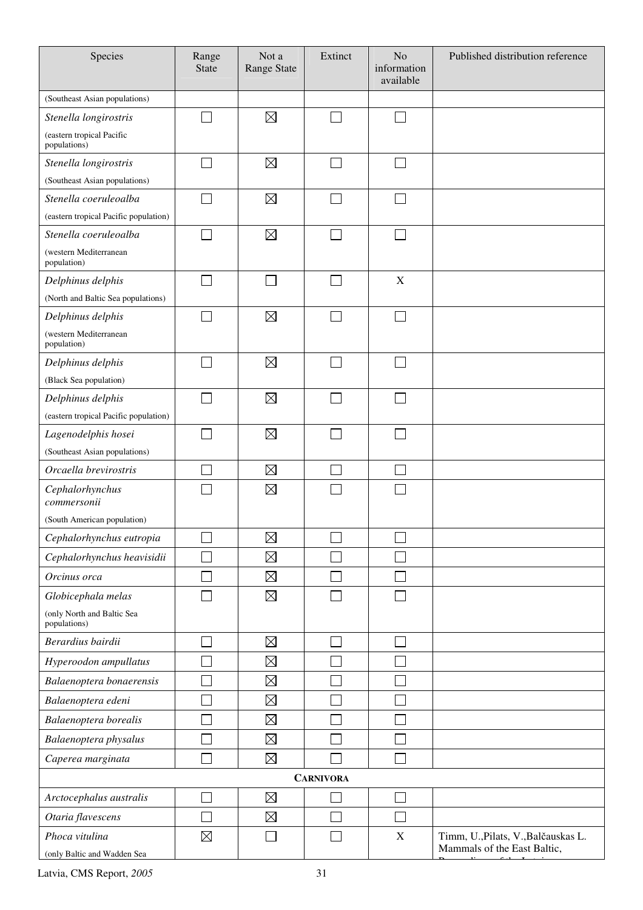| Species                                       | Range<br><b>State</b> | Not a<br><b>Range State</b> | Extinct          | N <sub>o</sub><br>information<br>available | Published distribution reference                                   |
|-----------------------------------------------|-----------------------|-----------------------------|------------------|--------------------------------------------|--------------------------------------------------------------------|
| (Southeast Asian populations)                 |                       |                             |                  |                                            |                                                                    |
| Stenella longirostris                         |                       | $\boxtimes$                 |                  |                                            |                                                                    |
| (eastern tropical Pacific<br>populations)     |                       |                             |                  |                                            |                                                                    |
| Stenella longirostris                         |                       | $\boxtimes$                 |                  |                                            |                                                                    |
| (Southeast Asian populations)                 |                       |                             |                  |                                            |                                                                    |
| Stenella coeruleoalba                         |                       | $\boxtimes$                 |                  |                                            |                                                                    |
| (eastern tropical Pacific population)         |                       |                             |                  |                                            |                                                                    |
| Stenella coeruleoalba                         |                       | $\boxtimes$                 |                  |                                            |                                                                    |
| (western Mediterranean<br>population)         |                       |                             |                  |                                            |                                                                    |
| Delphinus delphis                             |                       |                             |                  | X                                          |                                                                    |
| (North and Baltic Sea populations)            |                       |                             |                  |                                            |                                                                    |
| Delphinus delphis                             |                       | $\boxtimes$                 |                  |                                            |                                                                    |
| (western Mediterranean<br>population)         |                       |                             |                  |                                            |                                                                    |
| Delphinus delphis                             |                       | $\boxtimes$                 |                  | $\sim$                                     |                                                                    |
| (Black Sea population)                        |                       |                             |                  |                                            |                                                                    |
| Delphinus delphis                             | $\sim$                | $\boxtimes$                 |                  |                                            |                                                                    |
| (eastern tropical Pacific population)         |                       |                             |                  |                                            |                                                                    |
| Lagenodelphis hosei                           |                       | $\boxtimes$                 |                  |                                            |                                                                    |
| (Southeast Asian populations)                 |                       |                             |                  |                                            |                                                                    |
| Orcaella brevirostris                         |                       | $\boxtimes$                 |                  |                                            |                                                                    |
| Cephalorhynchus<br>commersonii                |                       | $\boxtimes$                 |                  |                                            |                                                                    |
| (South American population)                   |                       |                             |                  |                                            |                                                                    |
| Cephalorhynchus eutropia                      |                       | $\boxtimes$                 |                  |                                            |                                                                    |
| Cephalorhynchus heavisidii                    |                       | $\boxtimes$                 |                  |                                            |                                                                    |
| Orcinus orca                                  |                       | $\boxtimes$                 |                  |                                            |                                                                    |
| Globicephala melas                            |                       | $\boxtimes$                 |                  |                                            |                                                                    |
| (only North and Baltic Sea<br>populations)    |                       |                             |                  |                                            |                                                                    |
| Berardius bairdii                             |                       | $\boxtimes$                 |                  |                                            |                                                                    |
| Hyperoodon ampullatus                         |                       | $\boxtimes$                 |                  |                                            |                                                                    |
| Balaenoptera bonaerensis                      |                       | $\boxtimes$                 |                  |                                            |                                                                    |
| Balaenoptera edeni                            |                       | $\boxtimes$                 |                  |                                            |                                                                    |
| Balaenoptera borealis                         |                       | $\boxtimes$                 |                  |                                            |                                                                    |
| Balaenoptera physalus                         |                       | $\boxtimes$                 |                  |                                            |                                                                    |
| Caperea marginata                             |                       | $\boxtimes$                 |                  |                                            |                                                                    |
|                                               |                       |                             | <b>CARNIVORA</b> |                                            |                                                                    |
| Arctocephalus australis                       |                       | $\boxtimes$                 |                  |                                            |                                                                    |
| Otaria flavescens                             |                       | $\boxtimes$                 |                  |                                            |                                                                    |
| Phoca vitulina<br>(only Baltic and Wadden Sea | $\boxtimes$           |                             |                  | $\mathbf X$                                | Timm, U., Pilats, V., Balčauskas L.<br>Mammals of the East Baltic, |
|                                               |                       |                             |                  |                                            |                                                                    |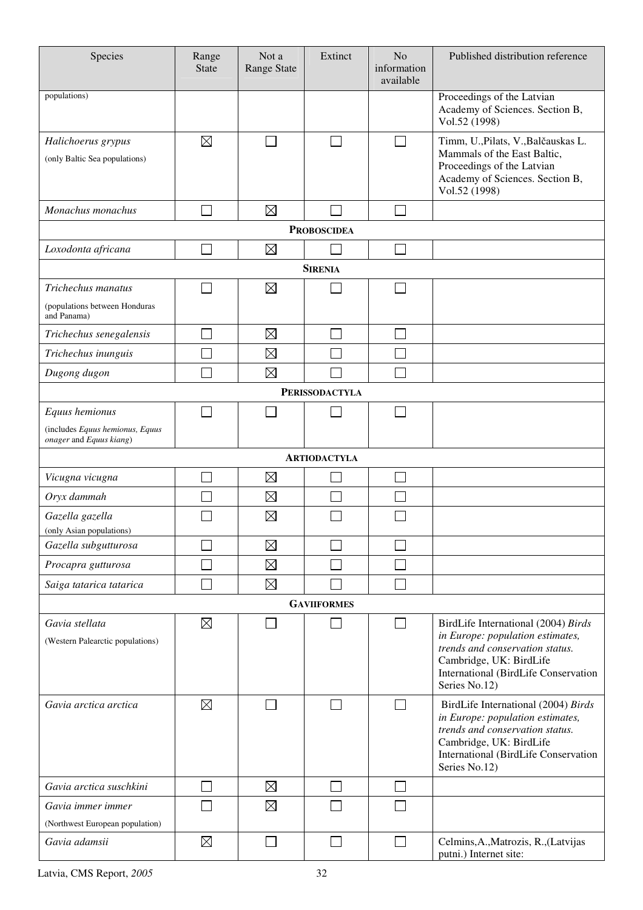| Species                                                            | Range<br><b>State</b> | Not a<br>Range State | Extinct               | No<br>information<br>available | Published distribution reference                                                                                                                                                               |
|--------------------------------------------------------------------|-----------------------|----------------------|-----------------------|--------------------------------|------------------------------------------------------------------------------------------------------------------------------------------------------------------------------------------------|
| populations)                                                       |                       |                      |                       |                                | Proceedings of the Latvian<br>Academy of Sciences. Section B,<br>Vol.52 (1998)                                                                                                                 |
| Halichoerus grypus<br>(only Baltic Sea populations)                | $\boxtimes$           |                      | $\sim$                | $\sim$                         | Timm, U., Pilats, V., Balčauskas L.<br>Mammals of the East Baltic,<br>Proceedings of the Latvian<br>Academy of Sciences. Section B,<br>Vol.52 (1998)                                           |
| Monachus monachus                                                  |                       | $\boxtimes$          |                       |                                |                                                                                                                                                                                                |
|                                                                    |                       |                      | <b>PROBOSCIDEA</b>    |                                |                                                                                                                                                                                                |
| Loxodonta africana                                                 |                       | $\boxtimes$          |                       |                                |                                                                                                                                                                                                |
|                                                                    |                       |                      | <b>SIRENIA</b>        |                                |                                                                                                                                                                                                |
| Trichechus manatus<br>(populations between Honduras<br>and Panama) |                       | $\boxtimes$          |                       |                                |                                                                                                                                                                                                |
| Trichechus senegalensis                                            |                       | $\boxtimes$          |                       |                                |                                                                                                                                                                                                |
| Trichechus inunguis                                                |                       | $\boxtimes$          |                       |                                |                                                                                                                                                                                                |
| Dugong dugon                                                       |                       | $\boxtimes$          |                       | $\mathcal{L}$                  |                                                                                                                                                                                                |
|                                                                    |                       |                      | <b>PERISSODACTYLA</b> |                                |                                                                                                                                                                                                |
| Equus hemionus                                                     |                       |                      |                       | $\sim$                         |                                                                                                                                                                                                |
| (includes Equus hemionus, Equus<br>onager and Equus kiang)         |                       |                      |                       |                                |                                                                                                                                                                                                |
|                                                                    |                       |                      | <b>ARTIODACTYLA</b>   |                                |                                                                                                                                                                                                |
| Vicugna vicugna                                                    |                       | $\boxtimes$          |                       |                                |                                                                                                                                                                                                |
| Oryx dammah                                                        |                       | $\boxtimes$          |                       |                                |                                                                                                                                                                                                |
| Gazella gazella<br>(only Asian populations)                        |                       | $\boxtimes$          |                       |                                |                                                                                                                                                                                                |
| Gazella subgutturosa                                               |                       | $\boxtimes$          |                       |                                |                                                                                                                                                                                                |
| Procapra gutturosa                                                 |                       | $\boxtimes$          |                       |                                |                                                                                                                                                                                                |
| Saiga tatarica tatarica                                            |                       | $\boxtimes$          |                       |                                |                                                                                                                                                                                                |
|                                                                    |                       |                      | <b>GAVIIFORMES</b>    |                                |                                                                                                                                                                                                |
| Gavia stellata<br>(Western Palearctic populations)                 | $\boxtimes$           |                      |                       | $\sim$                         | BirdLife International (2004) Birds<br>in Europe: population estimates,<br>trends and conservation status.<br>Cambridge, UK: BirdLife<br>International (BirdLife Conservation<br>Series No.12) |
| Gavia arctica arctica                                              | $\boxtimes$           |                      |                       |                                | BirdLife International (2004) Birds<br>in Europe: population estimates,<br>trends and conservation status.<br>Cambridge, UK: BirdLife<br>International (BirdLife Conservation<br>Series No.12) |
| Gavia arctica suschkini                                            |                       | $\boxtimes$          |                       |                                |                                                                                                                                                                                                |
| Gavia immer immer                                                  |                       | $\boxtimes$          |                       |                                |                                                                                                                                                                                                |
| (Northwest European population)                                    |                       |                      |                       |                                |                                                                                                                                                                                                |
| Gavia adamsii                                                      | $\boxtimes$           |                      |                       | П                              | Celmins, A., Matrozis, R., (Latvijas<br>putni.) Internet site:                                                                                                                                 |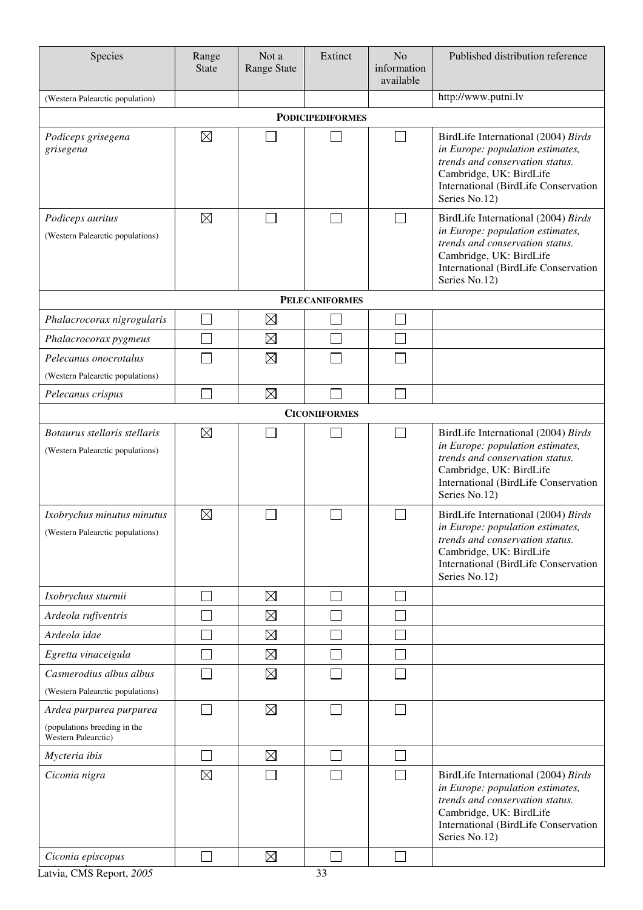| Species                                                                        | Range<br><b>State</b> | Not a<br><b>Range State</b> | Extinct                 | N <sub>o</sub><br>information<br>available | Published distribution reference                                                                                                                                                                      |  |  |  |  |
|--------------------------------------------------------------------------------|-----------------------|-----------------------------|-------------------------|--------------------------------------------|-------------------------------------------------------------------------------------------------------------------------------------------------------------------------------------------------------|--|--|--|--|
| (Western Palearctic population)                                                |                       |                             |                         |                                            | http://www.putni.lv                                                                                                                                                                                   |  |  |  |  |
|                                                                                |                       |                             | <b>PODICIPEDIFORMES</b> |                                            |                                                                                                                                                                                                       |  |  |  |  |
| Podiceps grisegena<br>grisegena                                                | $\boxtimes$           |                             |                         | $\Box$                                     | BirdLife International (2004) Birds<br>in Europe: population estimates,<br>trends and conservation status.<br>Cambridge, UK: BirdLife<br><b>International (BirdLife Conservation</b><br>Series No.12) |  |  |  |  |
| Podiceps auritus<br>(Western Palearctic populations)                           | $\boxtimes$           |                             |                         |                                            | BirdLife International (2004) Birds<br>in Europe: population estimates,<br>trends and conservation status.<br>Cambridge, UK: BirdLife<br>International (BirdLife Conservation<br>Series No.12)        |  |  |  |  |
|                                                                                |                       |                             | <b>PELECANIFORMES</b>   |                                            |                                                                                                                                                                                                       |  |  |  |  |
| Phalacrocorax nigrogularis                                                     |                       | $\boxtimes$                 |                         |                                            |                                                                                                                                                                                                       |  |  |  |  |
| Phalacrocorax pygmeus                                                          |                       | $\boxtimes$                 |                         |                                            |                                                                                                                                                                                                       |  |  |  |  |
| Pelecanus onocrotalus<br>(Western Palearctic populations)                      |                       | $\boxtimes$                 |                         |                                            |                                                                                                                                                                                                       |  |  |  |  |
| Pelecanus crispus                                                              |                       | $\boxtimes$                 |                         |                                            |                                                                                                                                                                                                       |  |  |  |  |
| <b>CICONIIFORMES</b>                                                           |                       |                             |                         |                                            |                                                                                                                                                                                                       |  |  |  |  |
| Botaurus stellaris stellaris<br>(Western Palearctic populations)               | $\boxtimes$           |                             |                         | $\mathcal{L}_{\mathcal{A}}$                | BirdLife International (2004) Birds<br>in Europe: population estimates,<br>trends and conservation status.<br>Cambridge, UK: BirdLife<br>International (BirdLife Conservation<br>Series No.12)        |  |  |  |  |
| Ixobrychus minutus minutus<br>(Western Palearctic populations)                 | $\boxtimes$           |                             |                         |                                            | BirdLife International (2004) Birds<br>in Europe: population estimates,<br>trends and conservation status.<br>Cambridge, UK: BirdLife<br>International (BirdLife Conservation<br>Series No.12)        |  |  |  |  |
| Ixobrychus sturmii                                                             |                       | $\boxtimes$                 |                         |                                            |                                                                                                                                                                                                       |  |  |  |  |
| Ardeola rufiventris                                                            |                       | $\boxtimes$                 |                         |                                            |                                                                                                                                                                                                       |  |  |  |  |
| Ardeola idae                                                                   |                       | $\boxtimes$                 |                         |                                            |                                                                                                                                                                                                       |  |  |  |  |
| Egretta vinaceigula                                                            |                       | $\boxtimes$                 |                         |                                            |                                                                                                                                                                                                       |  |  |  |  |
| Casmerodius albus albus<br>(Western Palearctic populations)                    |                       | $\boxtimes$                 |                         |                                            |                                                                                                                                                                                                       |  |  |  |  |
| Ardea purpurea purpurea<br>(populations breeding in the<br>Western Palearctic) |                       | $\boxtimes$                 |                         |                                            |                                                                                                                                                                                                       |  |  |  |  |
| Mycteria ibis                                                                  |                       | $\boxtimes$                 | ×.                      | П                                          |                                                                                                                                                                                                       |  |  |  |  |
| Ciconia nigra                                                                  | $\boxtimes$           |                             |                         | $\mathbf{I}$                               | BirdLife International (2004) Birds<br>in Europe: population estimates,<br>trends and conservation status.<br>Cambridge, UK: BirdLife<br>International (BirdLife Conservation<br>Series No.12)        |  |  |  |  |
| Ciconia episcopus                                                              |                       | $\boxtimes$                 |                         |                                            |                                                                                                                                                                                                       |  |  |  |  |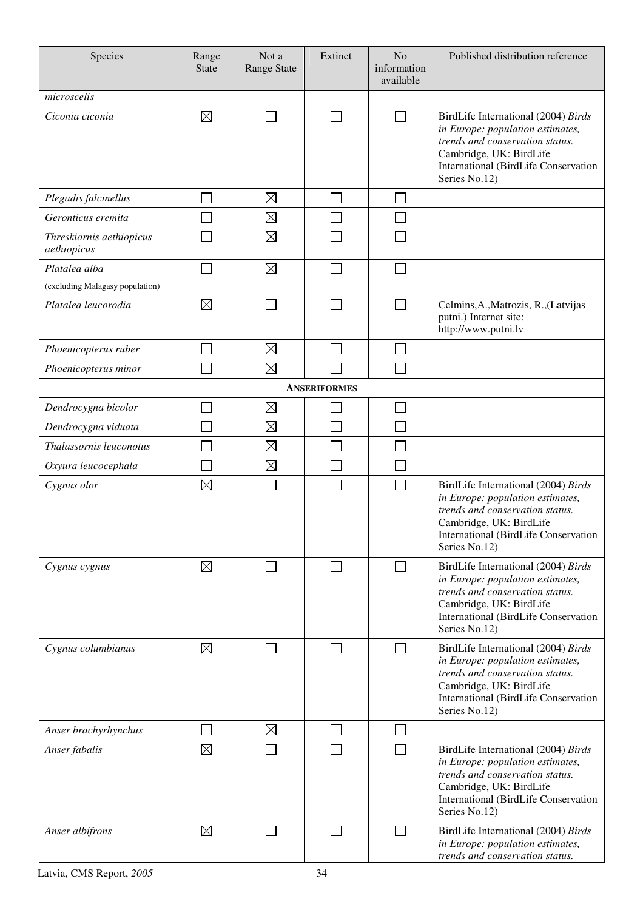| Species                                 | Range<br><b>State</b> | Not a<br>Range State | Extinct             | N <sub>o</sub><br>information<br>available | Published distribution reference                                                                                                                                                               |
|-----------------------------------------|-----------------------|----------------------|---------------------|--------------------------------------------|------------------------------------------------------------------------------------------------------------------------------------------------------------------------------------------------|
| microscelis                             |                       |                      |                     |                                            |                                                                                                                                                                                                |
| Ciconia ciconia                         | $\boxtimes$           |                      |                     | П                                          | BirdLife International (2004) Birds<br>in Europe: population estimates,<br>trends and conservation status.<br>Cambridge, UK: BirdLife<br>International (BirdLife Conservation<br>Series No.12) |
| Plegadis falcinellus                    |                       | $\boxtimes$          | ×                   |                                            |                                                                                                                                                                                                |
| Geronticus eremita                      |                       | $\boxtimes$          |                     |                                            |                                                                                                                                                                                                |
| Threskiornis aethiopicus<br>aethiopicus |                       | $\boxtimes$          |                     |                                            |                                                                                                                                                                                                |
| Platalea alba                           |                       | $\boxtimes$          |                     |                                            |                                                                                                                                                                                                |
| (excluding Malagasy population)         |                       |                      |                     |                                            |                                                                                                                                                                                                |
| Platalea leucorodia                     | $\boxtimes$           |                      |                     |                                            | Celmins, A., Matrozis, R., (Latvijas<br>putni.) Internet site:<br>http://www.putni.lv                                                                                                          |
| Phoenicopterus ruber                    |                       | $\boxtimes$          |                     | Ξ                                          |                                                                                                                                                                                                |
| Phoenicopterus minor                    |                       | $\boxtimes$          |                     |                                            |                                                                                                                                                                                                |
|                                         |                       |                      | <b>ANSERIFORMES</b> |                                            |                                                                                                                                                                                                |
| Dendrocygna bicolor                     |                       | $\boxtimes$          |                     |                                            |                                                                                                                                                                                                |
| Dendrocygna viduata                     |                       | $\boxtimes$          |                     |                                            |                                                                                                                                                                                                |
| Thalassornis leuconotus                 |                       | $\boxtimes$          |                     |                                            |                                                                                                                                                                                                |
| Oxyura leucocephala                     |                       | $\boxtimes$          |                     |                                            |                                                                                                                                                                                                |
| Cygnus olor                             | $\boxtimes$           |                      |                     | Γ                                          | BirdLife International (2004) Birds<br>in Europe: population estimates,<br>trends and conservation status.<br>Cambridge, UK: BirdLife<br>International (BirdLife Conservation<br>Series No.12) |
| Cygnus cygnus                           | $\boxtimes$           |                      |                     | $\overline{\phantom{0}}$                   | BirdLife International (2004) Birds<br>in Europe: population estimates,<br>trends and conservation status.<br>Cambridge, UK: BirdLife<br>International (BirdLife Conservation<br>Series No.12) |
| Cygnus columbianus                      | $\boxtimes$           |                      |                     | $\Box$                                     | BirdLife International (2004) Birds<br>in Europe: population estimates,<br>trends and conservation status.<br>Cambridge, UK: BirdLife<br>International (BirdLife Conservation<br>Series No.12) |
| Anser brachyrhynchus                    |                       | $\boxtimes$          | $\sim$              | $\mathcal{L}_{\mathcal{A}}$                |                                                                                                                                                                                                |
| Anser fabalis                           | $\boxtimes$           |                      |                     | $\overline{\phantom{0}}$                   | BirdLife International (2004) Birds<br>in Europe: population estimates,<br>trends and conservation status.<br>Cambridge, UK: BirdLife<br>International (BirdLife Conservation<br>Series No.12) |
| Anser albifrons                         | $\boxtimes$           |                      |                     | $\Box$                                     | BirdLife International (2004) Birds<br>in Europe: population estimates,<br>trends and conservation status.                                                                                     |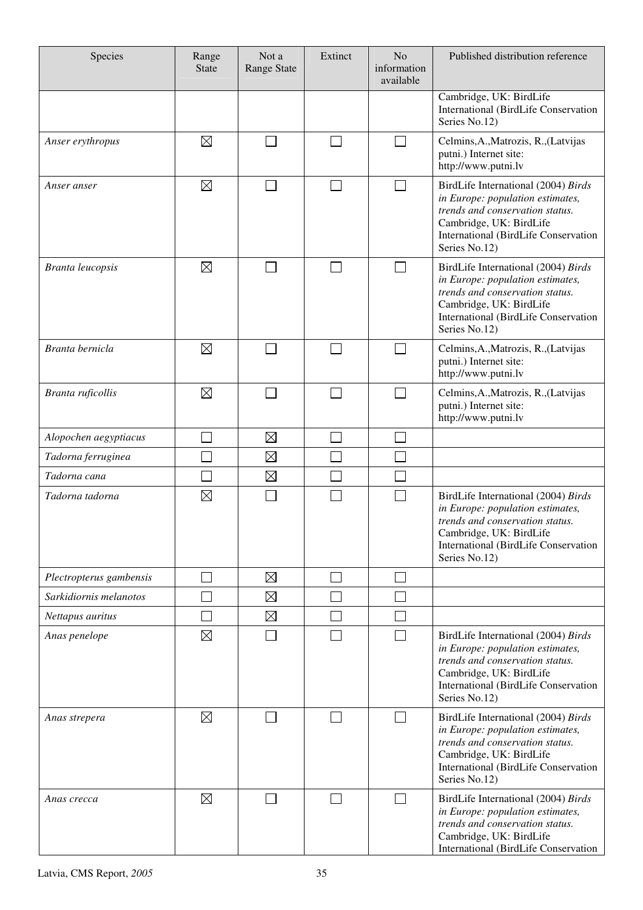| Species                 | Range<br><b>State</b> | Not a<br>Range State | Extinct                  | N <sub>o</sub><br>information<br>available | Published distribution reference                                                                                                                                                                      |
|-------------------------|-----------------------|----------------------|--------------------------|--------------------------------------------|-------------------------------------------------------------------------------------------------------------------------------------------------------------------------------------------------------|
|                         |                       |                      |                          |                                            | Cambridge, UK: BirdLife<br><b>International (BirdLife Conservation</b><br>Series No.12)                                                                                                               |
| Anser erythropus        | $\boxtimes$           |                      | $\Box$                   |                                            | Celmins, A., Matrozis, R., (Latvijas<br>putni.) Internet site:<br>http://www.putni.lv                                                                                                                 |
| Anser anser             | $\boxtimes$           |                      |                          |                                            | BirdLife International (2004) Birds<br>in Europe: population estimates,<br>trends and conservation status.<br>Cambridge, UK: BirdLife<br>International (BirdLife Conservation<br>Series No.12)        |
| <b>Branta leucopsis</b> | $\boxtimes$           |                      |                          | $\vert \ \ \vert$                          | BirdLife International (2004) Birds<br>in Europe: population estimates,<br>trends and conservation status.<br>Cambridge, UK: BirdLife<br><b>International (BirdLife Conservation</b><br>Series No.12) |
| Branta bernicla         | $\boxtimes$           |                      | $\overline{\phantom{0}}$ | $\Box$                                     | Celmins, A., Matrozis, R., (Latvijas<br>putni.) Internet site:<br>http://www.putni.lv                                                                                                                 |
| Branta ruficollis       | $\boxtimes$           |                      |                          |                                            | Celmins, A., Matrozis, R., (Latvijas<br>putni.) Internet site:<br>http://www.putni.lv                                                                                                                 |
| Alopochen aegyptiacus   |                       | $\boxtimes$          |                          |                                            |                                                                                                                                                                                                       |
| Tadorna ferruginea      |                       | $\boxtimes$          |                          |                                            |                                                                                                                                                                                                       |
| Tadorna cana            |                       | $\boxtimes$          |                          |                                            |                                                                                                                                                                                                       |
| Tadorna tadorna         | $\boxtimes$           |                      |                          |                                            | BirdLife International (2004) Birds<br>in Europe: population estimates,<br>trends and conservation status.<br>Cambridge, UK: BirdLife<br>International (BirdLife Conservation<br>Series No.12)        |
| Plectropterus gambensis | Ξ                     | $\boxtimes$          | ┐                        | $\mathcal{L}_{\mathcal{A}}$                |                                                                                                                                                                                                       |
| Sarkidiornis melanotos  |                       | $\boxtimes$          |                          |                                            |                                                                                                                                                                                                       |
| Nettapus auritus        |                       | $\boxtimes$          |                          |                                            |                                                                                                                                                                                                       |
| Anas penelope           | $\boxtimes$           |                      |                          | $\Box$                                     | BirdLife International (2004) Birds<br>in Europe: population estimates,<br>trends and conservation status.<br>Cambridge, UK: BirdLife<br>International (BirdLife Conservation<br>Series No.12)        |
| Anas strepera           | $\boxtimes$           |                      |                          | П                                          | BirdLife International (2004) Birds<br>in Europe: population estimates,<br>trends and conservation status.<br>Cambridge, UK: BirdLife<br>International (BirdLife Conservation<br>Series No.12)        |
| Anas crecca             | $\boxtimes$           |                      |                          |                                            | BirdLife International (2004) Birds<br>in Europe: population estimates,<br>trends and conservation status.<br>Cambridge, UK: BirdLife<br>International (BirdLife Conservation                         |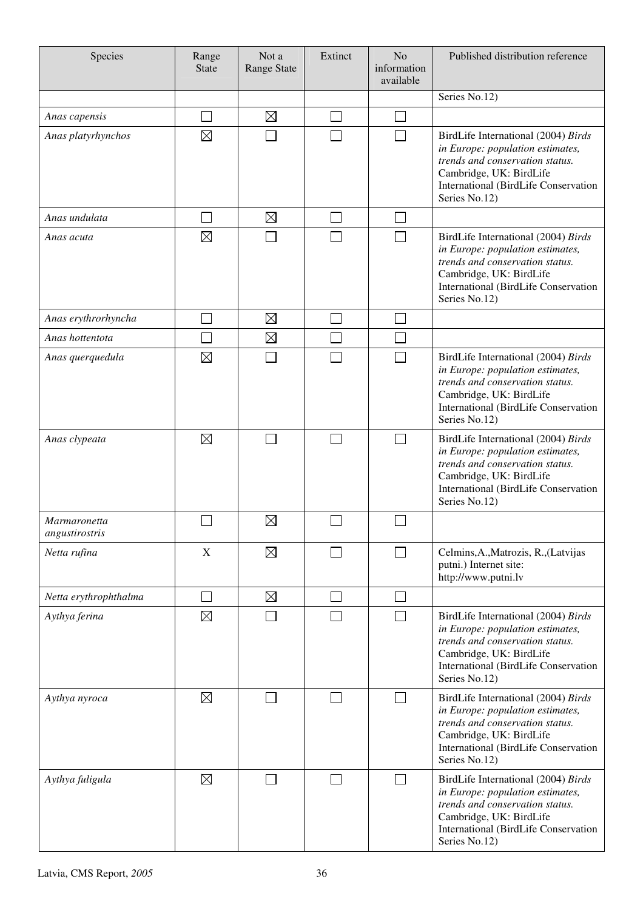| Species                               | Range<br><b>State</b> | Not a<br>Range State | Extinct | N <sub>o</sub><br>information<br>available | Published distribution reference                                                                                                                                                                      |
|---------------------------------------|-----------------------|----------------------|---------|--------------------------------------------|-------------------------------------------------------------------------------------------------------------------------------------------------------------------------------------------------------|
|                                       |                       |                      |         |                                            | Series No.12)                                                                                                                                                                                         |
| Anas capensis                         |                       | $\boxtimes$          |         | $\mathbb{R}^n$                             |                                                                                                                                                                                                       |
| Anas platyrhynchos                    | $\boxtimes$           |                      |         | $\Box$                                     | BirdLife International (2004) Birds<br>in Europe: population estimates,<br>trends and conservation status.<br>Cambridge, UK: BirdLife<br>International (BirdLife Conservation<br>Series No.12)        |
| Anas undulata                         |                       | $\boxtimes$          | ×.      | $\mathbb{R}^n$                             |                                                                                                                                                                                                       |
| Anas acuta                            | $\boxtimes$           |                      |         | $\mathbf{I}$                               | BirdLife International (2004) Birds<br>in Europe: population estimates,<br>trends and conservation status.<br>Cambridge, UK: BirdLife<br><b>International (BirdLife Conservation</b><br>Series No.12) |
| Anas erythrorhyncha                   |                       | $\boxtimes$          |         |                                            |                                                                                                                                                                                                       |
| Anas hottentota                       |                       | $\boxtimes$          |         |                                            |                                                                                                                                                                                                       |
| Anas querquedula                      | $\boxtimes$           |                      |         | Ξ                                          | BirdLife International (2004) Birds<br>in Europe: population estimates,<br>trends and conservation status.<br>Cambridge, UK: BirdLife<br>International (BirdLife Conservation<br>Series No.12)        |
| Anas clypeata                         | $\boxtimes$           |                      |         |                                            | BirdLife International (2004) Birds<br>in Europe: population estimates,<br>trends and conservation status.<br>Cambridge, UK: BirdLife<br>International (BirdLife Conservation<br>Series No.12)        |
| <i>Marmaronetta</i><br>angustirostris |                       | $\boxtimes$          |         |                                            |                                                                                                                                                                                                       |
| Netta rufina                          | X                     | $\boxtimes$          |         | $\sim$                                     | Celmins, A., Matrozis, R., (Latvijas<br>putni.) Internet site:<br>http://www.putni.lv                                                                                                                 |
| Netta erythrophthalma                 |                       | $\boxtimes$          |         | $\mathbb{R}^n$                             |                                                                                                                                                                                                       |
| Aythya ferina                         | $\boxtimes$           |                      |         | $\mathcal{L}_{\mathcal{A}}$                | BirdLife International (2004) Birds<br>in Europe: population estimates,<br>trends and conservation status.<br>Cambridge, UK: BirdLife<br>International (BirdLife Conservation<br>Series No.12)        |
| Aythya nyroca                         | $\boxtimes$           |                      |         | $\Box$                                     | BirdLife International (2004) Birds<br>in Europe: population estimates,<br>trends and conservation status.<br>Cambridge, UK: BirdLife<br>International (BirdLife Conservation<br>Series No.12)        |
| Aythya fuligula                       | $\boxtimes$           |                      | $\sim$  | П                                          | BirdLife International (2004) Birds<br>in Europe: population estimates,<br>trends and conservation status.<br>Cambridge, UK: BirdLife<br>International (BirdLife Conservation<br>Series No.12)        |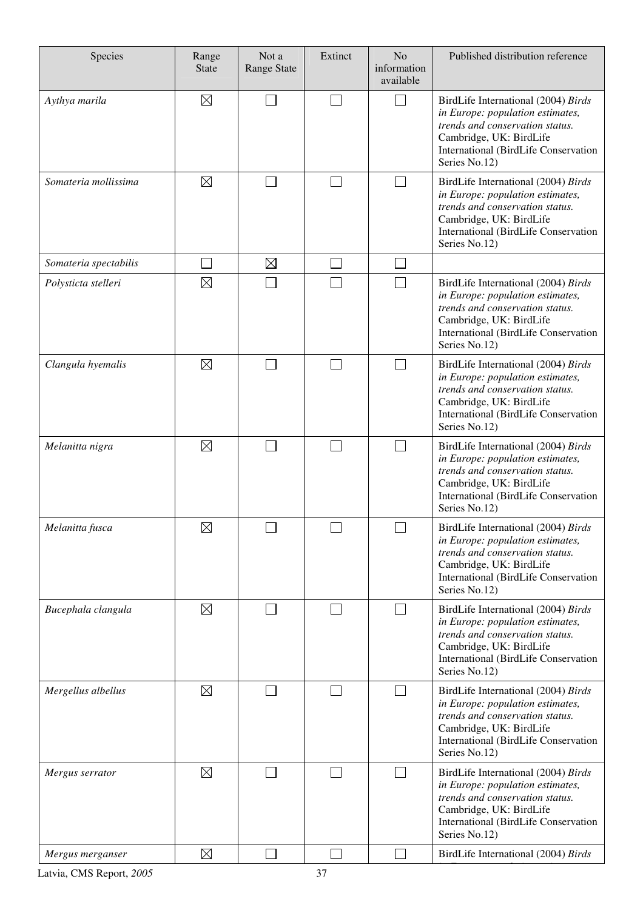| Species               | Range<br><b>State</b> | Not a<br><b>Range State</b> | Extinct        | N <sub>o</sub><br>information<br>available | Published distribution reference                                                                                                                                                               |
|-----------------------|-----------------------|-----------------------------|----------------|--------------------------------------------|------------------------------------------------------------------------------------------------------------------------------------------------------------------------------------------------|
| Aythya marila         | $\boxtimes$           | $\mathcal{L}_{\mathcal{A}}$ | $\blacksquare$ | $\Box$                                     | BirdLife International (2004) Birds<br>in Europe: population estimates,<br>trends and conservation status.<br>Cambridge, UK: BirdLife<br>International (BirdLife Conservation<br>Series No.12) |
| Somateria mollissima  | $\boxtimes$           |                             |                |                                            | BirdLife International (2004) Birds<br>in Europe: population estimates,<br>trends and conservation status.<br>Cambridge, UK: BirdLife<br>International (BirdLife Conservation<br>Series No.12) |
| Somateria spectabilis |                       | $\boxtimes$                 | $\sim$         | $\sim$                                     |                                                                                                                                                                                                |
| Polysticta stelleri   | $\boxtimes$           |                             |                | $\mathcal{L}_{\mathcal{A}}$                | BirdLife International (2004) Birds<br>in Europe: population estimates,<br>trends and conservation status.<br>Cambridge, UK: BirdLife<br>International (BirdLife Conservation<br>Series No.12) |
| Clangula hyemalis     | $\boxtimes$           |                             |                | $\sim$                                     | BirdLife International (2004) Birds<br>in Europe: population estimates,<br>trends and conservation status.<br>Cambridge, UK: BirdLife<br>International (BirdLife Conservation<br>Series No.12) |
| Melanitta nigra       | $\boxtimes$           |                             |                | $\mathcal{L}_{\mathcal{A}}$                | BirdLife International (2004) Birds<br>in Europe: population estimates,<br>trends and conservation status.<br>Cambridge, UK: BirdLife<br>International (BirdLife Conservation<br>Series No.12) |
| Melanitta fusca       | $\boxtimes$           |                             |                |                                            | BirdLife International (2004) Birds<br>in Europe: population estimates,<br>trends and conservation status.<br>Cambridge, UK: BirdLife<br>International (BirdLife Conservation<br>Series No.12) |
| Bucephala clangula    | $\boxtimes$           |                             |                | $\Box$                                     | BirdLife International (2004) Birds<br>in Europe: population estimates,<br>trends and conservation status.<br>Cambridge, UK: BirdLife<br>International (BirdLife Conservation<br>Series No.12) |
| Mergellus albellus    | $\boxtimes$           |                             |                | $\Box$                                     | BirdLife International (2004) Birds<br>in Europe: population estimates,<br>trends and conservation status.<br>Cambridge, UK: BirdLife<br>International (BirdLife Conservation<br>Series No.12) |
| Mergus serrator       | $\boxtimes$           |                             |                | $\sim$                                     | BirdLife International (2004) Birds<br>in Europe: population estimates,<br>trends and conservation status.<br>Cambridge, UK: BirdLife<br>International (BirdLife Conservation<br>Series No.12) |
| Mergus merganser      | $\boxtimes$           |                             |                |                                            | BirdLife International (2004) Birds                                                                                                                                                            |

*in Europe: population estimates,*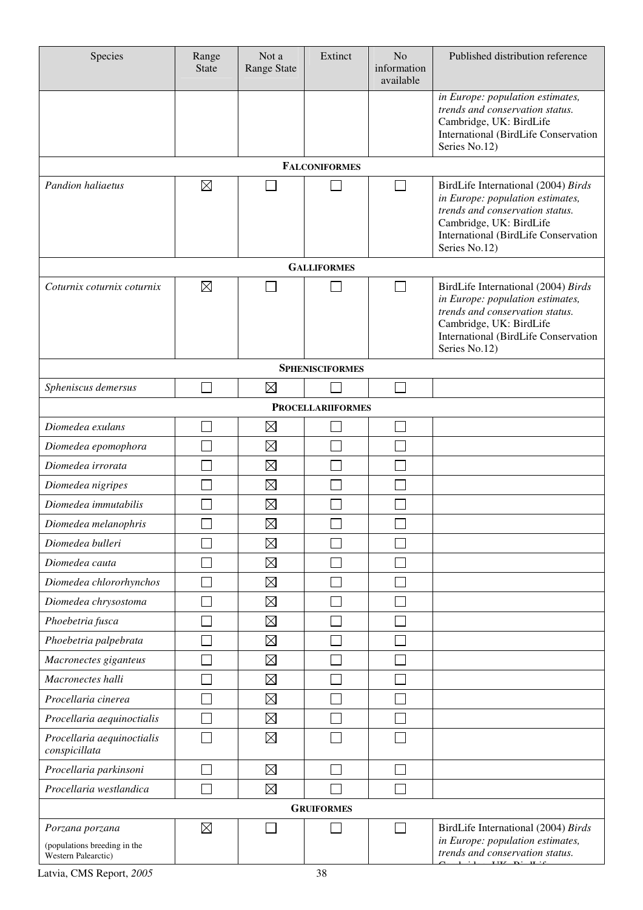| Species                                                                | Range<br><b>State</b> | Not a<br>Range State | Extinct                  | N <sub>o</sub><br>information<br>available | Published distribution reference                                                                                                                                                               |
|------------------------------------------------------------------------|-----------------------|----------------------|--------------------------|--------------------------------------------|------------------------------------------------------------------------------------------------------------------------------------------------------------------------------------------------|
|                                                                        |                       |                      |                          |                                            | in Europe: population estimates,<br>trends and conservation status.<br>Cambridge, UK: BirdLife<br>International (BirdLife Conservation<br>Series No.12)                                        |
|                                                                        |                       |                      | <b>FALCONIFORMES</b>     |                                            |                                                                                                                                                                                                |
| <b>Pandion haliaetus</b>                                               | $\boxtimes$           |                      |                          | $\mathcal{L}_{\mathcal{A}}$                | BirdLife International (2004) Birds<br>in Europe: population estimates,<br>trends and conservation status.<br>Cambridge, UK: BirdLife<br>International (BirdLife Conservation<br>Series No.12) |
|                                                                        |                       |                      | <b>GALLIFORMES</b>       |                                            |                                                                                                                                                                                                |
| Coturnix coturnix coturnix                                             | $\boxtimes$           |                      |                          | $\sim$                                     | BirdLife International (2004) Birds<br>in Europe: population estimates,<br>trends and conservation status.<br>Cambridge, UK: BirdLife<br>International (BirdLife Conservation<br>Series No.12) |
|                                                                        |                       |                      | <b>SPHENISCIFORMES</b>   |                                            |                                                                                                                                                                                                |
| Spheniscus demersus                                                    |                       | $\boxtimes$          |                          | $\mathbb{R}^2$                             |                                                                                                                                                                                                |
|                                                                        |                       |                      | <b>PROCELLARIIFORMES</b> |                                            |                                                                                                                                                                                                |
| Diomedea exulans                                                       |                       | $\boxtimes$          |                          |                                            |                                                                                                                                                                                                |
| Diomedea epomophora                                                    |                       | $\boxtimes$          |                          |                                            |                                                                                                                                                                                                |
| Diomedea irrorata                                                      |                       | $\boxtimes$          |                          |                                            |                                                                                                                                                                                                |
| Diomedea nigripes                                                      |                       | $\boxtimes$          |                          |                                            |                                                                                                                                                                                                |
| Diomedea immutabilis                                                   |                       | $\boxtimes$          |                          |                                            |                                                                                                                                                                                                |
| Diomedea melanophris                                                   |                       | $\boxtimes$          |                          |                                            |                                                                                                                                                                                                |
| Diomedea bulleri                                                       |                       | $\boxtimes$          |                          |                                            |                                                                                                                                                                                                |
| Diomedea cauta                                                         |                       | $\boxtimes$          |                          |                                            |                                                                                                                                                                                                |
| Diomedea chlororhynchos                                                |                       | $\boxtimes$          |                          |                                            |                                                                                                                                                                                                |
| Diomedea chrysostoma                                                   |                       | $\boxtimes$          |                          |                                            |                                                                                                                                                                                                |
| Phoebetria fusca                                                       |                       | $\boxtimes$          |                          |                                            |                                                                                                                                                                                                |
| Phoebetria palpebrata                                                  |                       | $\boxtimes$          |                          |                                            |                                                                                                                                                                                                |
| Macronectes giganteus                                                  |                       | $\boxtimes$          |                          |                                            |                                                                                                                                                                                                |
| Macronectes halli                                                      |                       | $\boxtimes$          |                          |                                            |                                                                                                                                                                                                |
| Procellaria cinerea                                                    |                       | $\boxtimes$          |                          |                                            |                                                                                                                                                                                                |
| Procellaria aequinoctialis                                             |                       | $\boxtimes$          |                          |                                            |                                                                                                                                                                                                |
| Procellaria aequinoctialis<br>conspicillata                            |                       | $\boxtimes$          |                          |                                            |                                                                                                                                                                                                |
| Procellaria parkinsoni                                                 |                       | $\boxtimes$          |                          |                                            |                                                                                                                                                                                                |
| Procellaria westlandica                                                |                       | $\boxtimes$          |                          |                                            |                                                                                                                                                                                                |
|                                                                        |                       |                      | <b>GRUIFORMES</b>        |                                            |                                                                                                                                                                                                |
| Porzana porzana<br>(populations breeding in the<br>Western Palearctic) | $\boxtimes$           |                      |                          |                                            | BirdLife International (2004) Birds<br>in Europe: population estimates,<br>trends and conservation status.<br>$1 + 1$ THE BL H $\le$                                                           |
| $\sim$ $\sim$                                                          |                       |                      |                          |                                            |                                                                                                                                                                                                |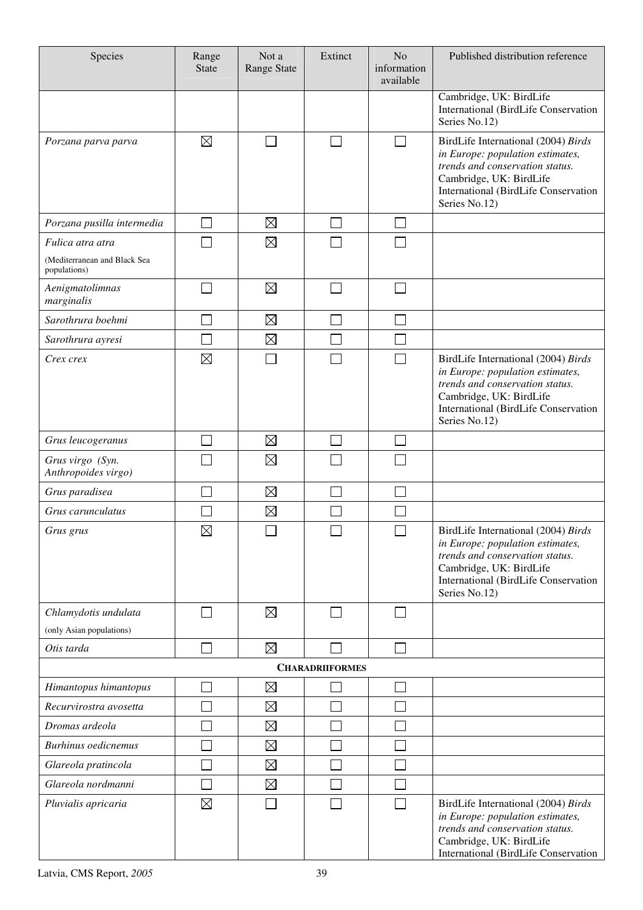| Species                                      | Range<br><b>State</b>       | Not a<br>Range State | Extinct                     | N <sub>o</sub><br>information<br>available | Published distribution reference                                                                                                                                                               |
|----------------------------------------------|-----------------------------|----------------------|-----------------------------|--------------------------------------------|------------------------------------------------------------------------------------------------------------------------------------------------------------------------------------------------|
|                                              |                             |                      |                             |                                            | Cambridge, UK: BirdLife<br>International (BirdLife Conservation<br>Series No.12)                                                                                                               |
| Porzana parva parva                          | $\boxtimes$                 |                      | $\mathcal{L}_{\mathcal{A}}$ | $\Box$                                     | BirdLife International (2004) Birds<br>in Europe: population estimates,<br>trends and conservation status.<br>Cambridge, UK: BirdLife<br>International (BirdLife Conservation<br>Series No.12) |
| Porzana pusilla intermedia                   |                             | $\boxtimes$          |                             |                                            |                                                                                                                                                                                                |
| Fulica atra atra                             |                             | $\boxtimes$          |                             |                                            |                                                                                                                                                                                                |
| (Mediterranean and Black Sea<br>populations) |                             |                      |                             |                                            |                                                                                                                                                                                                |
| Aenigmatolimnas<br>marginalis                | $\mathcal{L}_{\mathcal{A}}$ | $\boxtimes$          |                             |                                            |                                                                                                                                                                                                |
| Sarothrura boehmi                            |                             | $\boxtimes$          |                             |                                            |                                                                                                                                                                                                |
| Sarothrura ayresi                            |                             | $\boxtimes$          |                             |                                            |                                                                                                                                                                                                |
| Crex crex                                    | $\boxtimes$                 |                      |                             | $\mathcal{L}_{\mathcal{A}}$                | BirdLife International (2004) Birds<br>in Europe: population estimates,<br>trends and conservation status.<br>Cambridge, UK: BirdLife<br>International (BirdLife Conservation<br>Series No.12) |
| Grus leucogeranus                            |                             | $\boxtimes$          |                             |                                            |                                                                                                                                                                                                |
| Grus virgo (Syn.<br>Anthropoides virgo)      |                             | $\boxtimes$          |                             |                                            |                                                                                                                                                                                                |
| Grus paradisea                               |                             | $\boxtimes$          |                             |                                            |                                                                                                                                                                                                |
| Grus carunculatus                            |                             | $\boxtimes$          |                             |                                            |                                                                                                                                                                                                |
| Grus grus                                    | $\boxtimes$                 | П                    | П                           | $\Box$                                     | BirdLife International (2004) Birds<br>in Europe: population estimates,<br>trends and conservation status.<br>Cambridge, UK: BirdLife<br>International (BirdLife Conservation<br>Series No.12) |
| Chlamydotis undulata                         |                             | $\boxtimes$          |                             |                                            |                                                                                                                                                                                                |
| (only Asian populations)                     |                             |                      |                             |                                            |                                                                                                                                                                                                |
| Otis tarda                                   |                             | $\boxtimes$          |                             |                                            |                                                                                                                                                                                                |
|                                              |                             |                      | <b>CHARADRIIFORMES</b>      |                                            |                                                                                                                                                                                                |
| Himantopus himantopus                        |                             | $\boxtimes$          |                             |                                            |                                                                                                                                                                                                |
| Recurvirostra avosetta                       |                             | $\boxtimes$          |                             |                                            |                                                                                                                                                                                                |
| Dromas ardeola                               |                             | $\boxtimes$          |                             |                                            |                                                                                                                                                                                                |
| <b>Burhinus oedicnemus</b>                   |                             | $\boxtimes$          |                             |                                            |                                                                                                                                                                                                |
| Glareola pratincola                          |                             | $\boxtimes$          |                             |                                            |                                                                                                                                                                                                |
| Glareola nordmanni                           |                             | $\boxtimes$          |                             |                                            |                                                                                                                                                                                                |
| Pluvialis apricaria                          | $\boxtimes$                 |                      |                             |                                            | BirdLife International (2004) Birds<br>in Europe: population estimates,<br>trends and conservation status.<br>Cambridge, UK: BirdLife<br>International (BirdLife Conservation                  |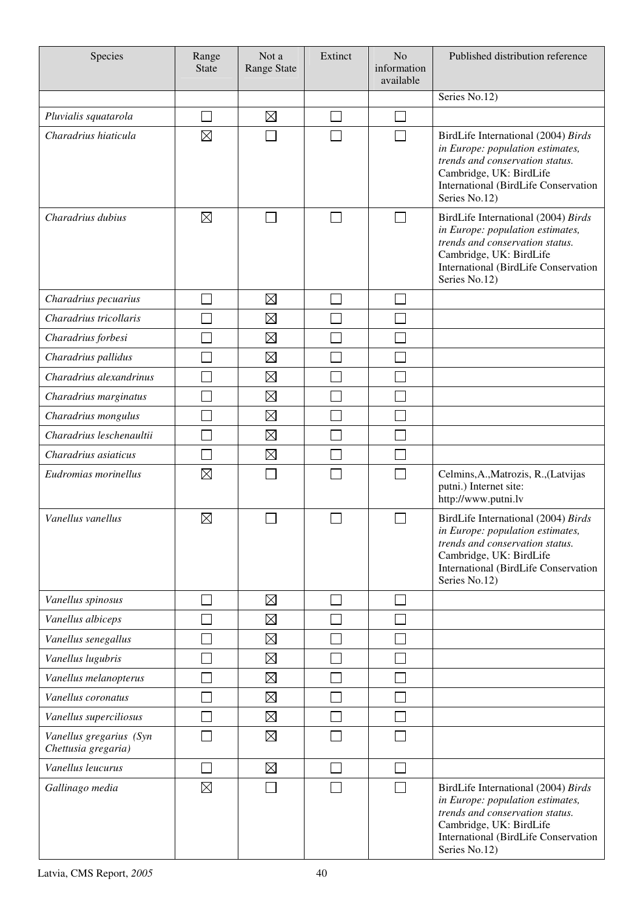| Species                                        | Range<br><b>State</b>       | Not a<br>Range State | Extinct | N <sub>o</sub><br>information<br>available | Published distribution reference                                                                                                                                                               |
|------------------------------------------------|-----------------------------|----------------------|---------|--------------------------------------------|------------------------------------------------------------------------------------------------------------------------------------------------------------------------------------------------|
|                                                |                             |                      |         |                                            | Series No.12)                                                                                                                                                                                  |
| Pluvialis squatarola                           | П                           | $\boxtimes$          |         |                                            |                                                                                                                                                                                                |
| Charadrius hiaticula                           | $\boxtimes$                 |                      |         |                                            | BirdLife International (2004) Birds<br>in Europe: population estimates,<br>trends and conservation status.<br>Cambridge, UK: BirdLife<br>International (BirdLife Conservation<br>Series No.12) |
| Charadrius dubius                              | $\boxtimes$                 |                      | $\sim$  | $\vert \ \ \vert$                          | BirdLife International (2004) Birds<br>in Europe: population estimates,<br>trends and conservation status.<br>Cambridge, UK: BirdLife<br>International (BirdLife Conservation<br>Series No.12) |
| Charadrius pecuarius                           |                             | $\boxtimes$          |         |                                            |                                                                                                                                                                                                |
| Charadrius tricollaris                         |                             | $\boxtimes$          |         |                                            |                                                                                                                                                                                                |
| Charadrius forbesi                             |                             | $\boxtimes$          |         |                                            |                                                                                                                                                                                                |
| Charadrius pallidus                            |                             | $\boxtimes$          |         |                                            |                                                                                                                                                                                                |
| Charadrius alexandrinus                        |                             | $\boxtimes$          |         |                                            |                                                                                                                                                                                                |
| Charadrius marginatus                          |                             | $\boxtimes$          |         |                                            |                                                                                                                                                                                                |
| Charadrius mongulus                            |                             | $\boxtimes$          |         |                                            |                                                                                                                                                                                                |
| Charadrius leschenaultii                       |                             | $\boxtimes$          |         |                                            |                                                                                                                                                                                                |
| Charadrius asiaticus                           |                             | $\boxtimes$          |         |                                            |                                                                                                                                                                                                |
| Eudromias morinellus                           | $\boxtimes$                 |                      |         |                                            | Celmins, A., Matrozis, R., (Latvijas<br>putni.) Internet site:<br>http://www.putni.lv                                                                                                          |
| Vanellus vanellus                              | $\boxtimes$                 |                      |         |                                            | BirdLife International (2004) Birds<br>in Europe: population estimates,<br>trends and conservation status.<br>Cambridge, UK: BirdLife<br>International (BirdLife Conservation<br>Series No.12) |
| Vanellus spinosus                              | $\mathbb{R}^2$              | $\boxtimes$          | $\sim$  | $\mathcal{L}_{\mathcal{A}}$                |                                                                                                                                                                                                |
| Vanellus albiceps                              |                             | $\boxtimes$          |         |                                            |                                                                                                                                                                                                |
| Vanellus senegallus                            |                             | $\boxtimes$          |         |                                            |                                                                                                                                                                                                |
| Vanellus lugubris                              |                             | $\boxtimes$          |         |                                            |                                                                                                                                                                                                |
| Vanellus melanopterus                          |                             | $\boxtimes$          |         |                                            |                                                                                                                                                                                                |
| Vanellus coronatus                             |                             | $\boxtimes$          |         |                                            |                                                                                                                                                                                                |
| Vanellus superciliosus                         |                             | $\boxtimes$          |         |                                            |                                                                                                                                                                                                |
| Vanellus gregarius (Syn<br>Chettusia gregaria) |                             | $\boxtimes$          |         |                                            |                                                                                                                                                                                                |
| Vanellus leucurus                              | $\mathcal{L}_{\mathcal{A}}$ | $\boxtimes$          | ×.      | $\mathcal{L}_{\mathcal{A}}$                |                                                                                                                                                                                                |
| Gallinago media                                | $\boxtimes$                 |                      |         |                                            | BirdLife International (2004) Birds<br>in Europe: population estimates,<br>trends and conservation status.<br>Cambridge, UK: BirdLife<br>International (BirdLife Conservation<br>Series No.12) |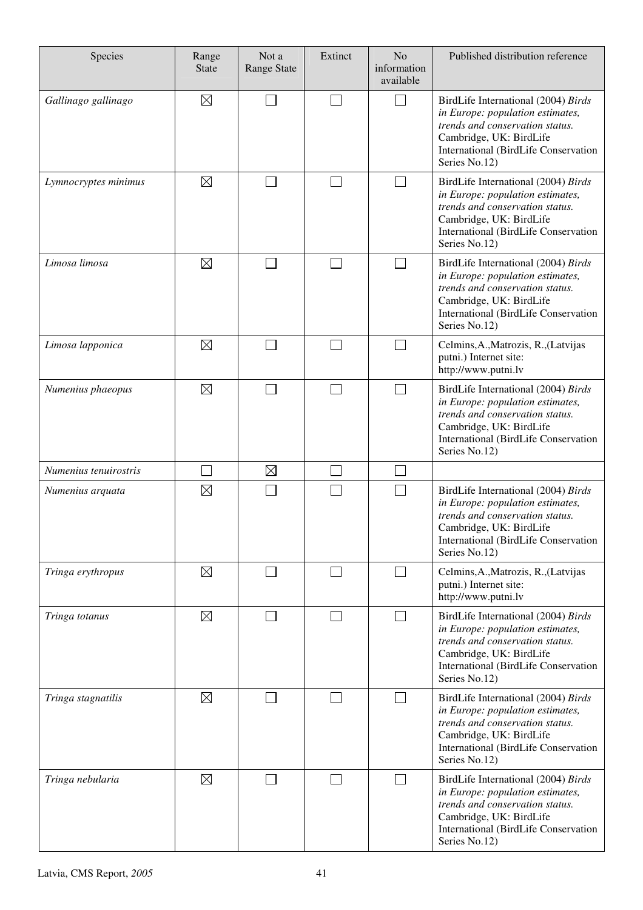| Species               | Range<br><b>State</b> | Not a<br><b>Range State</b> | Extinct                  | N <sub>o</sub><br>information<br>available | Published distribution reference                                                                                                                                                               |
|-----------------------|-----------------------|-----------------------------|--------------------------|--------------------------------------------|------------------------------------------------------------------------------------------------------------------------------------------------------------------------------------------------|
| Gallinago gallinago   | $\boxtimes$           |                             |                          | $\blacksquare$                             | BirdLife International (2004) Birds<br>in Europe: population estimates,<br>trends and conservation status.<br>Cambridge, UK: BirdLife<br>International (BirdLife Conservation<br>Series No.12) |
| Lymnocryptes minimus  | $\boxtimes$           |                             | $\sim$                   | $\sim$                                     | BirdLife International (2004) Birds<br>in Europe: population estimates,<br>trends and conservation status.<br>Cambridge, UK: BirdLife<br>International (BirdLife Conservation<br>Series No.12) |
| Limosa limosa         | $\boxtimes$           |                             |                          |                                            | BirdLife International (2004) Birds<br>in Europe: population estimates,<br>trends and conservation status.<br>Cambridge, UK: BirdLife<br>International (BirdLife Conservation<br>Series No.12) |
| Limosa lapponica      | $\boxtimes$           |                             |                          | $\overline{\phantom{0}}$                   | Celmins, A., Matrozis, R., (Latvijas<br>putni.) Internet site:<br>http://www.putni.lv                                                                                                          |
| Numenius phaeopus     | $\boxtimes$           |                             |                          | ┓                                          | BirdLife International (2004) Birds<br>in Europe: population estimates,<br>trends and conservation status.<br>Cambridge, UK: BirdLife<br>International (BirdLife Conservation<br>Series No.12) |
| Numenius tenuirostris |                       | $\boxtimes$                 |                          |                                            |                                                                                                                                                                                                |
| Numenius arquata      | $\boxtimes$           |                             |                          |                                            | BirdLife International (2004) Birds<br>in Europe: population estimates,<br>trends and conservation status.<br>Cambridge, UK: BirdLife<br>International (BirdLife Conservation<br>Series No.12) |
| Tringa erythropus     | $\boxtimes$           |                             |                          | $\overline{\phantom{0}}$                   | Celmins, A., Matrozis, R., (Latvijas<br>putni.) Internet site:<br>http://www.putni.lv                                                                                                          |
| Tringa totanus        | $\boxtimes$           |                             | $\overline{\phantom{a}}$ | ┓                                          | BirdLife International (2004) Birds<br>in Europe: population estimates,<br>trends and conservation status.<br>Cambridge, UK: BirdLife<br>International (BirdLife Conservation<br>Series No.12) |
| Tringa stagnatilis    | $\boxtimes$           |                             |                          |                                            | BirdLife International (2004) Birds<br>in Europe: population estimates,<br>trends and conservation status.<br>Cambridge, UK: BirdLife<br>International (BirdLife Conservation<br>Series No.12) |
| Tringa nebularia      | $\boxtimes$           |                             |                          | $\overline{\phantom{a}}$                   | BirdLife International (2004) Birds<br>in Europe: population estimates,<br>trends and conservation status.<br>Cambridge, UK: BirdLife<br>International (BirdLife Conservation<br>Series No.12) |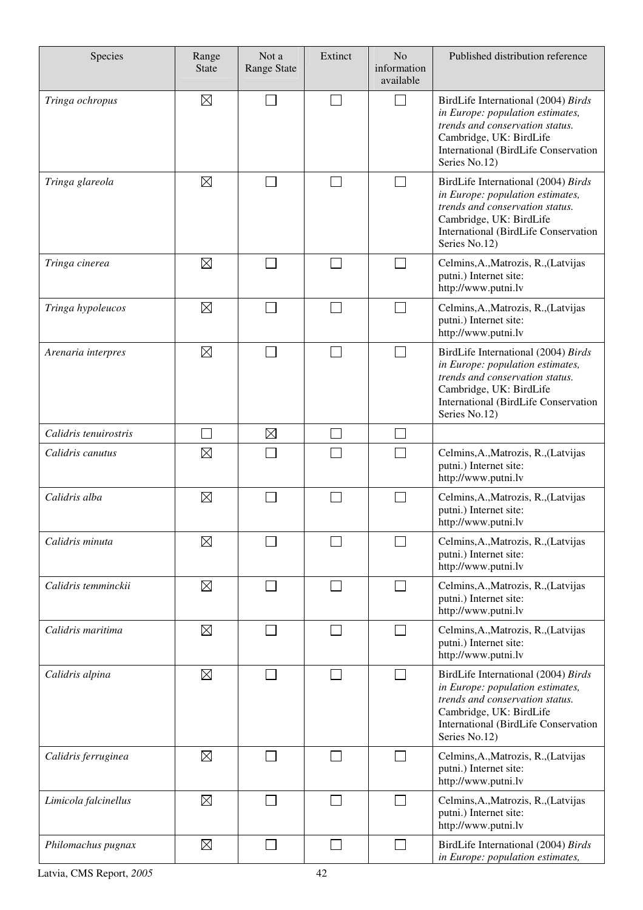| Species               | Range<br><b>State</b> | Not a<br><b>Range State</b> | Extinct | N <sub>o</sub><br>information<br>available | Published distribution reference                                                                                                                                                               |
|-----------------------|-----------------------|-----------------------------|---------|--------------------------------------------|------------------------------------------------------------------------------------------------------------------------------------------------------------------------------------------------|
| Tringa ochropus       | $\boxtimes$           |                             |         | $\mathcal{L}_{\mathcal{A}}$                | BirdLife International (2004) Birds<br>in Europe: population estimates,<br>trends and conservation status.<br>Cambridge, UK: BirdLife<br>International (BirdLife Conservation<br>Series No.12) |
| Tringa glareola       | $\boxtimes$           |                             |         | $\mathcal{L}_{\mathcal{A}}$                | BirdLife International (2004) Birds<br>in Europe: population estimates,<br>trends and conservation status.<br>Cambridge, UK: BirdLife<br>International (BirdLife Conservation<br>Series No.12) |
| Tringa cinerea        | $\boxtimes$           |                             |         |                                            | Celmins, A., Matrozis, R., (Latvijas<br>putni.) Internet site:<br>http://www.putni.lv                                                                                                          |
| Tringa hypoleucos     | $\boxtimes$           |                             |         | $\sim$                                     | Celmins, A., Matrozis, R., (Latvijas<br>putni.) Internet site:<br>http://www.putni.lv                                                                                                          |
| Arenaria interpres    | $\boxtimes$           |                             |         | $\sim$                                     | BirdLife International (2004) Birds<br>in Europe: population estimates,<br>trends and conservation status.<br>Cambridge, UK: BirdLife<br>International (BirdLife Conservation<br>Series No.12) |
| Calidris tenuirostris |                       | $\boxtimes$                 |         |                                            |                                                                                                                                                                                                |
| Calidris canutus      | $\boxtimes$           |                             |         |                                            | Celmins, A., Matrozis, R., (Latvijas<br>putni.) Internet site:<br>http://www.putni.lv                                                                                                          |
| Calidris alba         | $\boxtimes$           |                             |         |                                            | Celmins, A., Matrozis, R., (Latvijas<br>putni.) Internet site:<br>http://www.putni.lv                                                                                                          |
| Calidris minuta       | $\boxtimes$           |                             |         | $\mathcal{L}$                              | Celmins, A., Matrozis, R., (Latvijas<br>putni.) Internet site:<br>http://www.putni.lv                                                                                                          |
| Calidris temminckii   | $\boxtimes$           |                             |         | $\mathbb{R}^n$                             | Celmins, A., Matrozis, R., (Latvijas<br>putni.) Internet site:<br>http://www.putni.lv                                                                                                          |
| Calidris maritima     | $\boxtimes$           |                             |         | $\sim$                                     | Celmins, A., Matrozis, R., (Latvijas<br>putni.) Internet site:<br>http://www.putni.lv                                                                                                          |
| Calidris alpina       | $\boxtimes$           |                             |         | $\Box$                                     | BirdLife International (2004) Birds<br>in Europe: population estimates,<br>trends and conservation status.<br>Cambridge, UK: BirdLife<br>International (BirdLife Conservation<br>Series No.12) |
| Calidris ferruginea   | $\boxtimes$           |                             |         | $\mathcal{L}$                              | Celmins, A., Matrozis, R., (Latvijas<br>putni.) Internet site:<br>http://www.putni.lv                                                                                                          |
| Limicola falcinellus  | $\boxtimes$           |                             |         | $\mathcal{L}$                              | Celmins, A., Matrozis, R., (Latvijas<br>putni.) Internet site:<br>http://www.putni.lv                                                                                                          |
| Philomachus pugnax    | $\boxtimes$           | L                           |         | $\mathbb{R}^n$                             | BirdLife International (2004) Birds<br>in Europe: population estimates,                                                                                                                        |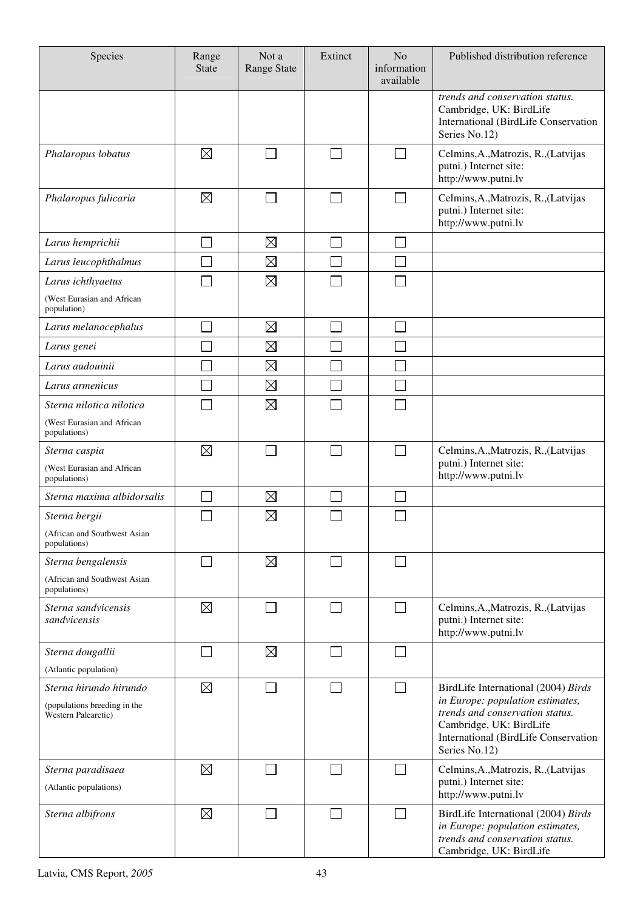| Species                                             | Range<br><b>State</b> | Not a<br><b>Range State</b> | Extinct | N <sub>o</sub><br>information<br>available | Published distribution reference                                                                                                      |
|-----------------------------------------------------|-----------------------|-----------------------------|---------|--------------------------------------------|---------------------------------------------------------------------------------------------------------------------------------------|
|                                                     |                       |                             |         |                                            | trends and conservation status.<br>Cambridge, UK: BirdLife<br>International (BirdLife Conservation<br>Series No.12)                   |
| Phalaropus lobatus                                  | $\boxtimes$           |                             |         | $\sim$                                     | Celmins, A., Matrozis, R., (Latvijas<br>putni.) Internet site:<br>http://www.putni.lv                                                 |
| Phalaropus fulicaria                                | $\boxtimes$           |                             |         | $\mathcal{L}$                              | Celmins, A., Matrozis, R., (Latvijas<br>putni.) Internet site:<br>http://www.putni.lv                                                 |
| Larus hemprichii                                    |                       | $\boxtimes$                 |         |                                            |                                                                                                                                       |
| Larus leucophthalmus                                |                       | $\boxtimes$                 |         |                                            |                                                                                                                                       |
| Larus ichthyaetus                                   |                       | $\boxtimes$                 |         |                                            |                                                                                                                                       |
| (West Eurasian and African<br>population)           |                       |                             |         |                                            |                                                                                                                                       |
| Larus melanocephalus                                |                       | $\boxtimes$                 |         |                                            |                                                                                                                                       |
| Larus genei                                         |                       | $\boxtimes$                 |         |                                            |                                                                                                                                       |
| Larus audouinii                                     |                       | $\boxtimes$                 |         |                                            |                                                                                                                                       |
| Larus armenicus                                     |                       | $\boxtimes$                 |         |                                            |                                                                                                                                       |
| Sterna nilotica nilotica                            |                       | $\boxtimes$                 |         |                                            |                                                                                                                                       |
| (West Eurasian and African<br>populations)          |                       |                             |         |                                            |                                                                                                                                       |
| Sterna caspia                                       | $\boxtimes$           |                             |         | $\mathcal{L}_{\mathcal{A}}$                | Celmins, A., Matrozis, R., (Latvijas                                                                                                  |
| (West Eurasian and African<br>populations)          |                       |                             |         |                                            | putni.) Internet site:<br>http://www.putni.lv                                                                                         |
| Sterna maxima albidorsalis                          |                       | $\boxtimes$                 |         |                                            |                                                                                                                                       |
| Sterna bergii                                       |                       | $\boxtimes$                 |         |                                            |                                                                                                                                       |
| (African and Southwest Asian<br>populations)        |                       |                             |         |                                            |                                                                                                                                       |
| Sterna bengalensis                                  |                       | $\boxtimes$                 |         | $\sim$                                     |                                                                                                                                       |
| (African and Southwest Asian<br>populations)        |                       |                             |         |                                            |                                                                                                                                       |
| Sterna sandvicensis<br>sandvicensis                 | $\boxtimes$           |                             |         | $\mathcal{L}$                              | Celmins, A., Matrozis, R., (Latvijas<br>putni.) Internet site:<br>http://www.putni.lv                                                 |
| Sterna dougallii                                    |                       | $\boxtimes$                 |         | $\mathcal{L}_{\mathcal{A}}$                |                                                                                                                                       |
| (Atlantic population)                               |                       |                             |         |                                            |                                                                                                                                       |
| Sterna hirundo hirundo                              | $\boxtimes$           |                             |         |                                            | BirdLife International (2004) Birds<br>in Europe: population estimates,                                                               |
| (populations breeding in the<br>Western Palearctic) |                       |                             |         |                                            | trends and conservation status.<br>Cambridge, UK: BirdLife<br>International (BirdLife Conservation<br>Series No.12)                   |
| Sterna paradisaea                                   | $\boxtimes$           |                             |         | $\mathcal{L}_{\mathcal{A}}$                | Celmins, A., Matrozis, R., (Latvijas<br>putni.) Internet site:                                                                        |
| (Atlantic populations)                              |                       |                             |         |                                            | http://www.putni.lv                                                                                                                   |
| Sterna albifrons                                    | $\boxtimes$           |                             |         | $\mathcal{L}$                              | BirdLife International (2004) Birds<br>in Europe: population estimates,<br>trends and conservation status.<br>Cambridge, UK: BirdLife |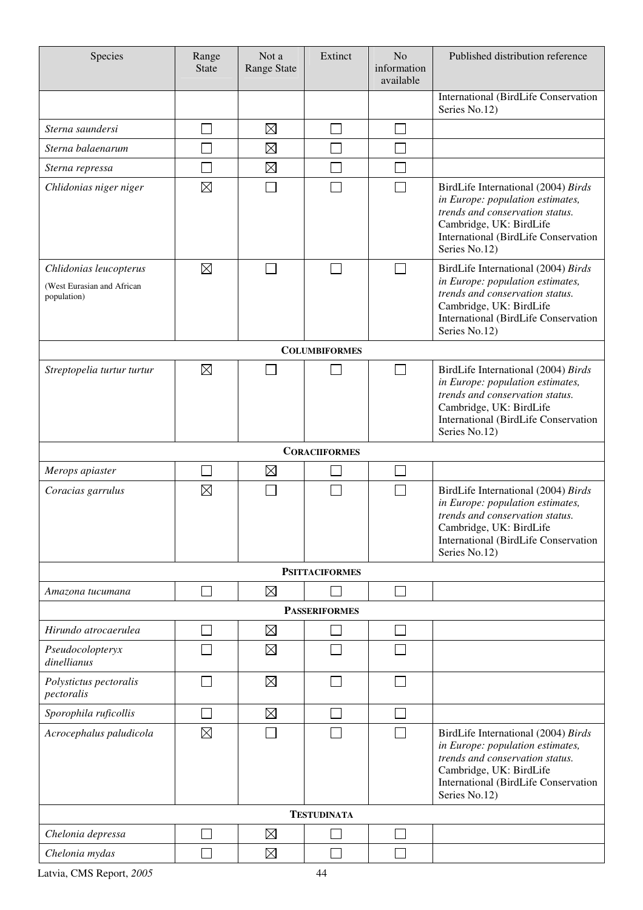| Species                                                             | Range<br><b>State</b> | Not a<br>Range State | Extinct              | N <sub>o</sub><br>information<br>available | Published distribution reference                                                                                                                                                                      |
|---------------------------------------------------------------------|-----------------------|----------------------|----------------------|--------------------------------------------|-------------------------------------------------------------------------------------------------------------------------------------------------------------------------------------------------------|
|                                                                     |                       |                      |                      |                                            | International (BirdLife Conservation<br>Series No.12)                                                                                                                                                 |
| Sterna saundersi                                                    |                       | $\boxtimes$          |                      |                                            |                                                                                                                                                                                                       |
| Sterna balaenarum                                                   |                       | $\boxtimes$          |                      |                                            |                                                                                                                                                                                                       |
| Sterna repressa                                                     |                       | $\boxtimes$          |                      |                                            |                                                                                                                                                                                                       |
| Chlidonias niger niger                                              | $\boxtimes$           |                      |                      |                                            | BirdLife International (2004) Birds<br>in Europe: population estimates,<br>trends and conservation status.<br>Cambridge, UK: BirdLife<br>International (BirdLife Conservation<br>Series No.12)        |
| Chlidonias leucopterus<br>(West Eurasian and African<br>population) | $\boxtimes$           |                      | e i                  |                                            | BirdLife International (2004) Birds<br>in Europe: population estimates,<br>trends and conservation status.<br>Cambridge, UK: BirdLife<br><b>International (BirdLife Conservation</b><br>Series No.12) |
|                                                                     |                       |                      | <b>COLUMBIFORMES</b> |                                            |                                                                                                                                                                                                       |
| Streptopelia turtur turtur                                          | $\boxtimes$           |                      |                      |                                            | BirdLife International (2004) Birds<br>in Europe: population estimates,<br>trends and conservation status.<br>Cambridge, UK: BirdLife<br>International (BirdLife Conservation<br>Series No.12)        |
|                                                                     |                       |                      | <b>CORACIIFORMES</b> |                                            |                                                                                                                                                                                                       |
| Merops apiaster                                                     |                       | $\boxtimes$          |                      |                                            |                                                                                                                                                                                                       |
| Coracias garrulus                                                   | $\boxtimes$           |                      |                      |                                            | BirdLife International (2004) Birds<br>in Europe: population estimates,<br>trends and conservation status.<br>Cambridge, UK: BirdLife<br>International (BirdLife Conservation<br>Series No.12)        |
| <b>PSITTACIFORMES</b>                                               |                       |                      |                      |                                            |                                                                                                                                                                                                       |
| Amazona tucumana                                                    |                       | $\boxtimes$          |                      |                                            |                                                                                                                                                                                                       |
|                                                                     |                       |                      | <b>PASSERIFORMES</b> |                                            |                                                                                                                                                                                                       |
| Hirundo atrocaerulea                                                |                       | $\boxtimes$          |                      |                                            |                                                                                                                                                                                                       |
| Pseudocolopteryx<br>dinellianus                                     |                       | $\boxtimes$          |                      |                                            |                                                                                                                                                                                                       |
| Polystictus pectoralis<br>pectoralis                                |                       | $\boxtimes$          |                      |                                            |                                                                                                                                                                                                       |
| Sporophila ruficollis                                               |                       | $\boxtimes$          |                      |                                            |                                                                                                                                                                                                       |
| Acrocephalus paludicola                                             | $\boxtimes$           |                      |                      |                                            | BirdLife International (2004) Birds<br>in Europe: population estimates,<br>trends and conservation status.<br>Cambridge, UK: BirdLife<br>International (BirdLife Conservation<br>Series No.12)        |
|                                                                     | <b>TESTUDINATA</b>    |                      |                      |                                            |                                                                                                                                                                                                       |
| Chelonia depressa                                                   |                       | $\boxtimes$          |                      |                                            |                                                                                                                                                                                                       |
| Chelonia mydas                                                      |                       | $\boxtimes$          |                      |                                            |                                                                                                                                                                                                       |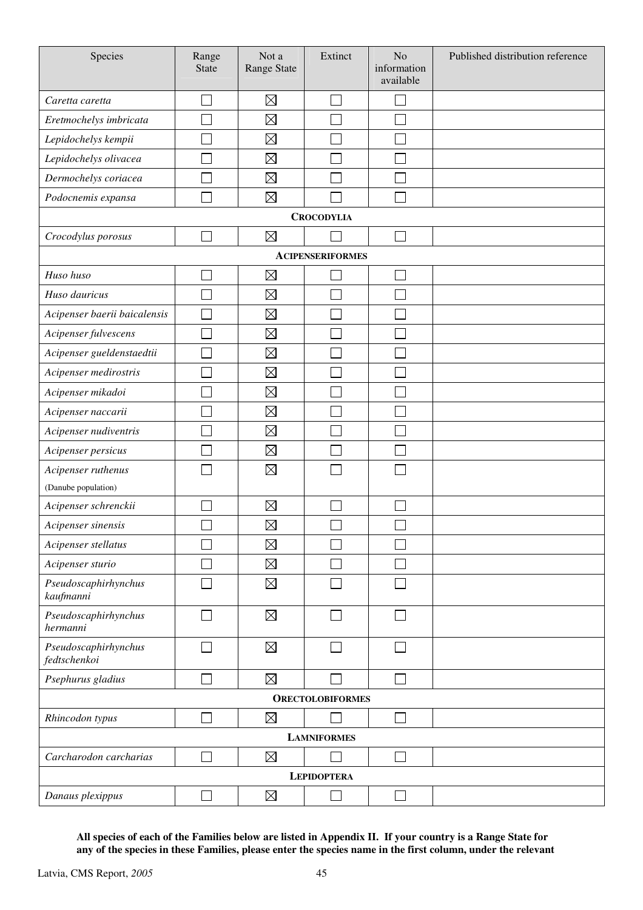| Species                              | Range<br>State              | Not a<br>Range State | Extinct                 | No<br>information<br>available | Published distribution reference |  |
|--------------------------------------|-----------------------------|----------------------|-------------------------|--------------------------------|----------------------------------|--|
| Caretta caretta                      |                             | $\boxtimes$          |                         |                                |                                  |  |
| Eretmochelys imbricata               |                             | $\boxtimes$          |                         |                                |                                  |  |
| Lepidochelys kempii                  |                             | $\boxtimes$          |                         |                                |                                  |  |
| Lepidochelys olivacea                |                             | $\boxtimes$          |                         |                                |                                  |  |
| Dermochelys coriacea                 |                             | $\boxtimes$          |                         |                                |                                  |  |
| Podocnemis expansa                   |                             | $\boxtimes$          |                         |                                |                                  |  |
|                                      |                             |                      | <b>CROCODYLIA</b>       |                                |                                  |  |
| Crocodylus porosus                   |                             | $\boxtimes$          |                         |                                |                                  |  |
|                                      |                             |                      | <b>ACIPENSERIFORMES</b> |                                |                                  |  |
| Huso huso                            |                             | $\boxtimes$          |                         |                                |                                  |  |
| Huso dauricus                        |                             | $\boxtimes$          |                         |                                |                                  |  |
| Acipenser baerii baicalensis         |                             | $\boxtimes$          |                         |                                |                                  |  |
| Acipenser fulvescens                 |                             | $\boxtimes$          |                         |                                |                                  |  |
| Acipenser gueldenstaedtii            |                             | $\boxtimes$          |                         |                                |                                  |  |
| Acipenser medirostris                |                             | $\boxtimes$          |                         |                                |                                  |  |
| Acipenser mikadoi                    |                             | $\boxtimes$          |                         |                                |                                  |  |
| Acipenser naccarii                   |                             | $\boxtimes$          |                         |                                |                                  |  |
| Acipenser nudiventris                |                             | $\boxtimes$          |                         |                                |                                  |  |
| Acipenser persicus                   |                             | $\boxtimes$          |                         |                                |                                  |  |
| Acipenser ruthenus                   |                             | $\boxtimes$          |                         |                                |                                  |  |
| (Danube population)                  |                             |                      |                         |                                |                                  |  |
| Acipenser schrenckii                 |                             | $\boxtimes$          |                         |                                |                                  |  |
| Acipenser sinensis                   |                             | $\boxtimes$          |                         |                                |                                  |  |
| Acipenser stellatus                  |                             | $\boxtimes$          |                         |                                |                                  |  |
| Acipenser sturio                     |                             | $\boxtimes$          |                         |                                |                                  |  |
| Pseudoscaphirhynchus<br>kaufmanni    |                             | $\boxtimes$          |                         |                                |                                  |  |
| Pseudoscaphirhynchus<br>hermanni     | $\mathcal{L}_{\mathcal{A}}$ | $\boxtimes$          | П                       | П                              |                                  |  |
| Pseudoscaphirhynchus<br>fedtschenkoi |                             | $\boxtimes$          |                         |                                |                                  |  |
| Psephurus gladius                    |                             | $\boxtimes$          |                         | $\mathcal{L}_{\mathcal{A}}$    |                                  |  |
|                                      |                             |                      | <b>ORECTOLOBIFORMES</b> |                                |                                  |  |
| Rhincodon typus                      |                             | $\boxtimes$          |                         | $\mathcal{L}_{\mathcal{A}}$    |                                  |  |
|                                      |                             |                      | <b>LAMNIFORMES</b>      |                                |                                  |  |
| Carcharodon carcharias               |                             | $\boxtimes$          |                         | $\mathcal{L}$                  |                                  |  |
|                                      | <b>LEPIDOPTERA</b>          |                      |                         |                                |                                  |  |
| Danaus plexippus                     |                             | $\boxtimes$          |                         |                                |                                  |  |

**All species of each of the Families below are listed in Appendix II. If your country is a Range State for any of the species in these Families, please enter the species name in the first column, under the relevant**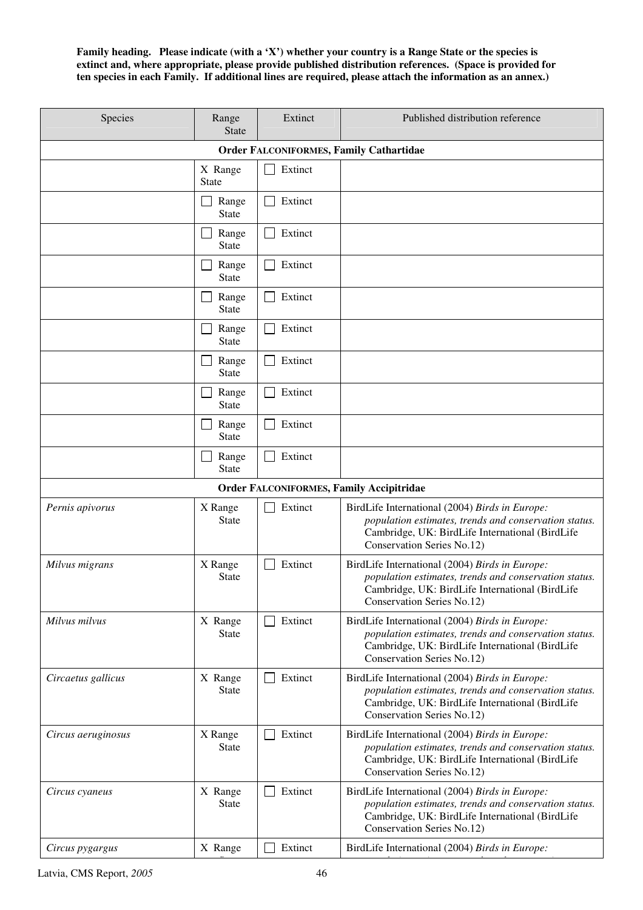**Family heading. Please indicate (with a 'X') whether your country is a Range State or the species is extinct and, where appropriate, please provide published distribution references. (Space is provided for ten species in each Family. If additional lines are required, please attach the information as an annex.)** 

| Species                                        | Range<br><b>State</b>   | Extinct | Published distribution reference                                                                                                                                                         |  |  |
|------------------------------------------------|-------------------------|---------|------------------------------------------------------------------------------------------------------------------------------------------------------------------------------------------|--|--|
| <b>Order FALCONIFORMES, Family Cathartidae</b> |                         |         |                                                                                                                                                                                          |  |  |
|                                                | X Range<br><b>State</b> | Extinct |                                                                                                                                                                                          |  |  |
|                                                | Range<br><b>State</b>   | Extinct |                                                                                                                                                                                          |  |  |
|                                                | Range<br><b>State</b>   | Extinct |                                                                                                                                                                                          |  |  |
|                                                | Range<br><b>State</b>   | Extinct |                                                                                                                                                                                          |  |  |
|                                                | Range<br><b>State</b>   | Extinct |                                                                                                                                                                                          |  |  |
|                                                | Range<br><b>State</b>   | Extinct |                                                                                                                                                                                          |  |  |
|                                                | Range<br><b>State</b>   | Extinct |                                                                                                                                                                                          |  |  |
|                                                | Range<br><b>State</b>   | Extinct |                                                                                                                                                                                          |  |  |
|                                                | Range<br><b>State</b>   | Extinct |                                                                                                                                                                                          |  |  |
|                                                | Range<br><b>State</b>   | Extinct |                                                                                                                                                                                          |  |  |
|                                                |                         |         | <b>Order FALCONIFORMES, Family Accipitridae</b>                                                                                                                                          |  |  |
| Pernis apivorus                                | X Range<br><b>State</b> | Extinct | BirdLife International (2004) Birds in Europe:<br>population estimates, trends and conservation status.<br>Cambridge, UK: BirdLife International (BirdLife<br>Conservation Series No.12) |  |  |
| Milvus migrans                                 | X Range<br><b>State</b> | Extinct | BirdLife International (2004) Birds in Europe:<br>population estimates, trends and conservation status.<br>Cambridge, UK: BirdLife International (BirdLife<br>Conservation Series No.12) |  |  |
| Milvus milvus                                  | X Range<br><b>State</b> | Extinct | BirdLife International (2004) Birds in Europe:<br>population estimates, trends and conservation status.<br>Cambridge, UK: BirdLife International (BirdLife<br>Conservation Series No.12) |  |  |
| Circaetus gallicus                             | X Range<br><b>State</b> | Extinct | BirdLife International (2004) Birds in Europe:<br>population estimates, trends and conservation status.<br>Cambridge, UK: BirdLife International (BirdLife<br>Conservation Series No.12) |  |  |
| Circus aeruginosus                             | X Range<br><b>State</b> | Extinct | BirdLife International (2004) Birds in Europe:<br>population estimates, trends and conservation status.<br>Cambridge, UK: BirdLife International (BirdLife<br>Conservation Series No.12) |  |  |
| Circus cyaneus                                 | X Range<br><b>State</b> | Extinct | BirdLife International (2004) Birds in Europe:<br>population estimates, trends and conservation status.<br>Cambridge, UK: BirdLife International (BirdLife<br>Conservation Series No.12) |  |  |
| Circus pygargus                                | X Range                 | Extinct | BirdLife International (2004) Birds in Europe:                                                                                                                                           |  |  |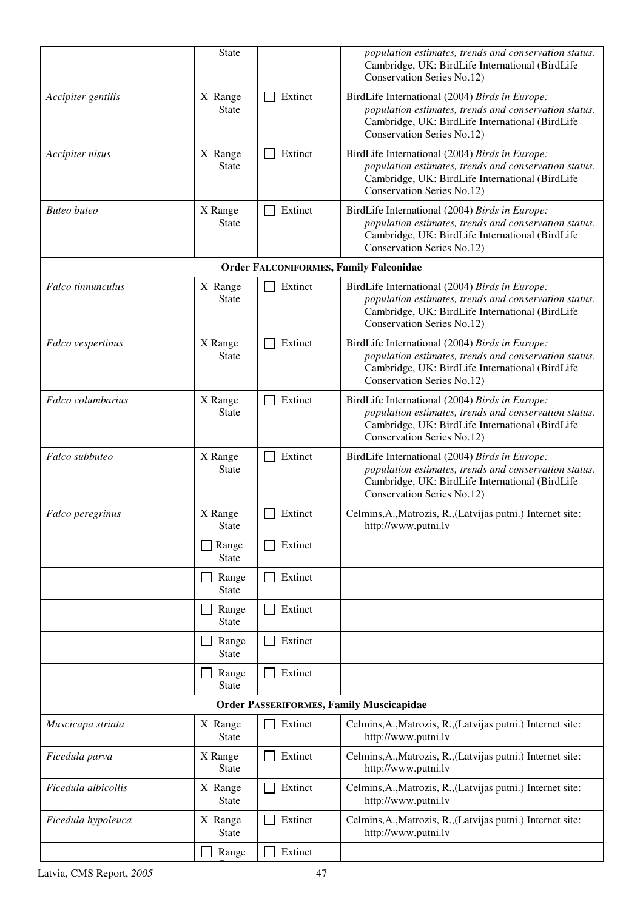|                     | <b>State</b>            |                         | population estimates, trends and conservation status.<br>Cambridge, UK: BirdLife International (BirdLife<br>Conservation Series No.12)                                                   |
|---------------------|-------------------------|-------------------------|------------------------------------------------------------------------------------------------------------------------------------------------------------------------------------------|
| Accipiter gentilis  | X Range<br><b>State</b> | Extinct<br>$\mathbf{L}$ | BirdLife International (2004) Birds in Europe:<br>population estimates, trends and conservation status.<br>Cambridge, UK: BirdLife International (BirdLife<br>Conservation Series No.12) |
| Accipiter nisus     | X Range<br><b>State</b> | Extinct<br>$\mathsf{L}$ | BirdLife International (2004) Birds in Europe:<br>population estimates, trends and conservation status.<br>Cambridge, UK: BirdLife International (BirdLife<br>Conservation Series No.12) |
| <b>Buteo</b> buteo  | X Range<br><b>State</b> | Extinct                 | BirdLife International (2004) Birds in Europe:<br>population estimates, trends and conservation status.<br>Cambridge, UK: BirdLife International (BirdLife<br>Conservation Series No.12) |
|                     |                         |                         | <b>Order FALCONIFORMES, Family Falconidae</b>                                                                                                                                            |
| Falco tinnunculus   | X Range<br>State        | Extinct                 | BirdLife International (2004) Birds in Europe:<br>population estimates, trends and conservation status.<br>Cambridge, UK: BirdLife International (BirdLife<br>Conservation Series No.12) |
| Falco vespertinus   | X Range<br><b>State</b> | Extinct                 | BirdLife International (2004) Birds in Europe:<br>population estimates, trends and conservation status.<br>Cambridge, UK: BirdLife International (BirdLife<br>Conservation Series No.12) |
| Falco columbarius   | X Range<br><b>State</b> | Extinct                 | BirdLife International (2004) Birds in Europe:<br>population estimates, trends and conservation status.<br>Cambridge, UK: BirdLife International (BirdLife<br>Conservation Series No.12) |
| Falco subbuteo      | X Range<br><b>State</b> | Extinct                 | BirdLife International (2004) Birds in Europe:<br>population estimates, trends and conservation status.<br>Cambridge, UK: BirdLife International (BirdLife<br>Conservation Series No.12) |
| Falco peregrinus    | X Range<br><b>State</b> | Extinct                 | Celmins, A., Matrozis, R., (Latvijas putni.) Internet site:<br>http://www.putni.lv                                                                                                       |
|                     | Range<br><b>State</b>   | Extinct                 |                                                                                                                                                                                          |
|                     | Range<br><b>State</b>   | Extinct                 |                                                                                                                                                                                          |
|                     | Range<br><b>State</b>   | Extinct                 |                                                                                                                                                                                          |
|                     | Range<br><b>State</b>   | Extinct                 |                                                                                                                                                                                          |
|                     | Range<br><b>State</b>   | Extinct                 |                                                                                                                                                                                          |
|                     |                         |                         | <b>Order PASSERIFORMES, Family Muscicapidae</b>                                                                                                                                          |
| Muscicapa striata   | X Range<br><b>State</b> | Extinct                 | Celmins, A., Matrozis, R., (Latvijas putni.) Internet site:<br>http://www.putni.lv                                                                                                       |
| Ficedula parva      | X Range<br><b>State</b> | Extinct                 | Celmins, A., Matrozis, R., (Latvijas putni.) Internet site:<br>http://www.putni.lv                                                                                                       |
| Ficedula albicollis | X Range<br><b>State</b> | Extinct                 | Celmins, A., Matrozis, R., (Latvijas putni.) Internet site:<br>http://www.putni.lv                                                                                                       |
| Ficedula hypoleuca  | X Range<br><b>State</b> | Extinct                 | Celmins, A., Matrozis, R., (Latvijas putni.) Internet site:<br>http://www.putni.lv                                                                                                       |
|                     | Range                   | Extinct                 |                                                                                                                                                                                          |

State